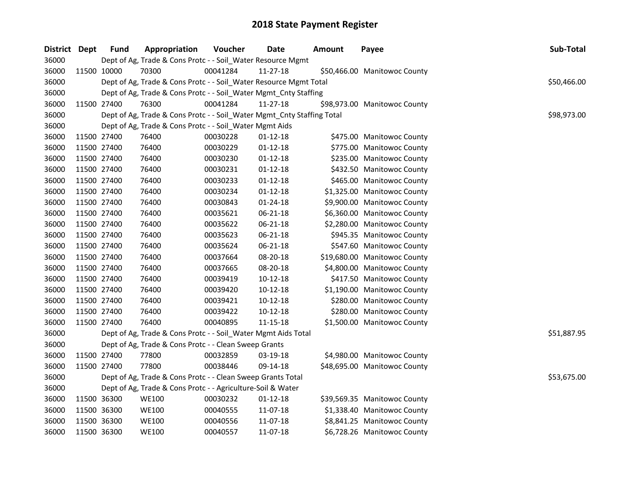| District Dept |             | <b>Fund</b> | Appropriation                                                          | Voucher  | <b>Date</b>    | <b>Amount</b> | Payee                        | Sub-Total   |
|---------------|-------------|-------------|------------------------------------------------------------------------|----------|----------------|---------------|------------------------------|-------------|
| 36000         |             |             | Dept of Ag, Trade & Cons Protc - - Soil_Water Resource Mgmt            |          |                |               |                              |             |
| 36000         |             | 11500 10000 | 70300                                                                  | 00041284 | 11-27-18       |               | \$50,466.00 Manitowoc County |             |
| 36000         |             |             | Dept of Ag, Trade & Cons Protc - - Soil_Water Resource Mgmt Total      |          |                |               |                              | \$50,466.00 |
| 36000         |             |             | Dept of Ag, Trade & Cons Protc - - Soil_Water Mgmt_Cnty Staffing       |          |                |               |                              |             |
| 36000         |             | 11500 27400 | 76300                                                                  | 00041284 | 11-27-18       |               | \$98,973.00 Manitowoc County |             |
| 36000         |             |             | Dept of Ag, Trade & Cons Protc - - Soil_Water Mgmt_Cnty Staffing Total |          |                |               |                              | \$98,973.00 |
| 36000         |             |             | Dept of Ag, Trade & Cons Protc - - Soil_Water Mgmt Aids                |          |                |               |                              |             |
| 36000         |             | 11500 27400 | 76400                                                                  | 00030228 | $01 - 12 - 18$ |               | \$475.00 Manitowoc County    |             |
| 36000         |             | 11500 27400 | 76400                                                                  | 00030229 | $01 - 12 - 18$ |               | \$775.00 Manitowoc County    |             |
| 36000         |             | 11500 27400 | 76400                                                                  | 00030230 | $01 - 12 - 18$ |               | \$235.00 Manitowoc County    |             |
| 36000         |             | 11500 27400 | 76400                                                                  | 00030231 | $01 - 12 - 18$ |               | \$432.50 Manitowoc County    |             |
| 36000         | 11500 27400 |             | 76400                                                                  | 00030233 | $01 - 12 - 18$ |               | \$465.00 Manitowoc County    |             |
| 36000         | 11500 27400 |             | 76400                                                                  | 00030234 | $01 - 12 - 18$ |               | \$1,325.00 Manitowoc County  |             |
| 36000         | 11500 27400 |             | 76400                                                                  | 00030843 | 01-24-18       |               | \$9,900.00 Manitowoc County  |             |
| 36000         |             | 11500 27400 | 76400                                                                  | 00035621 | 06-21-18       |               | \$6,360.00 Manitowoc County  |             |
| 36000         |             | 11500 27400 | 76400                                                                  | 00035622 | 06-21-18       |               | \$2,280.00 Manitowoc County  |             |
| 36000         |             | 11500 27400 | 76400                                                                  | 00035623 | 06-21-18       |               | \$945.35 Manitowoc County    |             |
| 36000         |             | 11500 27400 | 76400                                                                  | 00035624 | 06-21-18       |               | \$547.60 Manitowoc County    |             |
| 36000         |             | 11500 27400 | 76400                                                                  | 00037664 | 08-20-18       |               | \$19,680.00 Manitowoc County |             |
| 36000         |             | 11500 27400 | 76400                                                                  | 00037665 | 08-20-18       |               | \$4,800.00 Manitowoc County  |             |
| 36000         |             | 11500 27400 | 76400                                                                  | 00039419 | $10 - 12 - 18$ |               | \$417.50 Manitowoc County    |             |
| 36000         |             | 11500 27400 | 76400                                                                  | 00039420 | $10-12-18$     |               | \$1,190.00 Manitowoc County  |             |
| 36000         |             | 11500 27400 | 76400                                                                  | 00039421 | $10 - 12 - 18$ |               | \$280.00 Manitowoc County    |             |
| 36000         |             | 11500 27400 | 76400                                                                  | 00039422 | $10-12-18$     |               | \$280.00 Manitowoc County    |             |
| 36000         |             | 11500 27400 | 76400                                                                  | 00040895 | 11-15-18       |               | \$1,500.00 Manitowoc County  |             |
| 36000         |             |             | Dept of Ag, Trade & Cons Protc - - Soil_Water Mgmt Aids Total          |          |                |               |                              | \$51,887.95 |
| 36000         |             |             | Dept of Ag, Trade & Cons Protc - - Clean Sweep Grants                  |          |                |               |                              |             |
| 36000         |             | 11500 27400 | 77800                                                                  | 00032859 | 03-19-18       |               | \$4,980.00 Manitowoc County  |             |
| 36000         |             | 11500 27400 | 77800                                                                  | 00038446 | 09-14-18       |               | \$48,695.00 Manitowoc County |             |
| 36000         |             |             | Dept of Ag, Trade & Cons Protc - - Clean Sweep Grants Total            |          |                |               |                              | \$53,675.00 |
| 36000         |             |             | Dept of Ag, Trade & Cons Protc - - Agriculture-Soil & Water            |          |                |               |                              |             |
| 36000         |             | 11500 36300 | <b>WE100</b>                                                           | 00030232 | $01-12-18$     |               | \$39,569.35 Manitowoc County |             |
| 36000         |             | 11500 36300 | <b>WE100</b>                                                           | 00040555 | 11-07-18       |               | \$1,338.40 Manitowoc County  |             |
| 36000         |             | 11500 36300 | <b>WE100</b>                                                           | 00040556 | 11-07-18       |               | \$8,841.25 Manitowoc County  |             |
| 36000         |             | 11500 36300 | <b>WE100</b>                                                           | 00040557 | 11-07-18       |               | \$6,728.26 Manitowoc County  |             |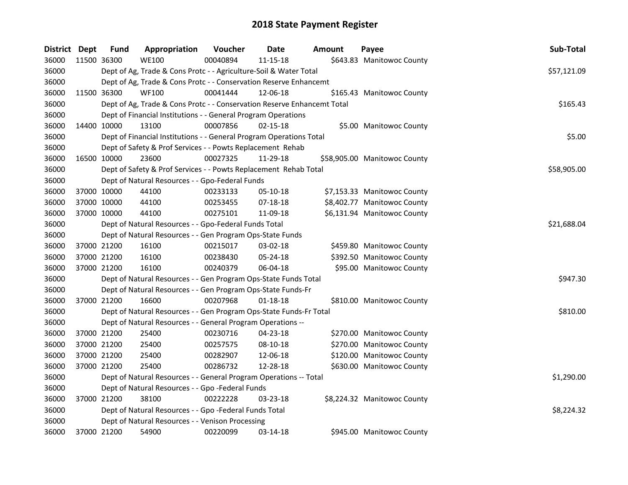| District Dept | <b>Fund</b>                                                          | Appropriation                                                           | Voucher  | Date           | Amount | Payee                        | Sub-Total   |  |
|---------------|----------------------------------------------------------------------|-------------------------------------------------------------------------|----------|----------------|--------|------------------------------|-------------|--|
| 36000         | 11500 36300                                                          | <b>WE100</b>                                                            | 00040894 | $11 - 15 - 18$ |        | \$643.83 Manitowoc County    |             |  |
| 36000         |                                                                      | Dept of Ag, Trade & Cons Protc - - Agriculture-Soil & Water Total       |          |                |        |                              | \$57,121.09 |  |
| 36000         |                                                                      | Dept of Ag, Trade & Cons Protc - - Conservation Reserve Enhancemt       |          |                |        |                              |             |  |
| 36000         | 11500 36300                                                          | <b>WF100</b>                                                            | 00041444 | 12-06-18       |        | \$165.43 Manitowoc County    |             |  |
| 36000         |                                                                      | Dept of Ag, Trade & Cons Protc - - Conservation Reserve Enhancemt Total |          |                |        |                              | \$165.43    |  |
| 36000         |                                                                      | Dept of Financial Institutions - - General Program Operations           |          |                |        |                              |             |  |
| 36000         | 14400 10000                                                          | 13100                                                                   | 00007856 | $02 - 15 - 18$ |        | \$5.00 Manitowoc County      |             |  |
| 36000         |                                                                      | Dept of Financial Institutions - - General Program Operations Total     |          |                |        |                              | \$5.00      |  |
| 36000         |                                                                      | Dept of Safety & Prof Services - - Powts Replacement Rehab              |          |                |        |                              |             |  |
| 36000         | 16500 10000                                                          | 23600                                                                   | 00027325 | 11-29-18       |        | \$58,905.00 Manitowoc County |             |  |
| 36000         |                                                                      | Dept of Safety & Prof Services - - Powts Replacement Rehab Total        |          |                |        |                              | \$58,905.00 |  |
| 36000         |                                                                      | Dept of Natural Resources - - Gpo-Federal Funds                         |          |                |        |                              |             |  |
| 36000         | 37000 10000                                                          | 44100                                                                   | 00233133 | $05-10-18$     |        | \$7,153.33 Manitowoc County  |             |  |
| 36000         | 37000 10000                                                          | 44100                                                                   | 00253455 | 07-18-18       |        | \$8,402.77 Manitowoc County  |             |  |
| 36000         | 37000 10000                                                          | 44100                                                                   | 00275101 | 11-09-18       |        | \$6,131.94 Manitowoc County  |             |  |
| 36000         | \$21,688.04<br>Dept of Natural Resources - - Gpo-Federal Funds Total |                                                                         |          |                |        |                              |             |  |
| 36000         |                                                                      | Dept of Natural Resources - - Gen Program Ops-State Funds               |          |                |        |                              |             |  |
| 36000         | 37000 21200                                                          | 16100                                                                   | 00215017 | 03-02-18       |        | \$459.80 Manitowoc County    |             |  |
| 36000         | 37000 21200                                                          | 16100                                                                   | 00238430 | 05-24-18       |        | \$392.50 Manitowoc County    |             |  |
| 36000         | 37000 21200                                                          | 16100                                                                   | 00240379 | 06-04-18       |        | \$95.00 Manitowoc County     |             |  |
| 36000         |                                                                      | Dept of Natural Resources - - Gen Program Ops-State Funds Total         |          |                |        |                              | \$947.30    |  |
| 36000         |                                                                      | Dept of Natural Resources - - Gen Program Ops-State Funds-Fr            |          |                |        |                              |             |  |
| 36000         | 37000 21200                                                          | 16600                                                                   | 00207968 | $01 - 18 - 18$ |        | \$810.00 Manitowoc County    |             |  |
| 36000         |                                                                      | Dept of Natural Resources - - Gen Program Ops-State Funds-Fr Total      |          |                |        |                              | \$810.00    |  |
| 36000         |                                                                      | Dept of Natural Resources - - General Program Operations --             |          |                |        |                              |             |  |
| 36000         | 37000 21200                                                          | 25400                                                                   | 00230716 | 04-23-18       |        | \$270.00 Manitowoc County    |             |  |
| 36000         | 37000 21200                                                          | 25400                                                                   | 00257575 | 08-10-18       |        | \$270.00 Manitowoc County    |             |  |
| 36000         | 37000 21200                                                          | 25400                                                                   | 00282907 | 12-06-18       |        | \$120.00 Manitowoc County    |             |  |
| 36000         | 37000 21200                                                          | 25400                                                                   | 00286732 | 12-28-18       |        | \$630.00 Manitowoc County    |             |  |
| 36000         |                                                                      | Dept of Natural Resources - - General Program Operations -- Total       |          |                |        |                              | \$1,290.00  |  |
| 36000         |                                                                      | Dept of Natural Resources - - Gpo -Federal Funds                        |          |                |        |                              |             |  |
| 36000         | 37000 21200                                                          | 38100                                                                   | 00222228 | 03-23-18       |        | \$8,224.32 Manitowoc County  |             |  |
| 36000         |                                                                      | Dept of Natural Resources - - Gpo -Federal Funds Total                  |          |                |        |                              | \$8,224.32  |  |
| 36000         |                                                                      | Dept of Natural Resources - - Venison Processing                        |          |                |        |                              |             |  |
| 36000         | 37000 21200                                                          | 54900                                                                   | 00220099 | 03-14-18       |        | \$945.00 Manitowoc County    |             |  |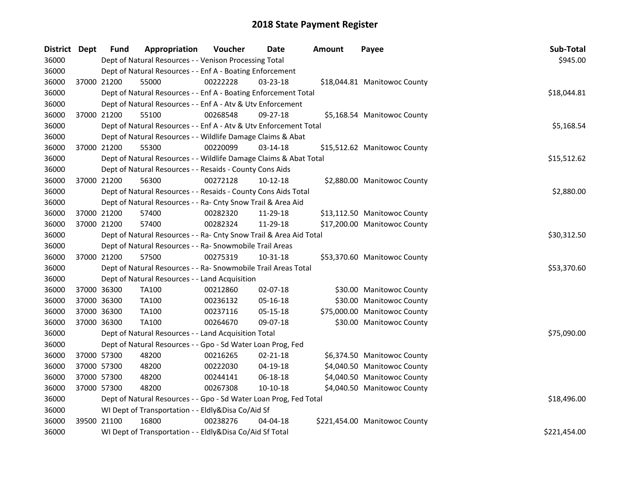| District Dept |             | Fund        | Appropriation                                                      | Voucher  | <b>Date</b>    | Amount | Payee                         | Sub-Total    |
|---------------|-------------|-------------|--------------------------------------------------------------------|----------|----------------|--------|-------------------------------|--------------|
| 36000         |             |             | Dept of Natural Resources - - Venison Processing Total             |          |                |        |                               | \$945.00     |
| 36000         |             |             | Dept of Natural Resources - - Enf A - Boating Enforcement          |          |                |        |                               |              |
| 36000         |             | 37000 21200 | 55000                                                              | 00222228 | $03 - 23 - 18$ |        | \$18,044.81 Manitowoc County  |              |
| 36000         |             |             | Dept of Natural Resources - - Enf A - Boating Enforcement Total    |          |                |        |                               | \$18,044.81  |
| 36000         |             |             | Dept of Natural Resources - - Enf A - Atv & Utv Enforcement        |          |                |        |                               |              |
| 36000         |             | 37000 21200 | 55100                                                              | 00268548 | 09-27-18       |        | \$5,168.54 Manitowoc County   |              |
| 36000         |             |             | Dept of Natural Resources - - Enf A - Atv & Utv Enforcement Total  |          |                |        |                               | \$5,168.54   |
| 36000         |             |             | Dept of Natural Resources - - Wildlife Damage Claims & Abat        |          |                |        |                               |              |
| 36000         |             | 37000 21200 | 55300                                                              | 00220099 | 03-14-18       |        | \$15,512.62 Manitowoc County  |              |
| 36000         |             |             | Dept of Natural Resources - - Wildlife Damage Claims & Abat Total  |          |                |        |                               | \$15,512.62  |
| 36000         |             |             | Dept of Natural Resources - - Resaids - County Cons Aids           |          |                |        |                               |              |
| 36000         | 37000 21200 |             | 56300                                                              | 00272128 | $10-12-18$     |        | \$2,880.00 Manitowoc County   |              |
| 36000         |             |             | Dept of Natural Resources - - Resaids - County Cons Aids Total     |          |                |        |                               | \$2,880.00   |
| 36000         |             |             | Dept of Natural Resources - - Ra- Cnty Snow Trail & Area Aid       |          |                |        |                               |              |
| 36000         | 37000 21200 |             | 57400                                                              | 00282320 | 11-29-18       |        | \$13,112.50 Manitowoc County  |              |
| 36000         | 37000 21200 |             | 57400                                                              | 00282324 | 11-29-18       |        | \$17,200.00 Manitowoc County  |              |
| 36000         |             |             | Dept of Natural Resources - - Ra- Cnty Snow Trail & Area Aid Total |          |                |        |                               | \$30,312.50  |
| 36000         |             |             | Dept of Natural Resources - - Ra- Snowmobile Trail Areas           |          |                |        |                               |              |
| 36000         | 37000 21200 |             | 57500                                                              | 00275319 | 10-31-18       |        | \$53,370.60 Manitowoc County  |              |
| 36000         |             |             | Dept of Natural Resources - - Ra- Snowmobile Trail Areas Total     |          |                |        |                               | \$53,370.60  |
| 36000         |             |             | Dept of Natural Resources - - Land Acquisition                     |          |                |        |                               |              |
| 36000         | 37000 36300 |             | TA100                                                              | 00212860 | 02-07-18       |        | \$30.00 Manitowoc County      |              |
| 36000         | 37000 36300 |             | <b>TA100</b>                                                       | 00236132 | 05-16-18       |        | \$30.00 Manitowoc County      |              |
| 36000         | 37000 36300 |             | TA100                                                              | 00237116 | 05-15-18       |        | \$75,000.00 Manitowoc County  |              |
| 36000         | 37000 36300 |             | TA100                                                              | 00264670 | 09-07-18       |        | \$30.00 Manitowoc County      |              |
| 36000         |             |             | Dept of Natural Resources - - Land Acquisition Total               |          |                |        |                               | \$75,090.00  |
| 36000         |             |             | Dept of Natural Resources - - Gpo - Sd Water Loan Prog, Fed        |          |                |        |                               |              |
| 36000         | 37000 57300 |             | 48200                                                              | 00216265 | $02 - 21 - 18$ |        | \$6,374.50 Manitowoc County   |              |
| 36000         | 37000 57300 |             | 48200                                                              | 00222030 | 04-19-18       |        | \$4,040.50 Manitowoc County   |              |
| 36000         | 37000 57300 |             | 48200                                                              | 00244141 | 06-18-18       |        | \$4,040.50 Manitowoc County   |              |
| 36000         | 37000 57300 |             | 48200                                                              | 00267308 | $10-10-18$     |        | \$4,040.50 Manitowoc County   |              |
| 36000         |             |             | Dept of Natural Resources - - Gpo - Sd Water Loan Prog, Fed Total  |          |                |        |                               | \$18,496.00  |
| 36000         |             |             | WI Dept of Transportation - - Eldly&Disa Co/Aid Sf                 |          |                |        |                               |              |
| 36000         | 39500 21100 |             | 16800                                                              | 00238276 | 04-04-18       |        | \$221,454.00 Manitowoc County |              |
| 36000         |             |             | WI Dept of Transportation - - Eldly&Disa Co/Aid Sf Total           |          |                |        |                               | \$221,454.00 |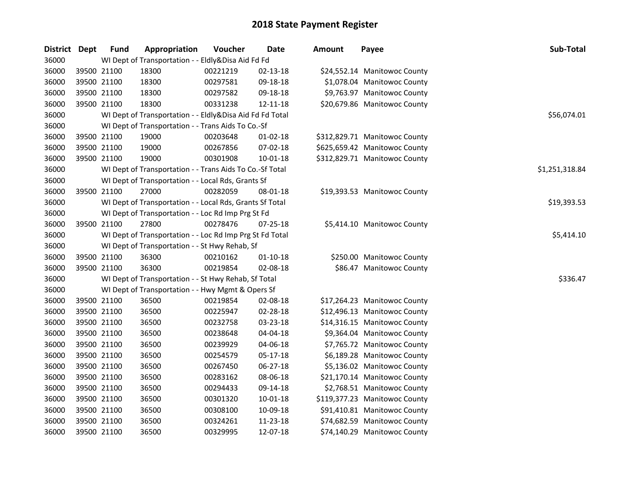| District | <b>Dept</b> | <b>Fund</b> | Appropriation                                            | Voucher  | <b>Date</b>    | <b>Amount</b> | Payee                         | Sub-Total      |
|----------|-------------|-------------|----------------------------------------------------------|----------|----------------|---------------|-------------------------------|----------------|
| 36000    |             |             | WI Dept of Transportation - - Eldly&Disa Aid Fd Fd       |          |                |               |                               |                |
| 36000    | 39500 21100 |             | 18300                                                    | 00221219 | 02-13-18       |               | \$24,552.14 Manitowoc County  |                |
| 36000    | 39500 21100 |             | 18300                                                    | 00297581 | 09-18-18       |               | \$1,078.04 Manitowoc County   |                |
| 36000    | 39500 21100 |             | 18300                                                    | 00297582 | 09-18-18       |               | \$9,763.97 Manitowoc County   |                |
| 36000    | 39500 21100 |             | 18300                                                    | 00331238 | 12-11-18       |               | \$20,679.86 Manitowoc County  |                |
| 36000    |             |             | WI Dept of Transportation - - Eldly&Disa Aid Fd Fd Total |          |                |               |                               | \$56,074.01    |
| 36000    |             |             | WI Dept of Transportation - - Trans Aids To Co.-Sf       |          |                |               |                               |                |
| 36000    | 39500 21100 |             | 19000                                                    | 00203648 | $01-02-18$     |               | \$312,829.71 Manitowoc County |                |
| 36000    | 39500 21100 |             | 19000                                                    | 00267856 | 07-02-18       |               | \$625,659.42 Manitowoc County |                |
| 36000    | 39500 21100 |             | 19000                                                    | 00301908 | 10-01-18       |               | \$312,829.71 Manitowoc County |                |
| 36000    |             |             | WI Dept of Transportation - - Trans Aids To Co.-Sf Total |          |                |               |                               | \$1,251,318.84 |
| 36000    |             |             | WI Dept of Transportation - - Local Rds, Grants Sf       |          |                |               |                               |                |
| 36000    | 39500 21100 |             | 27000                                                    | 00282059 | 08-01-18       |               | \$19,393.53 Manitowoc County  |                |
| 36000    |             |             | WI Dept of Transportation - - Local Rds, Grants Sf Total |          |                |               |                               | \$19,393.53    |
| 36000    |             |             | WI Dept of Transportation - - Loc Rd Imp Prg St Fd       |          |                |               |                               |                |
| 36000    | 39500 21100 |             | 27800                                                    | 00278476 | 07-25-18       |               | \$5,414.10 Manitowoc County   |                |
| 36000    |             |             | WI Dept of Transportation - - Loc Rd Imp Prg St Fd Total |          |                |               |                               | \$5,414.10     |
| 36000    |             |             | WI Dept of Transportation - - St Hwy Rehab, Sf           |          |                |               |                               |                |
| 36000    | 39500 21100 |             | 36300                                                    | 00210162 | $01 - 10 - 18$ |               | \$250.00 Manitowoc County     |                |
| 36000    | 39500 21100 |             | 36300                                                    | 00219854 | 02-08-18       |               | \$86.47 Manitowoc County      |                |
| 36000    |             |             | WI Dept of Transportation - - St Hwy Rehab, Sf Total     |          |                |               |                               | \$336.47       |
| 36000    |             |             | WI Dept of Transportation - - Hwy Mgmt & Opers Sf        |          |                |               |                               |                |
| 36000    | 39500 21100 |             | 36500                                                    | 00219854 | 02-08-18       |               | \$17,264.23 Manitowoc County  |                |
| 36000    | 39500 21100 |             | 36500                                                    | 00225947 | 02-28-18       |               | \$12,496.13 Manitowoc County  |                |
| 36000    | 39500 21100 |             | 36500                                                    | 00232758 | 03-23-18       |               | \$14,316.15 Manitowoc County  |                |
| 36000    | 39500 21100 |             | 36500                                                    | 00238648 | 04-04-18       |               | \$9,364.04 Manitowoc County   |                |
| 36000    | 39500 21100 |             | 36500                                                    | 00239929 | 04-06-18       |               | \$7,765.72 Manitowoc County   |                |
| 36000    | 39500 21100 |             | 36500                                                    | 00254579 | 05-17-18       |               | \$6,189.28 Manitowoc County   |                |
| 36000    | 39500 21100 |             | 36500                                                    | 00267450 | 06-27-18       |               | \$5,136.02 Manitowoc County   |                |
| 36000    | 39500 21100 |             | 36500                                                    | 00283162 | 08-06-18       |               | \$21,170.14 Manitowoc County  |                |
| 36000    | 39500 21100 |             | 36500                                                    | 00294433 | 09-14-18       |               | \$2,768.51 Manitowoc County   |                |
| 36000    | 39500 21100 |             | 36500                                                    | 00301320 | 10-01-18       |               | \$119,377.23 Manitowoc County |                |
| 36000    | 39500 21100 |             | 36500                                                    | 00308100 | 10-09-18       |               | \$91,410.81 Manitowoc County  |                |
| 36000    | 39500 21100 |             | 36500                                                    | 00324261 | 11-23-18       |               | \$74,682.59 Manitowoc County  |                |
| 36000    | 39500 21100 |             | 36500                                                    | 00329995 | 12-07-18       |               | \$74,140.29 Manitowoc County  |                |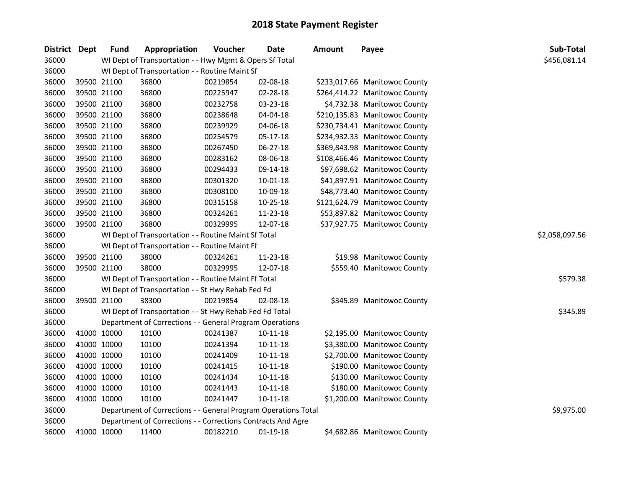| <b>District</b> | <b>Dept</b> | <b>Fund</b> | Appropriation                                                  | Voucher  | <b>Date</b>    | <b>Amount</b> | Payee                         | Sub-Total      |
|-----------------|-------------|-------------|----------------------------------------------------------------|----------|----------------|---------------|-------------------------------|----------------|
| 36000           |             |             | WI Dept of Transportation - - Hwy Mgmt & Opers Sf Total        |          |                |               |                               | \$456,081.14   |
| 36000           |             |             | WI Dept of Transportation - - Routine Maint Sf                 |          |                |               |                               |                |
| 36000           |             | 39500 21100 | 36800                                                          | 00219854 | 02-08-18       |               | \$233,017.66 Manitowoc County |                |
| 36000           |             | 39500 21100 | 36800                                                          | 00225947 | 02-28-18       |               | \$264,414.22 Manitowoc County |                |
| 36000           |             | 39500 21100 | 36800                                                          | 00232758 | 03-23-18       |               | \$4,732.38 Manitowoc County   |                |
| 36000           | 39500 21100 |             | 36800                                                          | 00238648 | 04-04-18       |               | \$210,135.83 Manitowoc County |                |
| 36000           | 39500 21100 |             | 36800                                                          | 00239929 | 04-06-18       |               | \$230,734.41 Manitowoc County |                |
| 36000           | 39500 21100 |             | 36800                                                          | 00254579 | 05-17-18       |               | \$234,932.33 Manitowoc County |                |
| 36000           | 39500 21100 |             | 36800                                                          | 00267450 | 06-27-18       |               | \$369,843.98 Manitowoc County |                |
| 36000           | 39500 21100 |             | 36800                                                          | 00283162 | 08-06-18       |               | \$108,466.46 Manitowoc County |                |
| 36000           | 39500 21100 |             | 36800                                                          | 00294433 | 09-14-18       |               | \$97,698.62 Manitowoc County  |                |
| 36000           | 39500 21100 |             | 36800                                                          | 00301320 | $10 - 01 - 18$ |               | \$41,897.91 Manitowoc County  |                |
| 36000           | 39500 21100 |             | 36800                                                          | 00308100 | 10-09-18       |               | \$48,773.40 Manitowoc County  |                |
| 36000           | 39500 21100 |             | 36800                                                          | 00315158 | $10 - 25 - 18$ |               | \$121,624.79 Manitowoc County |                |
| 36000           |             | 39500 21100 | 36800                                                          | 00324261 | 11-23-18       |               | \$53,897.82 Manitowoc County  |                |
| 36000           | 39500 21100 |             | 36800                                                          | 00329995 | 12-07-18       |               | \$37,927.75 Manitowoc County  |                |
| 36000           |             |             | WI Dept of Transportation - - Routine Maint Sf Total           |          |                |               |                               | \$2,058,097.56 |
| 36000           |             |             | WI Dept of Transportation - - Routine Maint Ff                 |          |                |               |                               |                |
| 36000           |             | 39500 21100 | 38000                                                          | 00324261 | $11 - 23 - 18$ |               | \$19.98 Manitowoc County      |                |
| 36000           |             | 39500 21100 | 38000                                                          | 00329995 | 12-07-18       |               | \$559.40 Manitowoc County     |                |
| 36000           |             |             | WI Dept of Transportation - - Routine Maint Ff Total           |          |                |               |                               | \$579.38       |
| 36000           |             |             | WI Dept of Transportation - - St Hwy Rehab Fed Fd              |          |                |               |                               |                |
| 36000           |             | 39500 21100 | 38300                                                          | 00219854 | 02-08-18       |               | \$345.89 Manitowoc County     |                |
| 36000           |             |             | WI Dept of Transportation - - St Hwy Rehab Fed Fd Total        |          |                |               |                               | \$345.89       |
| 36000           |             |             | Department of Corrections - - General Program Operations       |          |                |               |                               |                |
| 36000           | 41000 10000 |             | 10100                                                          | 00241387 | 10-11-18       |               | \$2,195.00 Manitowoc County   |                |
| 36000           | 41000 10000 |             | 10100                                                          | 00241394 | $10 - 11 - 18$ |               | \$3,380.00 Manitowoc County   |                |
| 36000           | 41000 10000 |             | 10100                                                          | 00241409 | $10 - 11 - 18$ |               | \$2,700.00 Manitowoc County   |                |
| 36000           | 41000 10000 |             | 10100                                                          | 00241415 | $10 - 11 - 18$ |               | \$190.00 Manitowoc County     |                |
| 36000           | 41000 10000 |             | 10100                                                          | 00241434 | 10-11-18       |               | \$130.00 Manitowoc County     |                |
| 36000           | 41000 10000 |             | 10100                                                          | 00241443 | $10 - 11 - 18$ |               | \$180.00 Manitowoc County     |                |
| 36000           | 41000 10000 |             | 10100                                                          | 00241447 | $10 - 11 - 18$ |               | \$1,200.00 Manitowoc County   |                |
| 36000           |             |             | Department of Corrections - - General Program Operations Total |          |                |               |                               | \$9,975.00     |
| 36000           |             |             | Department of Corrections - - Corrections Contracts And Agre   |          |                |               |                               |                |
| 36000           | 41000 10000 |             | 11400                                                          | 00182210 | 01-19-18       |               | \$4,682.86 Manitowoc County   |                |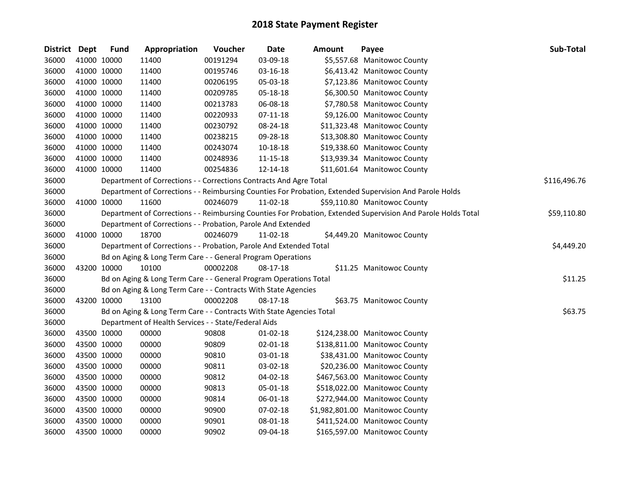| District Dept |             | <b>Fund</b> | Appropriation                                                        | Voucher  | <b>Date</b>    | <b>Amount</b> | Payee                                                                                                         | Sub-Total    |
|---------------|-------------|-------------|----------------------------------------------------------------------|----------|----------------|---------------|---------------------------------------------------------------------------------------------------------------|--------------|
| 36000         |             | 41000 10000 | 11400                                                                | 00191294 | 03-09-18       |               | \$5,557.68 Manitowoc County                                                                                   |              |
| 36000         |             | 41000 10000 | 11400                                                                | 00195746 | 03-16-18       |               | \$6,413.42 Manitowoc County                                                                                   |              |
| 36000         |             | 41000 10000 | 11400                                                                | 00206195 | 05-03-18       |               | \$7,123.86 Manitowoc County                                                                                   |              |
| 36000         |             | 41000 10000 | 11400                                                                | 00209785 | 05-18-18       |               | \$6,300.50 Manitowoc County                                                                                   |              |
| 36000         |             | 41000 10000 | 11400                                                                | 00213783 | 06-08-18       |               | \$7,780.58 Manitowoc County                                                                                   |              |
| 36000         |             | 41000 10000 | 11400                                                                | 00220933 | 07-11-18       |               | \$9,126.00 Manitowoc County                                                                                   |              |
| 36000         |             | 41000 10000 | 11400                                                                | 00230792 | 08-24-18       |               | \$11,323.48 Manitowoc County                                                                                  |              |
| 36000         |             | 41000 10000 | 11400                                                                | 00238215 | 09-28-18       |               | \$13,308.80 Manitowoc County                                                                                  |              |
| 36000         |             | 41000 10000 | 11400                                                                | 00243074 | 10-18-18       |               | \$19,338.60 Manitowoc County                                                                                  |              |
| 36000         |             | 41000 10000 | 11400                                                                | 00248936 | 11-15-18       |               | \$13,939.34 Manitowoc County                                                                                  |              |
| 36000         |             | 41000 10000 | 11400                                                                | 00254836 | 12-14-18       |               | \$11,601.64 Manitowoc County                                                                                  |              |
| 36000         |             |             | Department of Corrections - - Corrections Contracts And Agre Total   |          |                |               |                                                                                                               | \$116,496.76 |
| 36000         |             |             |                                                                      |          |                |               | Department of Corrections - - Reimbursing Counties For Probation, Extended Supervision And Parole Holds       |              |
| 36000         |             | 41000 10000 | 11600                                                                | 00246079 | 11-02-18       |               | \$59,110.80 Manitowoc County                                                                                  |              |
| 36000         |             |             |                                                                      |          |                |               | Department of Corrections - - Reimbursing Counties For Probation, Extended Supervision And Parole Holds Total | \$59,110.80  |
| 36000         |             |             | Department of Corrections - - Probation, Parole And Extended         |          |                |               |                                                                                                               |              |
| 36000         |             | 41000 10000 | 18700                                                                | 00246079 | 11-02-18       |               | \$4,449.20 Manitowoc County                                                                                   |              |
| 36000         |             |             | Department of Corrections - - Probation, Parole And Extended Total   |          |                |               |                                                                                                               | \$4,449.20   |
| 36000         |             |             | Bd on Aging & Long Term Care - - General Program Operations          |          |                |               |                                                                                                               |              |
| 36000         |             | 43200 10000 | 10100                                                                | 00002208 | 08-17-18       |               | \$11.25 Manitowoc County                                                                                      |              |
| 36000         |             |             | Bd on Aging & Long Term Care - - General Program Operations Total    |          |                |               |                                                                                                               | \$11.25      |
| 36000         |             |             | Bd on Aging & Long Term Care - - Contracts With State Agencies       |          |                |               |                                                                                                               |              |
| 36000         |             | 43200 10000 | 13100                                                                | 00002208 | 08-17-18       |               | \$63.75 Manitowoc County                                                                                      |              |
| 36000         |             |             | Bd on Aging & Long Term Care - - Contracts With State Agencies Total |          |                |               |                                                                                                               | \$63.75      |
| 36000         |             |             | Department of Health Services - - State/Federal Aids                 |          |                |               |                                                                                                               |              |
| 36000         |             | 43500 10000 | 00000                                                                | 90808    | $01 - 02 - 18$ |               | \$124,238.00 Manitowoc County                                                                                 |              |
| 36000         | 43500 10000 |             | 00000                                                                | 90809    | 02-01-18       |               | \$138,811.00 Manitowoc County                                                                                 |              |
| 36000         |             | 43500 10000 | 00000                                                                | 90810    | 03-01-18       |               | \$38,431.00 Manitowoc County                                                                                  |              |
| 36000         |             | 43500 10000 | 00000                                                                | 90811    | 03-02-18       |               | \$20,236.00 Manitowoc County                                                                                  |              |
| 36000         |             | 43500 10000 | 00000                                                                | 90812    | 04-02-18       |               | \$467,563.00 Manitowoc County                                                                                 |              |
| 36000         |             | 43500 10000 | 00000                                                                | 90813    | 05-01-18       |               | \$518,022.00 Manitowoc County                                                                                 |              |
| 36000         |             | 43500 10000 | 00000                                                                | 90814    | 06-01-18       |               | \$272,944.00 Manitowoc County                                                                                 |              |
| 36000         |             | 43500 10000 | 00000                                                                | 90900    | 07-02-18       |               | \$1,982,801.00 Manitowoc County                                                                               |              |
| 36000         |             | 43500 10000 | 00000                                                                | 90901    | 08-01-18       |               | \$411,524.00 Manitowoc County                                                                                 |              |
| 36000         | 43500 10000 |             | 00000                                                                | 90902    | 09-04-18       |               | \$165,597.00 Manitowoc County                                                                                 |              |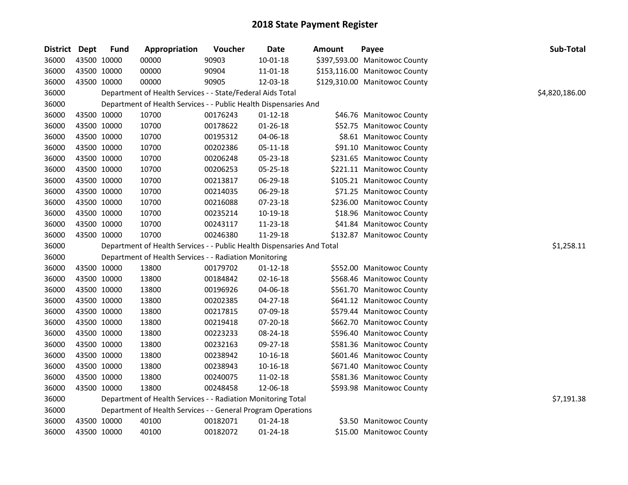| District | <b>Dept</b> | <b>Fund</b> | Appropriation                                                          | Voucher  | Date           | Amount | Payee                         | Sub-Total      |
|----------|-------------|-------------|------------------------------------------------------------------------|----------|----------------|--------|-------------------------------|----------------|
| 36000    |             | 43500 10000 | 00000                                                                  | 90903    | $10 - 01 - 18$ |        | \$397,593.00 Manitowoc County |                |
| 36000    |             | 43500 10000 | 00000                                                                  | 90904    | 11-01-18       |        | \$153,116.00 Manitowoc County |                |
| 36000    |             | 43500 10000 | 00000                                                                  | 90905    | 12-03-18       |        | \$129,310.00 Manitowoc County |                |
| 36000    |             |             | Department of Health Services - - State/Federal Aids Total             |          |                |        |                               | \$4,820,186.00 |
| 36000    |             |             | Department of Health Services - - Public Health Dispensaries And       |          |                |        |                               |                |
| 36000    |             | 43500 10000 | 10700                                                                  | 00176243 | $01 - 12 - 18$ |        | \$46.76 Manitowoc County      |                |
| 36000    |             | 43500 10000 | 10700                                                                  | 00178622 | $01 - 26 - 18$ |        | \$52.75 Manitowoc County      |                |
| 36000    |             | 43500 10000 | 10700                                                                  | 00195312 | 04-06-18       |        | \$8.61 Manitowoc County       |                |
| 36000    |             | 43500 10000 | 10700                                                                  | 00202386 | 05-11-18       |        | \$91.10 Manitowoc County      |                |
| 36000    |             | 43500 10000 | 10700                                                                  | 00206248 | 05-23-18       |        | \$231.65 Manitowoc County     |                |
| 36000    |             | 43500 10000 | 10700                                                                  | 00206253 | 05-25-18       |        | \$221.11 Manitowoc County     |                |
| 36000    |             | 43500 10000 | 10700                                                                  | 00213817 | 06-29-18       |        | \$105.21 Manitowoc County     |                |
| 36000    |             | 43500 10000 | 10700                                                                  | 00214035 | 06-29-18       |        | \$71.25 Manitowoc County      |                |
| 36000    |             | 43500 10000 | 10700                                                                  | 00216088 | 07-23-18       |        | \$236.00 Manitowoc County     |                |
| 36000    |             | 43500 10000 | 10700                                                                  | 00235214 | 10-19-18       |        | \$18.96 Manitowoc County      |                |
| 36000    |             | 43500 10000 | 10700                                                                  | 00243117 | 11-23-18       |        | \$41.84 Manitowoc County      |                |
| 36000    |             | 43500 10000 | 10700                                                                  | 00246380 | 11-29-18       |        | \$132.87 Manitowoc County     |                |
| 36000    |             |             | Department of Health Services - - Public Health Dispensaries And Total |          |                |        |                               | \$1,258.11     |
| 36000    |             |             | Department of Health Services - - Radiation Monitoring                 |          |                |        |                               |                |
| 36000    |             | 43500 10000 | 13800                                                                  | 00179702 | $01 - 12 - 18$ |        | \$552.00 Manitowoc County     |                |
| 36000    |             | 43500 10000 | 13800                                                                  | 00184842 | $02 - 16 - 18$ |        | \$568.46 Manitowoc County     |                |
| 36000    |             | 43500 10000 | 13800                                                                  | 00196926 | 04-06-18       |        | \$561.70 Manitowoc County     |                |
| 36000    |             | 43500 10000 | 13800                                                                  | 00202385 | 04-27-18       |        | \$641.12 Manitowoc County     |                |
| 36000    |             | 43500 10000 | 13800                                                                  | 00217815 | 07-09-18       |        | \$579.44 Manitowoc County     |                |
| 36000    |             | 43500 10000 | 13800                                                                  | 00219418 | 07-20-18       |        | \$662.70 Manitowoc County     |                |
| 36000    |             | 43500 10000 | 13800                                                                  | 00223233 | 08-24-18       |        | \$596.40 Manitowoc County     |                |
| 36000    |             | 43500 10000 | 13800                                                                  | 00232163 | 09-27-18       |        | \$581.36 Manitowoc County     |                |
| 36000    |             | 43500 10000 | 13800                                                                  | 00238942 | 10-16-18       |        | \$601.46 Manitowoc County     |                |
|          |             |             |                                                                        |          |                |        |                               |                |
| 36000    | 43500 10000 |             | 13800                                                                  | 00238943 | 10-16-18       |        | \$671.40 Manitowoc County     |                |
| 36000    |             | 43500 10000 | 13800                                                                  | 00240075 | 11-02-18       |        | \$581.36 Manitowoc County     |                |
| 36000    |             | 43500 10000 | 13800                                                                  | 00248458 | 12-06-18       |        | \$593.98 Manitowoc County     |                |
| 36000    |             |             | Department of Health Services - - Radiation Monitoring Total           |          |                |        |                               | \$7,191.38     |
| 36000    |             |             | Department of Health Services - - General Program Operations           |          |                |        |                               |                |
| 36000    |             | 43500 10000 | 40100                                                                  | 00182071 | $01 - 24 - 18$ |        | \$3.50 Manitowoc County       |                |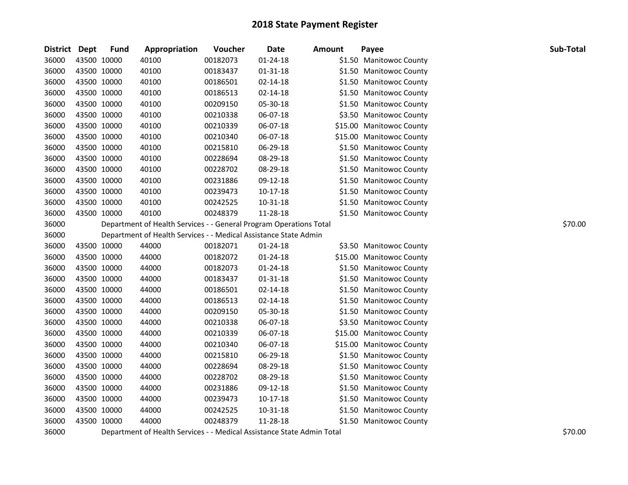| District Dept |             | <b>Fund</b> | Appropriation                                                      | Voucher  | <b>Date</b>    | Amount | Payee                    | Sub-Total |
|---------------|-------------|-------------|--------------------------------------------------------------------|----------|----------------|--------|--------------------------|-----------|
| 36000         | 43500 10000 |             | 40100                                                              | 00182073 | $01 - 24 - 18$ |        | \$1.50 Manitowoc County  |           |
| 36000         | 43500 10000 |             | 40100                                                              | 00183437 | $01 - 31 - 18$ |        | \$1.50 Manitowoc County  |           |
| 36000         | 43500 10000 |             | 40100                                                              | 00186501 | 02-14-18       |        | \$1.50 Manitowoc County  |           |
| 36000         | 43500 10000 |             | 40100                                                              | 00186513 | 02-14-18       |        | \$1.50 Manitowoc County  |           |
| 36000         | 43500 10000 |             | 40100                                                              | 00209150 | 05-30-18       |        | \$1.50 Manitowoc County  |           |
| 36000         | 43500 10000 |             | 40100                                                              | 00210338 | 06-07-18       |        | \$3.50 Manitowoc County  |           |
| 36000         | 43500 10000 |             | 40100                                                              | 00210339 | 06-07-18       |        | \$15.00 Manitowoc County |           |
| 36000         | 43500 10000 |             | 40100                                                              | 00210340 | 06-07-18       |        | \$15.00 Manitowoc County |           |
| 36000         | 43500 10000 |             | 40100                                                              | 00215810 | 06-29-18       |        | \$1.50 Manitowoc County  |           |
| 36000         | 43500 10000 |             | 40100                                                              | 00228694 | 08-29-18       |        | \$1.50 Manitowoc County  |           |
| 36000         | 43500 10000 |             | 40100                                                              | 00228702 | 08-29-18       |        | \$1.50 Manitowoc County  |           |
| 36000         | 43500 10000 |             | 40100                                                              | 00231886 | 09-12-18       |        | \$1.50 Manitowoc County  |           |
| 36000         | 43500 10000 |             | 40100                                                              | 00239473 | $10-17-18$     |        | \$1.50 Manitowoc County  |           |
| 36000         | 43500 10000 |             | 40100                                                              | 00242525 | 10-31-18       |        | \$1.50 Manitowoc County  |           |
| 36000         | 43500 10000 |             | 40100                                                              | 00248379 | 11-28-18       |        | \$1.50 Manitowoc County  |           |
| 36000         |             |             | Department of Health Services - - General Program Operations Total |          |                |        |                          | \$70.00   |
| 36000         |             |             | Department of Health Services - - Medical Assistance State Admin   |          |                |        |                          |           |
| 36000         | 43500 10000 |             | 44000                                                              | 00182071 | 01-24-18       |        | \$3.50 Manitowoc County  |           |
| 36000         | 43500 10000 |             | 44000                                                              | 00182072 | 01-24-18       |        | \$15.00 Manitowoc County |           |
| 36000         | 43500 10000 |             | 44000                                                              | 00182073 | 01-24-18       |        | \$1.50 Manitowoc County  |           |
| 36000         | 43500 10000 |             | 44000                                                              | 00183437 | $01 - 31 - 18$ |        | \$1.50 Manitowoc County  |           |
| 36000         | 43500 10000 |             | 44000                                                              | 00186501 | $02 - 14 - 18$ |        | \$1.50 Manitowoc County  |           |
| 36000         | 43500 10000 |             | 44000                                                              | 00186513 | $02 - 14 - 18$ |        | \$1.50 Manitowoc County  |           |
| 36000         | 43500 10000 |             | 44000                                                              | 00209150 | 05-30-18       |        | \$1.50 Manitowoc County  |           |
| 36000         | 43500 10000 |             | 44000                                                              | 00210338 | 06-07-18       |        | \$3.50 Manitowoc County  |           |
| 36000         | 43500 10000 |             | 44000                                                              | 00210339 | 06-07-18       |        | \$15.00 Manitowoc County |           |
| 36000         | 43500 10000 |             | 44000                                                              | 00210340 | 06-07-18       |        | \$15.00 Manitowoc County |           |
| 36000         | 43500 10000 |             | 44000                                                              | 00215810 | 06-29-18       |        | \$1.50 Manitowoc County  |           |
| 36000         | 43500 10000 |             | 44000                                                              | 00228694 | 08-29-18       |        | \$1.50 Manitowoc County  |           |
| 36000         | 43500 10000 |             | 44000                                                              | 00228702 | 08-29-18       |        | \$1.50 Manitowoc County  |           |
| 36000         | 43500 10000 |             | 44000                                                              | 00231886 | 09-12-18       |        | \$1.50 Manitowoc County  |           |
| 36000         | 43500 10000 |             | 44000                                                              | 00239473 | $10-17-18$     |        | \$1.50 Manitowoc County  |           |
| 36000         | 43500 10000 |             | 44000                                                              | 00242525 | 10-31-18       |        | \$1.50 Manitowoc County  |           |
| 36000         | 43500 10000 |             | 44000                                                              | 00248379 | 11-28-18       |        | \$1.50 Manitowoc County  |           |
|               |             |             |                                                                    |          |                |        |                          |           |

Department of Health Services - - Medical Assistance State Admin Total \$70.00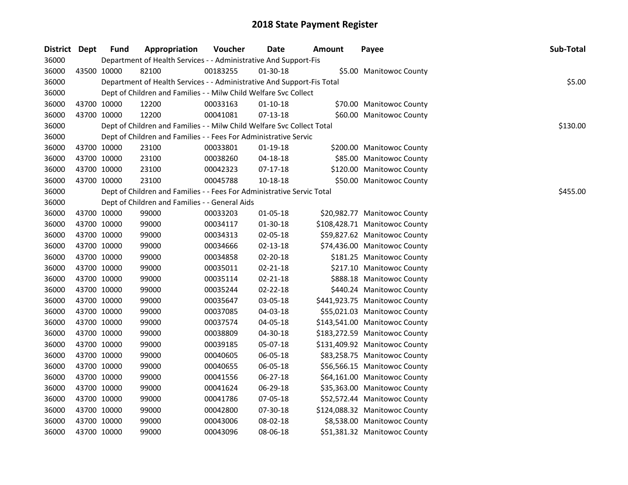| District Dept |             | <b>Fund</b> | Appropriation                                                          | Voucher  | Date           | <b>Amount</b> | Payee                         | Sub-Total |
|---------------|-------------|-------------|------------------------------------------------------------------------|----------|----------------|---------------|-------------------------------|-----------|
| 36000         |             |             | Department of Health Services - - Administrative And Support-Fis       |          |                |               |                               |           |
| 36000         | 43500 10000 |             | 82100                                                                  | 00183255 | 01-30-18       |               | \$5.00 Manitowoc County       |           |
| 36000         |             |             | Department of Health Services - - Administrative And Support-Fis Total |          |                |               |                               | \$5.00    |
| 36000         |             |             | Dept of Children and Families - - Milw Child Welfare Svc Collect       |          |                |               |                               |           |
| 36000         | 43700 10000 |             | 12200                                                                  | 00033163 | 01-10-18       |               | \$70.00 Manitowoc County      |           |
| 36000         |             | 43700 10000 | 12200                                                                  | 00041081 | $07-13-18$     |               | \$60.00 Manitowoc County      |           |
| 36000         |             |             | Dept of Children and Families - - Milw Child Welfare Svc Collect Total |          |                |               |                               | \$130.00  |
| 36000         |             |             | Dept of Children and Families - - Fees For Administrative Servic       |          |                |               |                               |           |
| 36000         | 43700 10000 |             | 23100                                                                  | 00033801 | $01-19-18$     |               | \$200.00 Manitowoc County     |           |
| 36000         | 43700 10000 |             | 23100                                                                  | 00038260 | 04-18-18       |               | \$85.00 Manitowoc County      |           |
| 36000         | 43700 10000 |             | 23100                                                                  | 00042323 | 07-17-18       |               | \$120.00 Manitowoc County     |           |
| 36000         | 43700 10000 |             | 23100                                                                  | 00045788 | 10-18-18       |               | \$50.00 Manitowoc County      |           |
| 36000         |             |             | Dept of Children and Families - - Fees For Administrative Servic Total |          |                |               |                               | \$455.00  |
| 36000         |             |             | Dept of Children and Families - - General Aids                         |          |                |               |                               |           |
| 36000         | 43700 10000 |             | 99000                                                                  | 00033203 | 01-05-18       |               | \$20,982.77 Manitowoc County  |           |
| 36000         | 43700 10000 |             | 99000                                                                  | 00034117 | 01-30-18       |               | \$108,428.71 Manitowoc County |           |
| 36000         | 43700 10000 |             | 99000                                                                  | 00034313 | 02-05-18       |               | \$59,827.62 Manitowoc County  |           |
| 36000         | 43700 10000 |             | 99000                                                                  | 00034666 | $02 - 13 - 18$ |               | \$74,436.00 Manitowoc County  |           |
| 36000         | 43700 10000 |             | 99000                                                                  | 00034858 | 02-20-18       |               | \$181.25 Manitowoc County     |           |
| 36000         |             | 43700 10000 | 99000                                                                  | 00035011 | $02 - 21 - 18$ |               | \$217.10 Manitowoc County     |           |
| 36000         | 43700 10000 |             | 99000                                                                  | 00035114 | $02 - 21 - 18$ |               | \$888.18 Manitowoc County     |           |
| 36000         | 43700 10000 |             | 99000                                                                  | 00035244 | $02 - 22 - 18$ |               | \$440.24 Manitowoc County     |           |
| 36000         | 43700 10000 |             | 99000                                                                  | 00035647 | 03-05-18       |               | \$441,923.75 Manitowoc County |           |
| 36000         | 43700 10000 |             | 99000                                                                  | 00037085 | 04-03-18       |               | \$55,021.03 Manitowoc County  |           |
| 36000         | 43700 10000 |             | 99000                                                                  | 00037574 | 04-05-18       |               | \$143,541.00 Manitowoc County |           |
| 36000         | 43700 10000 |             | 99000                                                                  | 00038809 | 04-30-18       |               | \$183,272.59 Manitowoc County |           |
| 36000         | 43700 10000 |             | 99000                                                                  | 00039185 | 05-07-18       |               | \$131,409.92 Manitowoc County |           |
| 36000         | 43700 10000 |             | 99000                                                                  | 00040605 | 06-05-18       |               | \$83,258.75 Manitowoc County  |           |
| 36000         | 43700 10000 |             | 99000                                                                  | 00040655 | 06-05-18       |               | \$56,566.15 Manitowoc County  |           |
| 36000         | 43700 10000 |             | 99000                                                                  | 00041556 | 06-27-18       |               | \$64,161.00 Manitowoc County  |           |
| 36000         | 43700 10000 |             | 99000                                                                  | 00041624 | 06-29-18       |               | \$35,363.00 Manitowoc County  |           |
| 36000         | 43700 10000 |             | 99000                                                                  | 00041786 | 07-05-18       |               | \$52,572.44 Manitowoc County  |           |
| 36000         | 43700 10000 |             | 99000                                                                  | 00042800 | 07-30-18       |               | \$124,088.32 Manitowoc County |           |
| 36000         |             | 43700 10000 | 99000                                                                  | 00043006 | 08-02-18       |               | \$8,538.00 Manitowoc County   |           |
| 36000         | 43700 10000 |             | 99000                                                                  | 00043096 | 08-06-18       |               | \$51,381.32 Manitowoc County  |           |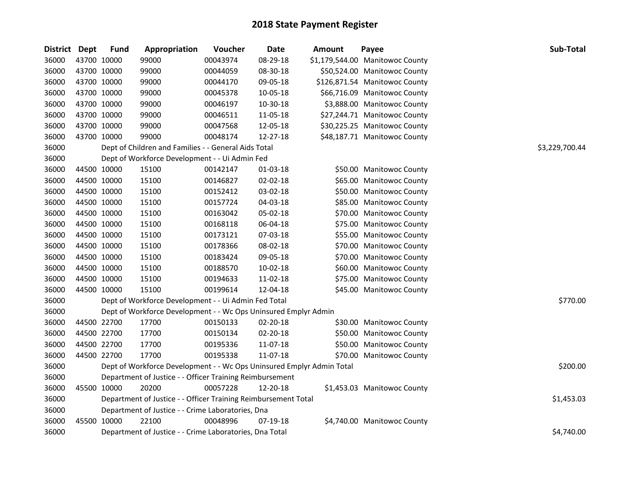| District Dept |             | <b>Fund</b> | Appropriation                                                         | Voucher  | <b>Date</b> | <b>Amount</b> | Payee                           | Sub-Total      |
|---------------|-------------|-------------|-----------------------------------------------------------------------|----------|-------------|---------------|---------------------------------|----------------|
| 36000         | 43700 10000 |             | 99000                                                                 | 00043974 | 08-29-18    |               | \$1,179,544.00 Manitowoc County |                |
| 36000         | 43700 10000 |             | 99000                                                                 | 00044059 | 08-30-18    |               | \$50,524.00 Manitowoc County    |                |
| 36000         | 43700 10000 |             | 99000                                                                 | 00044170 | 09-05-18    |               | \$126,871.54 Manitowoc County   |                |
| 36000         | 43700 10000 |             | 99000                                                                 | 00045378 | 10-05-18    |               | \$66,716.09 Manitowoc County    |                |
| 36000         | 43700 10000 |             | 99000                                                                 | 00046197 | 10-30-18    |               | \$3,888.00 Manitowoc County     |                |
| 36000         | 43700 10000 |             | 99000                                                                 | 00046511 | 11-05-18    |               | \$27,244.71 Manitowoc County    |                |
| 36000         | 43700 10000 |             | 99000                                                                 | 00047568 | 12-05-18    |               | \$30,225.25 Manitowoc County    |                |
| 36000         | 43700 10000 |             | 99000                                                                 | 00048174 | 12-27-18    |               | \$48,187.71 Manitowoc County    |                |
| 36000         |             |             | Dept of Children and Families - - General Aids Total                  |          |             |               |                                 | \$3,229,700.44 |
| 36000         |             |             | Dept of Workforce Development - - Ui Admin Fed                        |          |             |               |                                 |                |
| 36000         |             | 44500 10000 | 15100                                                                 | 00142147 | 01-03-18    |               | \$50.00 Manitowoc County        |                |
| 36000         | 44500 10000 |             | 15100                                                                 | 00146827 | 02-02-18    |               | \$65.00 Manitowoc County        |                |
| 36000         | 44500 10000 |             | 15100                                                                 | 00152412 | 03-02-18    |               | \$50.00 Manitowoc County        |                |
| 36000         | 44500 10000 |             | 15100                                                                 | 00157724 | 04-03-18    |               | \$85.00 Manitowoc County        |                |
| 36000         | 44500 10000 |             | 15100                                                                 | 00163042 | 05-02-18    |               | \$70.00 Manitowoc County        |                |
| 36000         | 44500 10000 |             | 15100                                                                 | 00168118 | 06-04-18    |               | \$75.00 Manitowoc County        |                |
| 36000         | 44500 10000 |             | 15100                                                                 | 00173121 | 07-03-18    |               | \$55.00 Manitowoc County        |                |
| 36000         | 44500 10000 |             | 15100                                                                 | 00178366 | 08-02-18    |               | \$70.00 Manitowoc County        |                |
| 36000         | 44500 10000 |             | 15100                                                                 | 00183424 | 09-05-18    |               | \$70.00 Manitowoc County        |                |
| 36000         | 44500 10000 |             | 15100                                                                 | 00188570 | 10-02-18    |               | \$60.00 Manitowoc County        |                |
| 36000         | 44500 10000 |             | 15100                                                                 | 00194633 | 11-02-18    |               | \$75.00 Manitowoc County        |                |
| 36000         | 44500 10000 |             | 15100                                                                 | 00199614 | 12-04-18    |               | \$45.00 Manitowoc County        |                |
| 36000         |             |             | Dept of Workforce Development - - Ui Admin Fed Total                  |          |             |               |                                 | \$770.00       |
| 36000         |             |             | Dept of Workforce Development - - Wc Ops Uninsured Emplyr Admin       |          |             |               |                                 |                |
| 36000         | 44500 22700 |             | 17700                                                                 | 00150133 | 02-20-18    |               | \$30.00 Manitowoc County        |                |
| 36000         | 44500 22700 |             | 17700                                                                 | 00150134 | 02-20-18    |               | \$50.00 Manitowoc County        |                |
| 36000         | 44500 22700 |             | 17700                                                                 | 00195336 | 11-07-18    |               | \$50.00 Manitowoc County        |                |
| 36000         | 44500 22700 |             | 17700                                                                 | 00195338 | 11-07-18    |               | \$70.00 Manitowoc County        |                |
| 36000         |             |             | Dept of Workforce Development - - Wc Ops Uninsured Emplyr Admin Total |          |             |               |                                 | \$200.00       |
| 36000         |             |             | Department of Justice - - Officer Training Reimbursement              |          |             |               |                                 |                |
| 36000         | 45500 10000 |             | 20200                                                                 | 00057228 | 12-20-18    |               | \$1,453.03 Manitowoc County     |                |
| 36000         |             |             | Department of Justice - - Officer Training Reimbursement Total        |          |             |               |                                 | \$1,453.03     |
| 36000         |             |             | Department of Justice - - Crime Laboratories, Dna                     |          |             |               |                                 |                |
| 36000         | 45500 10000 |             | 22100                                                                 | 00048996 | 07-19-18    |               | \$4,740.00 Manitowoc County     |                |
| 36000         |             |             | Department of Justice - - Crime Laboratories, Dna Total               |          |             |               |                                 | \$4,740.00     |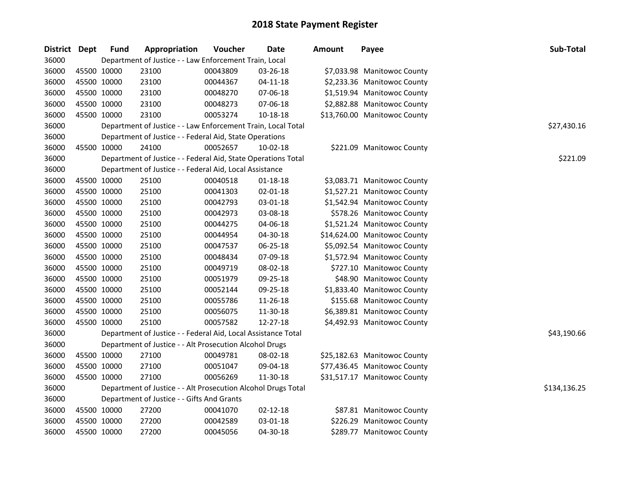| District Dept |             | <b>Fund</b>                                | Appropriation                                                 | Voucher  | <b>Date</b>    | <b>Amount</b> | Payee                        | Sub-Total    |
|---------------|-------------|--------------------------------------------|---------------------------------------------------------------|----------|----------------|---------------|------------------------------|--------------|
| 36000         |             |                                            | Department of Justice - - Law Enforcement Train, Local        |          |                |               |                              |              |
| 36000         | 45500 10000 |                                            | 23100                                                         | 00043809 | 03-26-18       |               | \$7,033.98 Manitowoc County  |              |
| 36000         | 45500 10000 |                                            | 23100                                                         | 00044367 | $04 - 11 - 18$ |               | \$2,233.36 Manitowoc County  |              |
| 36000         |             | 45500 10000                                | 23100                                                         | 00048270 | 07-06-18       |               | \$1,519.94 Manitowoc County  |              |
| 36000         | 45500 10000 |                                            | 23100                                                         | 00048273 | 07-06-18       |               | \$2,882.88 Manitowoc County  |              |
| 36000         | 45500 10000 |                                            | 23100                                                         | 00053274 | 10-18-18       |               | \$13,760.00 Manitowoc County |              |
| 36000         |             |                                            | Department of Justice - - Law Enforcement Train, Local Total  |          |                |               |                              | \$27,430.16  |
| 36000         |             |                                            | Department of Justice - - Federal Aid, State Operations       |          |                |               |                              |              |
| 36000         |             | 45500 10000                                | 24100                                                         | 00052657 | 10-02-18       |               | \$221.09 Manitowoc County    |              |
| 36000         |             |                                            | Department of Justice - - Federal Aid, State Operations Total |          |                |               |                              | \$221.09     |
| 36000         |             |                                            | Department of Justice - - Federal Aid, Local Assistance       |          |                |               |                              |              |
| 36000         |             | 45500 10000                                | 25100                                                         | 00040518 | $01 - 18 - 18$ |               | \$3,083.71 Manitowoc County  |              |
| 36000         | 45500 10000 |                                            | 25100                                                         | 00041303 | 02-01-18       |               | \$1,527.21 Manitowoc County  |              |
| 36000         | 45500 10000 |                                            | 25100                                                         | 00042793 | 03-01-18       |               | \$1,542.94 Manitowoc County  |              |
| 36000         | 45500 10000 |                                            | 25100                                                         | 00042973 | 03-08-18       |               | \$578.26 Manitowoc County    |              |
| 36000         | 45500 10000 |                                            | 25100                                                         | 00044275 | 04-06-18       |               | \$1,521.24 Manitowoc County  |              |
| 36000         |             | 45500 10000                                | 25100                                                         | 00044954 | 04-30-18       |               | \$14,624.00 Manitowoc County |              |
| 36000         |             | 45500 10000                                | 25100                                                         | 00047537 | 06-25-18       |               | \$5,092.54 Manitowoc County  |              |
| 36000         |             | 45500 10000                                | 25100                                                         | 00048434 | 07-09-18       |               | \$1,572.94 Manitowoc County  |              |
| 36000         | 45500 10000 |                                            | 25100                                                         | 00049719 | 08-02-18       |               | \$727.10 Manitowoc County    |              |
| 36000         | 45500 10000 |                                            | 25100                                                         | 00051979 | 09-25-18       |               | \$48.90 Manitowoc County     |              |
| 36000         | 45500 10000 |                                            | 25100                                                         | 00052144 | 09-25-18       |               | \$1,833.40 Manitowoc County  |              |
| 36000         | 45500 10000 |                                            | 25100                                                         | 00055786 | 11-26-18       |               | \$155.68 Manitowoc County    |              |
| 36000         | 45500 10000 |                                            | 25100                                                         | 00056075 | 11-30-18       |               | \$6,389.81 Manitowoc County  |              |
| 36000         | 45500 10000 |                                            | 25100                                                         | 00057582 | 12-27-18       |               | \$4,492.93 Manitowoc County  |              |
| 36000         |             |                                            | Department of Justice - - Federal Aid, Local Assistance Total |          |                |               |                              | \$43,190.66  |
| 36000         |             |                                            | Department of Justice - - Alt Prosecution Alcohol Drugs       |          |                |               |                              |              |
| 36000         |             | 45500 10000                                | 27100                                                         | 00049781 | 08-02-18       |               | \$25,182.63 Manitowoc County |              |
| 36000         |             | 45500 10000                                | 27100                                                         | 00051047 | 09-04-18       |               | \$77,436.45 Manitowoc County |              |
| 36000         | 45500 10000 |                                            | 27100                                                         | 00056269 | 11-30-18       |               | \$31,517.17 Manitowoc County |              |
| 36000         |             |                                            | Department of Justice - - Alt Prosecution Alcohol Drugs Total |          |                |               |                              | \$134,136.25 |
| 36000         |             | Department of Justice - - Gifts And Grants |                                                               |          |                |               |                              |              |
| 36000         |             | 45500 10000                                | 27200                                                         | 00041070 | 02-12-18       |               | \$87.81 Manitowoc County     |              |
| 36000         | 45500 10000 |                                            | 27200                                                         | 00042589 | 03-01-18       |               | \$226.29 Manitowoc County    |              |
| 36000         | 45500 10000 |                                            | 27200                                                         | 00045056 | 04-30-18       |               | \$289.77 Manitowoc County    |              |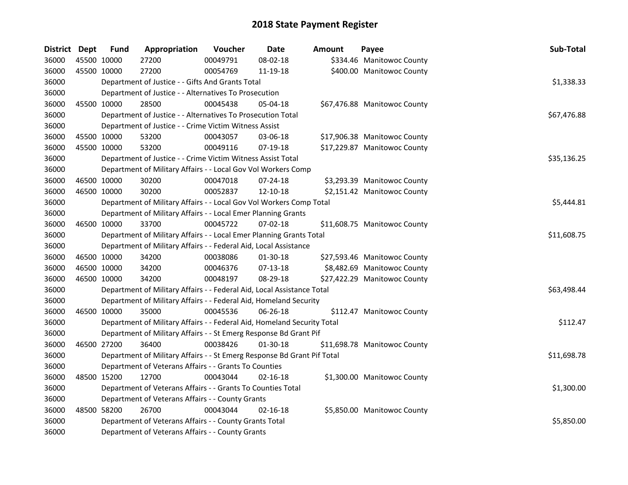| District Dept |             | <b>Fund</b> | Appropriation                                                           | Voucher  | Date           | Amount | Payee                        | Sub-Total   |  |  |  |
|---------------|-------------|-------------|-------------------------------------------------------------------------|----------|----------------|--------|------------------------------|-------------|--|--|--|
| 36000         | 45500 10000 |             | 27200                                                                   | 00049791 | 08-02-18       |        | \$334.46 Manitowoc County    |             |  |  |  |
| 36000         | 45500 10000 |             | 27200                                                                   | 00054769 | 11-19-18       |        | \$400.00 Manitowoc County    |             |  |  |  |
| 36000         |             |             | Department of Justice - - Gifts And Grants Total                        |          |                |        |                              | \$1,338.33  |  |  |  |
| 36000         |             |             | Department of Justice - - Alternatives To Prosecution                   |          |                |        |                              |             |  |  |  |
| 36000         | 45500 10000 |             | 28500                                                                   | 00045438 | 05-04-18       |        | \$67,476.88 Manitowoc County |             |  |  |  |
| 36000         |             |             | Department of Justice - - Alternatives To Prosecution Total             |          |                |        |                              | \$67,476.88 |  |  |  |
| 36000         |             |             | Department of Justice - - Crime Victim Witness Assist                   |          |                |        |                              |             |  |  |  |
| 36000         | 45500 10000 |             | 53200                                                                   | 00043057 | 03-06-18       |        | \$17,906.38 Manitowoc County |             |  |  |  |
| 36000         | 45500 10000 |             | 53200                                                                   | 00049116 | 07-19-18       |        | \$17,229.87 Manitowoc County |             |  |  |  |
| 36000         |             |             | Department of Justice - - Crime Victim Witness Assist Total             |          |                |        |                              | \$35,136.25 |  |  |  |
| 36000         |             |             | Department of Military Affairs - - Local Gov Vol Workers Comp           |          |                |        |                              |             |  |  |  |
| 36000         |             | 46500 10000 | 30200                                                                   | 00047018 | 07-24-18       |        | \$3,293.39 Manitowoc County  |             |  |  |  |
| 36000         | 46500 10000 |             | 30200                                                                   | 00052837 | 12-10-18       |        | \$2,151.42 Manitowoc County  |             |  |  |  |
| 36000         |             |             | Department of Military Affairs - - Local Gov Vol Workers Comp Total     |          |                |        |                              | \$5,444.81  |  |  |  |
| 36000         |             |             | Department of Military Affairs - - Local Emer Planning Grants           |          |                |        |                              |             |  |  |  |
| 36000         | 46500 10000 |             | 33700                                                                   | 00045722 | 07-02-18       |        | \$11,608.75 Manitowoc County |             |  |  |  |
| 36000         |             |             | Department of Military Affairs - - Local Emer Planning Grants Total     |          |                |        |                              | \$11,608.75 |  |  |  |
| 36000         |             |             | Department of Military Affairs - - Federal Aid, Local Assistance        |          |                |        |                              |             |  |  |  |
| 36000         | 46500 10000 |             | 34200                                                                   | 00038086 | 01-30-18       |        | \$27,593.46 Manitowoc County |             |  |  |  |
| 36000         | 46500 10000 |             | 34200                                                                   | 00046376 | 07-13-18       |        | \$8,482.69 Manitowoc County  |             |  |  |  |
| 36000         | 46500 10000 |             | 34200                                                                   | 00048197 | 08-29-18       |        | \$27,422.29 Manitowoc County |             |  |  |  |
| 36000         |             |             | Department of Military Affairs - - Federal Aid, Local Assistance Total  |          |                |        |                              | \$63,498.44 |  |  |  |
| 36000         |             |             | Department of Military Affairs - - Federal Aid, Homeland Security       |          |                |        |                              |             |  |  |  |
| 36000         | 46500 10000 |             | 35000                                                                   | 00045536 | 06-26-18       |        | \$112.47 Manitowoc County    |             |  |  |  |
| 36000         |             |             | Department of Military Affairs - - Federal Aid, Homeland Security Total |          |                |        |                              | \$112.47    |  |  |  |
| 36000         |             |             | Department of Military Affairs - - St Emerg Response Bd Grant Pif       |          |                |        |                              |             |  |  |  |
| 36000         | 46500 27200 |             | 36400                                                                   | 00038426 | 01-30-18       |        | \$11,698.78 Manitowoc County |             |  |  |  |
| 36000         |             |             | Department of Military Affairs - - St Emerg Response Bd Grant Pif Total |          |                |        |                              | \$11,698.78 |  |  |  |
| 36000         |             |             | Department of Veterans Affairs - - Grants To Counties                   |          |                |        |                              |             |  |  |  |
| 36000         | 48500 15200 |             | 12700                                                                   | 00043044 | $02 - 16 - 18$ |        | \$1,300.00 Manitowoc County  |             |  |  |  |
| 36000         |             |             | Department of Veterans Affairs - - Grants To Counties Total             |          |                |        |                              | \$1,300.00  |  |  |  |
| 36000         |             |             | Department of Veterans Affairs - - County Grants                        |          |                |        |                              |             |  |  |  |
| 36000         | 48500 58200 |             | 26700                                                                   | 00043044 | $02 - 16 - 18$ |        | \$5,850.00 Manitowoc County  |             |  |  |  |
| 36000         |             |             | Department of Veterans Affairs - - County Grants Total                  |          |                |        |                              | \$5,850.00  |  |  |  |
| 36000         |             |             | Department of Veterans Affairs - - County Grants                        |          |                |        |                              |             |  |  |  |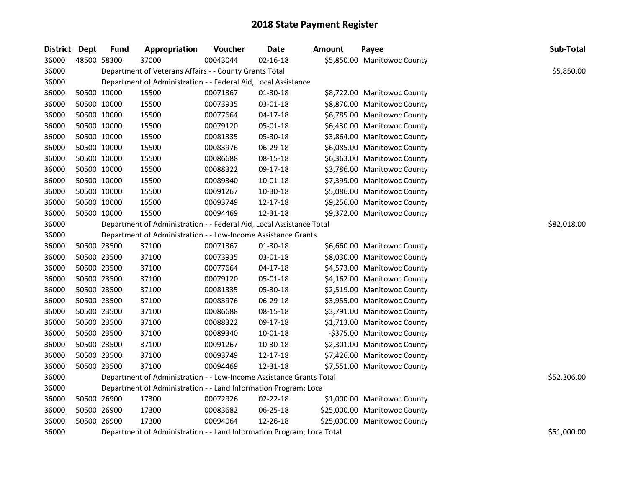| District Dept | <b>Fund</b> | Appropriation                                                         | Voucher     | <b>Date</b>    | <b>Amount</b> | Payee                        | Sub-Total   |
|---------------|-------------|-----------------------------------------------------------------------|-------------|----------------|---------------|------------------------------|-------------|
| 36000         | 48500 58300 | 37000                                                                 | 00043044    | $02 - 16 - 18$ |               | \$5,850.00 Manitowoc County  |             |
| 36000         |             | Department of Veterans Affairs - - County Grants Total                |             |                |               |                              | \$5,850.00  |
| 36000         |             | Department of Administration - - Federal Aid, Local Assistance        |             |                |               |                              |             |
| 36000         | 50500 10000 | 15500                                                                 | 00071367    | 01-30-18       |               | \$8,722.00 Manitowoc County  |             |
| 36000         | 50500 10000 | 15500                                                                 | 00073935    | 03-01-18       |               | \$8,870.00 Manitowoc County  |             |
| 36000         | 50500 10000 | 15500                                                                 | 00077664    | $04 - 17 - 18$ |               | \$6,785.00 Manitowoc County  |             |
| 36000         | 50500 10000 | 15500                                                                 | 00079120    | 05-01-18       |               | \$6,430.00 Manitowoc County  |             |
| 36000         | 50500 10000 | 15500                                                                 | 00081335    | 05-30-18       |               | \$3,864.00 Manitowoc County  |             |
| 36000         | 50500 10000 | 15500                                                                 | 00083976    | 06-29-18       |               | \$6,085.00 Manitowoc County  |             |
| 36000         | 50500 10000 | 15500                                                                 | 00086688    | 08-15-18       |               | \$6,363.00 Manitowoc County  |             |
| 36000         | 50500 10000 | 15500                                                                 | 00088322    | 09-17-18       |               | \$3,786.00 Manitowoc County  |             |
| 36000         | 50500 10000 | 15500                                                                 | 00089340    | 10-01-18       |               | \$7,399.00 Manitowoc County  |             |
| 36000         | 50500 10000 | 15500                                                                 | 00091267    | 10-30-18       |               | \$5,086.00 Manitowoc County  |             |
| 36000         | 50500 10000 | 15500                                                                 | 00093749    | 12-17-18       |               | \$9,256.00 Manitowoc County  |             |
| 36000         | 50500 10000 | 15500                                                                 | 00094469    | 12-31-18       |               | \$9,372.00 Manitowoc County  |             |
| 36000         |             | Department of Administration - - Federal Aid, Local Assistance Total  | \$82,018.00 |                |               |                              |             |
| 36000         |             | Department of Administration - - Low-Income Assistance Grants         |             |                |               |                              |             |
| 36000         | 50500 23500 | 37100                                                                 | 00071367    | 01-30-18       |               | \$6,660.00 Manitowoc County  |             |
| 36000         | 50500 23500 | 37100                                                                 | 00073935    | 03-01-18       |               | \$8,030.00 Manitowoc County  |             |
| 36000         | 50500 23500 | 37100                                                                 | 00077664    | $04 - 17 - 18$ |               | \$4,573.00 Manitowoc County  |             |
| 36000         | 50500 23500 | 37100                                                                 | 00079120    | 05-01-18       |               | \$4,162.00 Manitowoc County  |             |
| 36000         | 50500 23500 | 37100                                                                 | 00081335    | 05-30-18       |               | \$2,519.00 Manitowoc County  |             |
| 36000         | 50500 23500 | 37100                                                                 | 00083976    | 06-29-18       |               | \$3,955.00 Manitowoc County  |             |
| 36000         | 50500 23500 | 37100                                                                 | 00086688    | 08-15-18       |               | \$3,791.00 Manitowoc County  |             |
| 36000         | 50500 23500 | 37100                                                                 | 00088322    | 09-17-18       |               | \$1,713.00 Manitowoc County  |             |
| 36000         | 50500 23500 | 37100                                                                 | 00089340    | 10-01-18       |               | -\$375.00 Manitowoc County   |             |
| 36000         | 50500 23500 | 37100                                                                 | 00091267    | 10-30-18       |               | \$2,301.00 Manitowoc County  |             |
| 36000         | 50500 23500 | 37100                                                                 | 00093749    | 12-17-18       |               | \$7,426.00 Manitowoc County  |             |
| 36000         | 50500 23500 | 37100                                                                 | 00094469    | 12-31-18       |               | \$7,551.00 Manitowoc County  |             |
| 36000         |             | Department of Administration - - Low-Income Assistance Grants Total   |             |                |               |                              | \$52,306.00 |
| 36000         |             | Department of Administration - - Land Information Program; Loca       |             |                |               |                              |             |
| 36000         | 50500 26900 | 17300                                                                 | 00072926    | 02-22-18       |               | \$1,000.00 Manitowoc County  |             |
| 36000         | 50500 26900 | 17300                                                                 | 00083682    | 06-25-18       |               | \$25,000.00 Manitowoc County |             |
| 36000         | 50500 26900 | 17300                                                                 | 00094064    | 12-26-18       |               | \$25,000.00 Manitowoc County |             |
| 36000         |             | Department of Administration - - Land Information Program; Loca Total |             |                |               |                              | \$51,000.00 |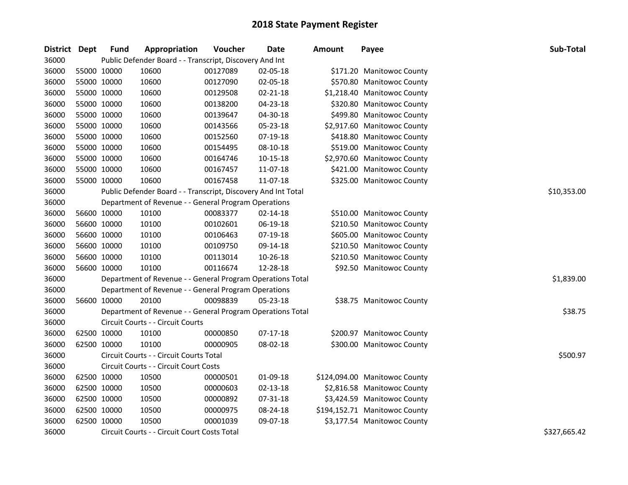| District | <b>Dept</b> | <b>Fund</b> | Appropriation                                                 | Voucher  | Date       | <b>Amount</b> | Payee                         | Sub-Total    |
|----------|-------------|-------------|---------------------------------------------------------------|----------|------------|---------------|-------------------------------|--------------|
| 36000    |             |             | Public Defender Board - - Transcript, Discovery And Int       |          |            |               |                               |              |
| 36000    | 55000 10000 |             | 10600                                                         | 00127089 | 02-05-18   |               | \$171.20 Manitowoc County     |              |
| 36000    | 55000 10000 |             | 10600                                                         | 00127090 | 02-05-18   |               | \$570.80 Manitowoc County     |              |
| 36000    | 55000 10000 |             | 10600                                                         | 00129508 | 02-21-18   |               | \$1,218.40 Manitowoc County   |              |
| 36000    | 55000 10000 |             | 10600                                                         | 00138200 | 04-23-18   |               | \$320.80 Manitowoc County     |              |
| 36000    | 55000 10000 |             | 10600                                                         | 00139647 | 04-30-18   |               | \$499.80 Manitowoc County     |              |
| 36000    | 55000 10000 |             | 10600                                                         | 00143566 | 05-23-18   |               | \$2,917.60 Manitowoc County   |              |
| 36000    | 55000 10000 |             | 10600                                                         | 00152560 | 07-19-18   |               | \$418.80 Manitowoc County     |              |
| 36000    | 55000 10000 |             | 10600                                                         | 00154495 | 08-10-18   |               | \$519.00 Manitowoc County     |              |
| 36000    | 55000 10000 |             | 10600                                                         | 00164746 | 10-15-18   |               | \$2,970.60 Manitowoc County   |              |
| 36000    | 55000 10000 |             | 10600                                                         | 00167457 | 11-07-18   |               | \$421.00 Manitowoc County     |              |
| 36000    | 55000 10000 |             | 10600                                                         | 00167458 | 11-07-18   |               | \$325.00 Manitowoc County     |              |
| 36000    |             |             | Public Defender Board - - Transcript, Discovery And Int Total |          |            |               |                               | \$10,353.00  |
| 36000    |             |             | Department of Revenue - - General Program Operations          |          |            |               |                               |              |
| 36000    | 56600 10000 |             | 10100                                                         | 00083377 | 02-14-18   |               | \$510.00 Manitowoc County     |              |
| 36000    | 56600 10000 |             | 10100                                                         | 00102601 | 06-19-18   |               | \$210.50 Manitowoc County     |              |
| 36000    | 56600 10000 |             | 10100                                                         | 00106463 | 07-19-18   |               | \$605.00 Manitowoc County     |              |
| 36000    | 56600 10000 |             | 10100                                                         | 00109750 | 09-14-18   |               | \$210.50 Manitowoc County     |              |
| 36000    | 56600 10000 |             | 10100                                                         | 00113014 | 10-26-18   |               | \$210.50 Manitowoc County     |              |
| 36000    | 56600 10000 |             | 10100                                                         | 00116674 | 12-28-18   |               | \$92.50 Manitowoc County      |              |
| 36000    |             |             | Department of Revenue - - General Program Operations Total    |          |            |               |                               | \$1,839.00   |
| 36000    |             |             | Department of Revenue - - General Program Operations          |          |            |               |                               |              |
| 36000    | 56600 10000 |             | 20100                                                         | 00098839 | 05-23-18   |               | \$38.75 Manitowoc County      |              |
| 36000    |             |             | Department of Revenue - - General Program Operations Total    |          |            |               |                               | \$38.75      |
| 36000    |             |             | Circuit Courts - - Circuit Courts                             |          |            |               |                               |              |
| 36000    | 62500 10000 |             | 10100                                                         | 00000850 | $07-17-18$ |               | \$200.97 Manitowoc County     |              |
| 36000    | 62500 10000 |             | 10100                                                         | 00000905 | 08-02-18   |               | \$300.00 Manitowoc County     |              |
| 36000    |             |             | Circuit Courts - - Circuit Courts Total                       |          |            |               |                               | \$500.97     |
| 36000    |             |             | Circuit Courts - - Circuit Court Costs                        |          |            |               |                               |              |
| 36000    | 62500 10000 |             | 10500                                                         | 00000501 | 01-09-18   |               | \$124,094.00 Manitowoc County |              |
| 36000    | 62500 10000 |             | 10500                                                         | 00000603 | 02-13-18   |               | \$2,816.58 Manitowoc County   |              |
| 36000    | 62500 10000 |             | 10500                                                         | 00000892 | 07-31-18   |               | \$3,424.59 Manitowoc County   |              |
| 36000    | 62500 10000 |             | 10500                                                         | 00000975 | 08-24-18   |               | \$194,152.71 Manitowoc County |              |
| 36000    | 62500 10000 |             | 10500                                                         | 00001039 | 09-07-18   |               | \$3,177.54 Manitowoc County   |              |
| 36000    |             |             | Circuit Courts - - Circuit Court Costs Total                  |          |            |               |                               | \$327,665.42 |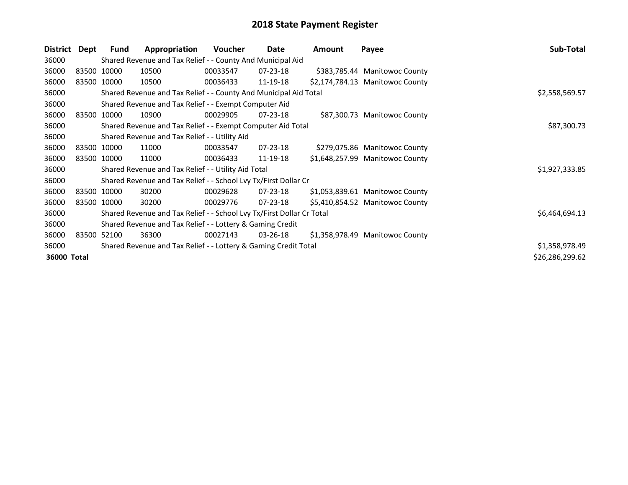| District    | Dept | Fund        | Appropriation                                                         | <b>Voucher</b> | Date           | <b>Amount</b> | Payee                           | Sub-Total       |
|-------------|------|-------------|-----------------------------------------------------------------------|----------------|----------------|---------------|---------------------------------|-----------------|
| 36000       |      |             | Shared Revenue and Tax Relief - - County And Municipal Aid            |                |                |               |                                 |                 |
| 36000       |      | 83500 10000 | 10500                                                                 | 00033547       | $07 - 23 - 18$ |               | \$383,785.44 Manitowoc County   |                 |
| 36000       |      | 83500 10000 | 10500                                                                 | 00036433       | 11-19-18       |               | \$2,174,784.13 Manitowoc County |                 |
| 36000       |      |             | Shared Revenue and Tax Relief - - County And Municipal Aid Total      |                |                |               |                                 | \$2,558,569.57  |
| 36000       |      |             | Shared Revenue and Tax Relief - - Exempt Computer Aid                 |                |                |               |                                 |                 |
| 36000       |      | 83500 10000 | 10900                                                                 | 00029905       | $07 - 23 - 18$ |               | \$87,300.73 Manitowoc County    |                 |
| 36000       |      |             | Shared Revenue and Tax Relief - - Exempt Computer Aid Total           | \$87,300.73    |                |               |                                 |                 |
| 36000       |      |             | Shared Revenue and Tax Relief - - Utility Aid                         |                |                |               |                                 |                 |
| 36000       |      | 83500 10000 | 11000                                                                 | 00033547       | 07-23-18       |               | \$279,075.86 Manitowoc County   |                 |
| 36000       |      | 83500 10000 | 11000                                                                 | 00036433       | 11-19-18       |               | \$1,648,257.99 Manitowoc County |                 |
| 36000       |      |             | Shared Revenue and Tax Relief - - Utility Aid Total                   |                |                |               |                                 | \$1,927,333.85  |
| 36000       |      |             | Shared Revenue and Tax Relief - - School Lvy Tx/First Dollar Cr       |                |                |               |                                 |                 |
| 36000       |      | 83500 10000 | 30200                                                                 | 00029628       | $07 - 23 - 18$ |               | \$1,053,839.61 Manitowoc County |                 |
| 36000       |      | 83500 10000 | 30200                                                                 | 00029776       | 07-23-18       |               | \$5,410,854.52 Manitowoc County |                 |
| 36000       |      |             | Shared Revenue and Tax Relief - - School Lvy Tx/First Dollar Cr Total |                |                |               |                                 | \$6,464,694.13  |
| 36000       |      |             | Shared Revenue and Tax Relief - - Lottery & Gaming Credit             |                |                |               |                                 |                 |
| 36000       |      | 83500 52100 | 36300                                                                 | 00027143       | 03-26-18       |               | \$1,358,978.49 Manitowoc County |                 |
| 36000       |      |             | Shared Revenue and Tax Relief - - Lottery & Gaming Credit Total       |                |                |               |                                 | \$1,358,978.49  |
| 36000 Total |      |             |                                                                       |                |                |               |                                 | \$26,286,299.62 |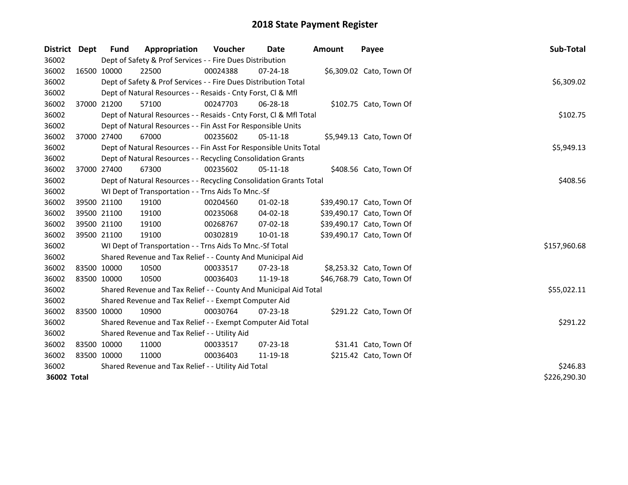| District    | Dept | <b>Fund</b> | Appropriation                                                      | Voucher    | Date           | <b>Amount</b> | Payee                     | Sub-Total    |
|-------------|------|-------------|--------------------------------------------------------------------|------------|----------------|---------------|---------------------------|--------------|
| 36002       |      |             | Dept of Safety & Prof Services - - Fire Dues Distribution          |            |                |               |                           |              |
| 36002       |      | 16500 10000 | 22500                                                              | 00024388   | $07 - 24 - 18$ |               | \$6,309.02 Cato, Town Of  |              |
| 36002       |      |             | Dept of Safety & Prof Services - - Fire Dues Distribution Total    |            |                |               |                           | \$6,309.02   |
| 36002       |      |             | Dept of Natural Resources - - Resaids - Cnty Forst, Cl & Mfl       |            |                |               |                           |              |
| 36002       |      | 37000 21200 | 57100                                                              | 00247703   | 06-28-18       |               | \$102.75 Cato, Town Of    |              |
| 36002       |      |             | Dept of Natural Resources - - Resaids - Cnty Forst, Cl & Mfl Total |            |                |               |                           | \$102.75     |
| 36002       |      |             | Dept of Natural Resources - - Fin Asst For Responsible Units       |            |                |               |                           |              |
| 36002       |      | 37000 27400 | 67000                                                              | 00235602   | $05-11-18$     |               | \$5,949.13 Cato, Town Of  |              |
| 36002       |      |             | Dept of Natural Resources - - Fin Asst For Responsible Units Total | \$5,949.13 |                |               |                           |              |
| 36002       |      |             | Dept of Natural Resources - - Recycling Consolidation Grants       |            |                |               |                           |              |
| 36002       |      | 37000 27400 | 67300                                                              | 00235602   | 05-11-18       |               | \$408.56 Cato, Town Of    |              |
| 36002       |      |             | Dept of Natural Resources - - Recycling Consolidation Grants Total |            |                |               |                           | \$408.56     |
| 36002       |      |             | WI Dept of Transportation - - Trns Aids To Mnc.-Sf                 |            |                |               |                           |              |
| 36002       |      | 39500 21100 | 19100                                                              | 00204560   | 01-02-18       |               | \$39,490.17 Cato, Town Of |              |
| 36002       |      | 39500 21100 | 19100                                                              | 00235068   | 04-02-18       |               | \$39,490.17 Cato, Town Of |              |
| 36002       |      | 39500 21100 | 19100                                                              | 00268767   | 07-02-18       |               | \$39,490.17 Cato, Town Of |              |
| 36002       |      | 39500 21100 | 19100                                                              | 00302819   | $10 - 01 - 18$ |               | \$39,490.17 Cato, Town Of |              |
| 36002       |      |             | WI Dept of Transportation - - Trns Aids To Mnc.-Sf Total           |            |                |               |                           | \$157,960.68 |
| 36002       |      |             | Shared Revenue and Tax Relief - - County And Municipal Aid         |            |                |               |                           |              |
| 36002       |      | 83500 10000 | 10500                                                              | 00033517   | $07 - 23 - 18$ |               | \$8,253.32 Cato, Town Of  |              |
| 36002       |      | 83500 10000 | 10500                                                              | 00036403   | 11-19-18       |               | \$46,768.79 Cato, Town Of |              |
| 36002       |      |             | Shared Revenue and Tax Relief - - County And Municipal Aid Total   |            |                |               |                           | \$55,022.11  |
| 36002       |      |             | Shared Revenue and Tax Relief - - Exempt Computer Aid              |            |                |               |                           |              |
| 36002       |      | 83500 10000 | 10900                                                              | 00030764   | $07 - 23 - 18$ |               | \$291.22 Cato, Town Of    |              |
| 36002       |      |             | Shared Revenue and Tax Relief - - Exempt Computer Aid Total        | \$291.22   |                |               |                           |              |
| 36002       |      |             | Shared Revenue and Tax Relief - - Utility Aid                      |            |                |               |                           |              |
| 36002       |      | 83500 10000 | 11000                                                              | 00033517   | $07 - 23 - 18$ |               | \$31.41 Cato, Town Of     |              |
| 36002       |      | 83500 10000 | 11000                                                              | 00036403   | 11-19-18       |               | \$215.42 Cato, Town Of    |              |
| 36002       |      |             | Shared Revenue and Tax Relief - - Utility Aid Total                |            |                |               |                           | \$246.83     |
| 36002 Total |      |             |                                                                    |            |                |               |                           | \$226,290.30 |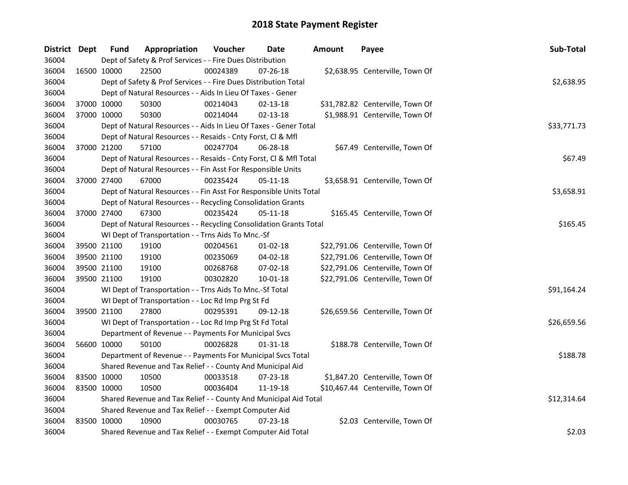| District Dept |             | <b>Fund</b> | Appropriation                                                      | Voucher  | <b>Date</b>    | <b>Amount</b> | Payee                            | Sub-Total   |
|---------------|-------------|-------------|--------------------------------------------------------------------|----------|----------------|---------------|----------------------------------|-------------|
| 36004         |             |             | Dept of Safety & Prof Services - - Fire Dues Distribution          |          |                |               |                                  |             |
| 36004         | 16500 10000 |             | 22500                                                              | 00024389 | 07-26-18       |               | \$2,638.95 Centerville, Town Of  |             |
| 36004         |             |             | Dept of Safety & Prof Services - - Fire Dues Distribution Total    |          |                |               |                                  | \$2,638.95  |
| 36004         |             |             | Dept of Natural Resources - - Aids In Lieu Of Taxes - Gener        |          |                |               |                                  |             |
| 36004         | 37000 10000 |             | 50300                                                              | 00214043 | $02 - 13 - 18$ |               | \$31,782.82 Centerville, Town Of |             |
| 36004         | 37000 10000 |             | 50300                                                              | 00214044 | $02 - 13 - 18$ |               | \$1,988.91 Centerville, Town Of  |             |
| 36004         |             |             | Dept of Natural Resources - - Aids In Lieu Of Taxes - Gener Total  |          |                |               |                                  | \$33,771.73 |
| 36004         |             |             | Dept of Natural Resources - - Resaids - Cnty Forst, Cl & Mfl       |          |                |               |                                  |             |
| 36004         |             | 37000 21200 | 57100                                                              | 00247704 | 06-28-18       |               | \$67.49 Centerville, Town Of     |             |
| 36004         |             |             | Dept of Natural Resources - - Resaids - Cnty Forst, Cl & Mfl Total |          |                |               |                                  | \$67.49     |
| 36004         |             |             | Dept of Natural Resources - - Fin Asst For Responsible Units       |          |                |               |                                  |             |
| 36004         | 37000 27400 |             | 67000                                                              | 00235424 | $05 - 11 - 18$ |               | \$3,658.91 Centerville, Town Of  |             |
| 36004         |             |             | Dept of Natural Resources - - Fin Asst For Responsible Units Total |          |                |               |                                  | \$3,658.91  |
| 36004         |             |             | Dept of Natural Resources - - Recycling Consolidation Grants       |          |                |               |                                  |             |
| 36004         | 37000 27400 |             | 67300                                                              | 00235424 | $05 - 11 - 18$ |               | \$165.45 Centerville, Town Of    |             |
| 36004         |             |             | Dept of Natural Resources - - Recycling Consolidation Grants Total | \$165.45 |                |               |                                  |             |
| 36004         |             |             | WI Dept of Transportation - - Trns Aids To Mnc.-Sf                 |          |                |               |                                  |             |
| 36004         | 39500 21100 |             | 19100                                                              | 00204561 | $01 - 02 - 18$ |               | \$22,791.06 Centerville, Town Of |             |
| 36004         |             | 39500 21100 | 19100                                                              | 00235069 | 04-02-18       |               | \$22,791.06 Centerville, Town Of |             |
| 36004         | 39500 21100 |             | 19100                                                              | 00268768 | 07-02-18       |               | \$22,791.06 Centerville, Town Of |             |
| 36004         | 39500 21100 |             | 19100                                                              | 00302820 | 10-01-18       |               | \$22,791.06 Centerville, Town Of |             |
| 36004         |             |             | WI Dept of Transportation - - Trns Aids To Mnc.-Sf Total           |          |                |               |                                  | \$91,164.24 |
| 36004         |             |             | WI Dept of Transportation - - Loc Rd Imp Prg St Fd                 |          |                |               |                                  |             |
| 36004         | 39500 21100 |             | 27800                                                              | 00295391 | 09-12-18       |               | \$26,659.56 Centerville, Town Of |             |
| 36004         |             |             | WI Dept of Transportation - - Loc Rd Imp Prg St Fd Total           |          |                |               |                                  | \$26,659.56 |
| 36004         |             |             | Department of Revenue - - Payments For Municipal Svcs              |          |                |               |                                  |             |
| 36004         | 56600 10000 |             | 50100                                                              | 00026828 | 01-31-18       |               | \$188.78 Centerville, Town Of    |             |
| 36004         |             |             | Department of Revenue - - Payments For Municipal Svcs Total        |          |                |               |                                  | \$188.78    |
| 36004         |             |             | Shared Revenue and Tax Relief - - County And Municipal Aid         |          |                |               |                                  |             |
| 36004         | 83500 10000 |             | 10500                                                              | 00033518 | 07-23-18       |               | \$1,847.20 Centerville, Town Of  |             |
| 36004         | 83500 10000 |             | 10500                                                              | 00036404 | 11-19-18       |               | \$10,467.44 Centerville, Town Of |             |
| 36004         |             |             | Shared Revenue and Tax Relief - - County And Municipal Aid Total   |          |                |               |                                  | \$12,314.64 |
| 36004         |             |             | Shared Revenue and Tax Relief - - Exempt Computer Aid              |          |                |               |                                  |             |
| 36004         | 83500 10000 |             | 10900                                                              | 00030765 | $07 - 23 - 18$ |               | \$2.03 Centerville, Town Of      |             |
| 36004         |             |             | Shared Revenue and Tax Relief - - Exempt Computer Aid Total        |          |                |               |                                  | \$2.03      |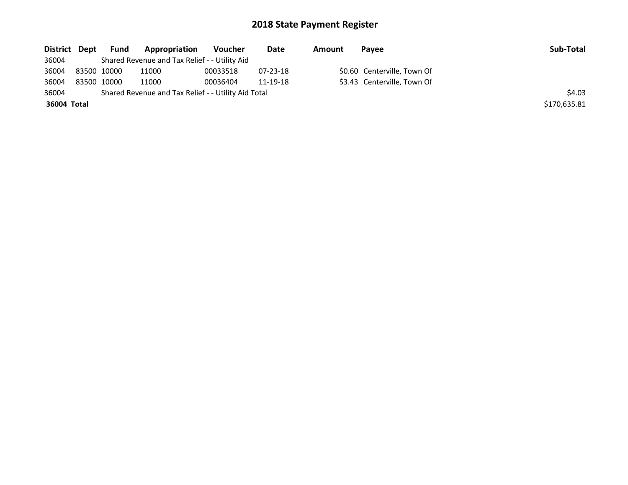| District Dept |             | <b>Fund</b> | Appropriation                                       | Voucher  | Date           | Amount | Pavee                       | Sub-Total    |
|---------------|-------------|-------------|-----------------------------------------------------|----------|----------------|--------|-----------------------------|--------------|
| 36004         |             |             | Shared Revenue and Tax Relief - - Utility Aid       |          |                |        |                             |              |
| 36004         | 83500 10000 |             | 11000                                               | 00033518 | $07 - 23 - 18$ |        | \$0.60 Centerville, Town Of |              |
| 36004         | 83500 10000 |             | 11000                                               | 00036404 | 11-19-18       |        | \$3.43 Centerville, Town Of |              |
| 36004         |             |             | Shared Revenue and Tax Relief - - Utility Aid Total |          |                |        |                             | \$4.03       |
| 36004 Total   |             |             |                                                     |          |                |        |                             | \$170,635.81 |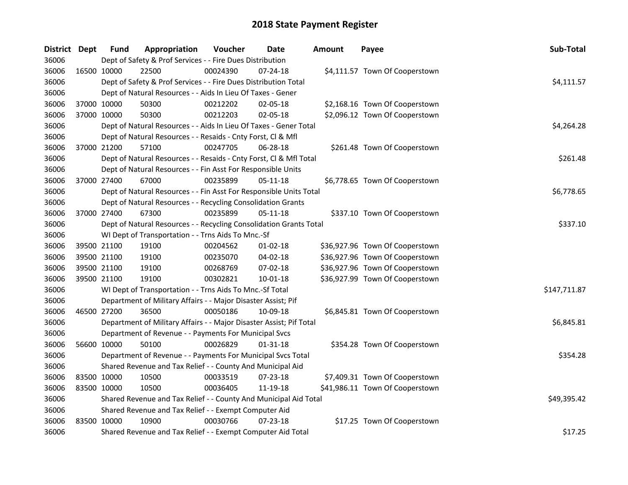| <b>District</b> | Dept        | <b>Fund</b> | Appropriation                                                       | Voucher  | <b>Date</b>    | <b>Amount</b> | Payee                           | Sub-Total    |
|-----------------|-------------|-------------|---------------------------------------------------------------------|----------|----------------|---------------|---------------------------------|--------------|
| 36006           |             |             | Dept of Safety & Prof Services - - Fire Dues Distribution           |          |                |               |                                 |              |
| 36006           | 16500 10000 |             | 22500                                                               | 00024390 | $07 - 24 - 18$ |               | \$4,111.57 Town Of Cooperstown  |              |
| 36006           |             |             | Dept of Safety & Prof Services - - Fire Dues Distribution Total     |          |                |               |                                 | \$4,111.57   |
| 36006           |             |             | Dept of Natural Resources - - Aids In Lieu Of Taxes - Gener         |          |                |               |                                 |              |
| 36006           | 37000 10000 |             | 50300                                                               | 00212202 | 02-05-18       |               | \$2,168.16 Town Of Cooperstown  |              |
| 36006           | 37000 10000 |             | 50300                                                               | 00212203 | 02-05-18       |               | \$2,096.12 Town Of Cooperstown  |              |
| 36006           |             |             | Dept of Natural Resources - - Aids In Lieu Of Taxes - Gener Total   |          |                |               |                                 | \$4,264.28   |
| 36006           |             |             | Dept of Natural Resources - - Resaids - Cnty Forst, Cl & Mfl        |          |                |               |                                 |              |
| 36006           | 37000 21200 |             | 57100                                                               | 00247705 | 06-28-18       |               | \$261.48 Town Of Cooperstown    |              |
| 36006           |             |             | Dept of Natural Resources - - Resaids - Cnty Forst, CI & Mfl Total  |          |                |               |                                 | \$261.48     |
| 36006           |             |             | Dept of Natural Resources - - Fin Asst For Responsible Units        |          |                |               |                                 |              |
| 36006           | 37000 27400 |             | 67000                                                               | 00235899 | 05-11-18       |               | \$6,778.65 Town Of Cooperstown  |              |
| 36006           |             |             | Dept of Natural Resources - - Fin Asst For Responsible Units Total  |          |                |               |                                 | \$6,778.65   |
| 36006           |             |             | Dept of Natural Resources - - Recycling Consolidation Grants        |          |                |               |                                 |              |
| 36006           | 37000 27400 |             | 67300                                                               | 00235899 | $05 - 11 - 18$ |               | \$337.10 Town Of Cooperstown    |              |
| 36006           |             |             | Dept of Natural Resources - - Recycling Consolidation Grants Total  | \$337.10 |                |               |                                 |              |
| 36006           |             |             | WI Dept of Transportation - - Trns Aids To Mnc.-Sf                  |          |                |               |                                 |              |
| 36006           | 39500 21100 |             | 19100                                                               | 00204562 | $01 - 02 - 18$ |               | \$36,927.96 Town Of Cooperstown |              |
| 36006           | 39500 21100 |             | 19100                                                               | 00235070 | 04-02-18       |               | \$36,927.96 Town Of Cooperstown |              |
| 36006           | 39500 21100 |             | 19100                                                               | 00268769 | 07-02-18       |               | \$36,927.96 Town Of Cooperstown |              |
| 36006           | 39500 21100 |             | 19100                                                               | 00302821 | 10-01-18       |               | \$36,927.99 Town Of Cooperstown |              |
| 36006           |             |             | WI Dept of Transportation - - Trns Aids To Mnc.-Sf Total            |          |                |               |                                 | \$147,711.87 |
| 36006           |             |             | Department of Military Affairs - - Major Disaster Assist; Pif       |          |                |               |                                 |              |
| 36006           | 46500 27200 |             | 36500                                                               | 00050186 | 10-09-18       |               | \$6,845.81 Town Of Cooperstown  |              |
| 36006           |             |             | Department of Military Affairs - - Major Disaster Assist; Pif Total |          |                |               |                                 | \$6,845.81   |
| 36006           |             |             | Department of Revenue - - Payments For Municipal Svcs               |          |                |               |                                 |              |
| 36006           | 56600 10000 |             | 50100                                                               | 00026829 | 01-31-18       |               | \$354.28 Town Of Cooperstown    |              |
| 36006           |             |             | Department of Revenue - - Payments For Municipal Svcs Total         |          |                |               |                                 | \$354.28     |
| 36006           |             |             | Shared Revenue and Tax Relief - - County And Municipal Aid          |          |                |               |                                 |              |
| 36006           | 83500 10000 |             | 10500                                                               | 00033519 | 07-23-18       |               | \$7,409.31 Town Of Cooperstown  |              |
| 36006           | 83500 10000 |             | 10500                                                               | 00036405 | 11-19-18       |               | \$41,986.11 Town Of Cooperstown |              |
| 36006           |             |             | Shared Revenue and Tax Relief - - County And Municipal Aid Total    |          |                |               |                                 | \$49,395.42  |
| 36006           |             |             | Shared Revenue and Tax Relief - - Exempt Computer Aid               |          |                |               |                                 |              |
| 36006           | 83500 10000 |             | 10900                                                               | 00030766 | $07 - 23 - 18$ |               | \$17.25 Town Of Cooperstown     |              |
| 36006           |             |             | Shared Revenue and Tax Relief - - Exempt Computer Aid Total         |          |                |               |                                 | \$17.25      |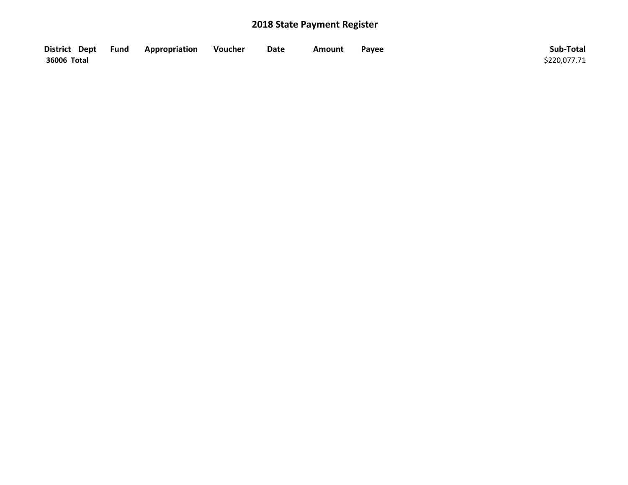| District Dept Fund | Appropriation | Voucher | Date | Amount | Payee | Sub-Total    |
|--------------------|---------------|---------|------|--------|-------|--------------|
| 36006 Total        |               |         |      |        |       | \$220,077.71 |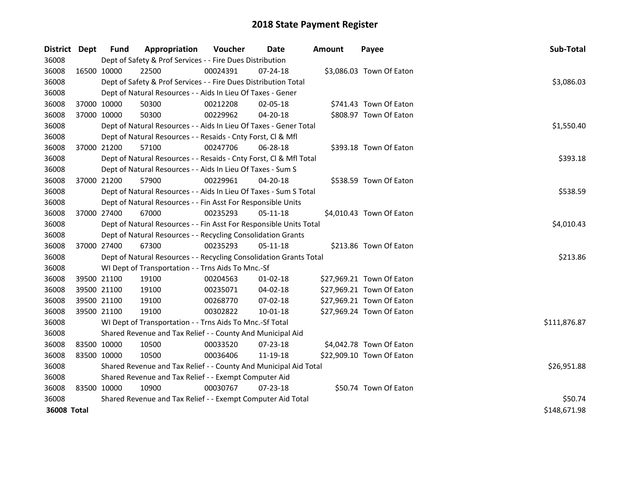| <b>District</b>    | Dept        | <b>Fund</b>                                                        | Appropriation                                                      | Voucher  | <b>Date</b>    | <b>Amount</b> | Payee                     | Sub-Total    |  |
|--------------------|-------------|--------------------------------------------------------------------|--------------------------------------------------------------------|----------|----------------|---------------|---------------------------|--------------|--|
| 36008              |             |                                                                    | Dept of Safety & Prof Services - - Fire Dues Distribution          |          |                |               |                           |              |  |
| 36008              |             | 16500 10000                                                        | 22500                                                              | 00024391 | $07 - 24 - 18$ |               | \$3,086.03 Town Of Eaton  |              |  |
| 36008              |             |                                                                    | Dept of Safety & Prof Services - - Fire Dues Distribution Total    |          |                |               |                           | \$3,086.03   |  |
| 36008              |             |                                                                    | Dept of Natural Resources - - Aids In Lieu Of Taxes - Gener        |          |                |               |                           |              |  |
| 36008              |             | 37000 10000                                                        | 50300                                                              | 00212208 | 02-05-18       |               | \$741.43 Town Of Eaton    |              |  |
| 36008              |             | 37000 10000                                                        | 50300                                                              | 00229962 | 04-20-18       |               | \$808.97 Town Of Eaton    |              |  |
| 36008              |             |                                                                    | Dept of Natural Resources - - Aids In Lieu Of Taxes - Gener Total  |          |                |               |                           | \$1,550.40   |  |
| 36008              |             |                                                                    | Dept of Natural Resources - - Resaids - Cnty Forst, Cl & Mfl       |          |                |               |                           |              |  |
| 36008              |             | 37000 21200                                                        | 57100                                                              | 00247706 | 06-28-18       |               | \$393.18 Town Of Eaton    |              |  |
| 36008              |             |                                                                    | Dept of Natural Resources - - Resaids - Cnty Forst, Cl & Mfl Total |          |                |               |                           | \$393.18     |  |
| 36008              |             |                                                                    | Dept of Natural Resources - - Aids In Lieu Of Taxes - Sum S        |          |                |               |                           |              |  |
| 36008              |             | 37000 21200                                                        | 57900                                                              | 00229961 | 04-20-18       |               | \$538.59 Town Of Eaton    |              |  |
| 36008              |             |                                                                    | Dept of Natural Resources - - Aids In Lieu Of Taxes - Sum S Total  |          |                |               |                           | \$538.59     |  |
| 36008              |             | Dept of Natural Resources - - Fin Asst For Responsible Units       |                                                                    |          |                |               |                           |              |  |
| 36008              |             | 37000 27400                                                        | 67000                                                              | 00235293 | 05-11-18       |               | \$4,010.43 Town Of Eaton  |              |  |
| 36008              |             | Dept of Natural Resources - - Fin Asst For Responsible Units Total | \$4,010.43                                                         |          |                |               |                           |              |  |
| 36008              |             |                                                                    | Dept of Natural Resources - - Recycling Consolidation Grants       |          |                |               |                           |              |  |
| 36008              |             | 37000 27400                                                        | 67300                                                              | 00235293 | 05-11-18       |               | \$213.86 Town Of Eaton    |              |  |
| 36008              |             |                                                                    | Dept of Natural Resources - - Recycling Consolidation Grants Total |          |                |               |                           | \$213.86     |  |
| 36008              |             |                                                                    | WI Dept of Transportation - - Trns Aids To Mnc.-Sf                 |          |                |               |                           |              |  |
| 36008              |             | 39500 21100                                                        | 19100                                                              | 00204563 | $01 - 02 - 18$ |               | \$27,969.21 Town Of Eaton |              |  |
| 36008              |             | 39500 21100                                                        | 19100                                                              | 00235071 | 04-02-18       |               | \$27,969.21 Town Of Eaton |              |  |
| 36008              |             | 39500 21100                                                        | 19100                                                              | 00268770 | 07-02-18       |               | \$27,969.21 Town Of Eaton |              |  |
| 36008              | 39500 21100 |                                                                    | 19100                                                              | 00302822 | 10-01-18       |               | \$27,969.24 Town Of Eaton |              |  |
| 36008              |             |                                                                    | WI Dept of Transportation - - Trns Aids To Mnc.-Sf Total           |          |                |               |                           | \$111,876.87 |  |
| 36008              |             |                                                                    | Shared Revenue and Tax Relief - - County And Municipal Aid         |          |                |               |                           |              |  |
| 36008              | 83500 10000 |                                                                    | 10500                                                              | 00033520 | 07-23-18       |               | \$4,042.78 Town Of Eaton  |              |  |
| 36008              | 83500 10000 |                                                                    | 10500                                                              | 00036406 | 11-19-18       |               | \$22,909.10 Town Of Eaton |              |  |
| 36008              |             | Shared Revenue and Tax Relief - - County And Municipal Aid Total   |                                                                    |          |                |               |                           |              |  |
| 36008              |             |                                                                    | Shared Revenue and Tax Relief - - Exempt Computer Aid              |          |                |               |                           |              |  |
| 36008              | 83500 10000 |                                                                    | 10900                                                              | 00030767 | $07 - 23 - 18$ |               | \$50.74 Town Of Eaton     |              |  |
| 36008              |             |                                                                    | Shared Revenue and Tax Relief - - Exempt Computer Aid Total        |          |                |               |                           | \$50.74      |  |
| <b>36008 Total</b> |             |                                                                    |                                                                    |          |                |               |                           | \$148,671.98 |  |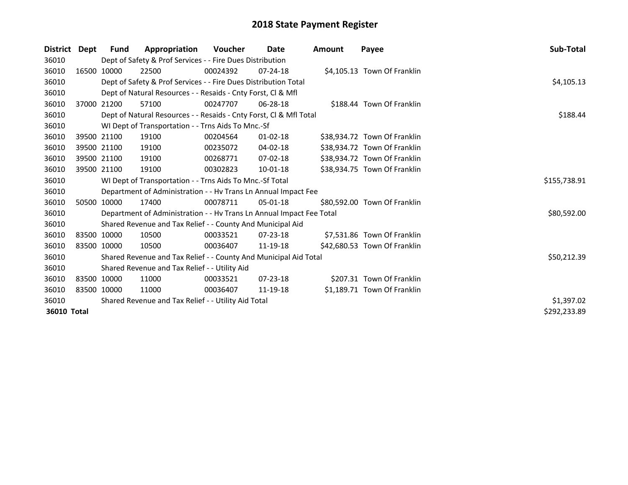| <b>District</b> | Dept | Fund        | Appropriation                                                        | Voucher    | Date           | <b>Amount</b> | Payee                        | Sub-Total    |
|-----------------|------|-------------|----------------------------------------------------------------------|------------|----------------|---------------|------------------------------|--------------|
| 36010           |      |             | Dept of Safety & Prof Services - - Fire Dues Distribution            |            |                |               |                              |              |
| 36010           |      | 16500 10000 | 22500                                                                | 00024392   | $07 - 24 - 18$ |               | \$4,105.13 Town Of Franklin  |              |
| 36010           |      |             | Dept of Safety & Prof Services - - Fire Dues Distribution Total      | \$4,105.13 |                |               |                              |              |
| 36010           |      |             | Dept of Natural Resources - - Resaids - Cnty Forst, Cl & Mfl         |            |                |               |                              |              |
| 36010           |      | 37000 21200 | 57100                                                                | 00247707   | $06 - 28 - 18$ |               | \$188.44 Town Of Franklin    |              |
| 36010           |      |             | Dept of Natural Resources - - Resaids - Cnty Forst, Cl & Mfl Total   | \$188.44   |                |               |                              |              |
| 36010           |      |             | WI Dept of Transportation - - Trns Aids To Mnc.-Sf                   |            |                |               |                              |              |
| 36010           |      | 39500 21100 | 19100                                                                | 00204564   | $01 - 02 - 18$ |               | \$38,934.72 Town Of Franklin |              |
| 36010           |      | 39500 21100 | 19100                                                                | 00235072   | 04-02-18       |               | \$38,934.72 Town Of Franklin |              |
| 36010           |      | 39500 21100 | 19100                                                                | 00268771   | 07-02-18       |               | \$38,934.72 Town Of Franklin |              |
| 36010           |      | 39500 21100 | 19100                                                                | 00302823   | 10-01-18       |               | \$38,934.75 Town Of Franklin |              |
| 36010           |      |             | WI Dept of Transportation - - Trns Aids To Mnc.-Sf Total             |            |                |               |                              | \$155,738.91 |
| 36010           |      |             | Department of Administration - - Hv Trans Ln Annual Impact Fee       |            |                |               |                              |              |
| 36010           |      | 50500 10000 | 17400                                                                | 00078711   | $05-01-18$     |               | \$80,592.00 Town Of Franklin |              |
| 36010           |      |             | Department of Administration - - Hv Trans Ln Annual Impact Fee Total |            |                |               |                              | \$80,592.00  |
| 36010           |      |             | Shared Revenue and Tax Relief - - County And Municipal Aid           |            |                |               |                              |              |
| 36010           |      | 83500 10000 | 10500                                                                | 00033521   | 07-23-18       |               | \$7,531.86 Town Of Franklin  |              |
| 36010           |      | 83500 10000 | 10500                                                                | 00036407   | 11-19-18       |               | \$42,680.53 Town Of Franklin |              |
| 36010           |      |             | Shared Revenue and Tax Relief - - County And Municipal Aid Total     |            |                |               |                              | \$50,212.39  |
| 36010           |      |             | Shared Revenue and Tax Relief - - Utility Aid                        |            |                |               |                              |              |
| 36010           |      | 83500 10000 | 11000                                                                | 00033521   | $07 - 23 - 18$ |               | \$207.31 Town Of Franklin    |              |
| 36010           |      | 83500 10000 | 11000                                                                | 00036407   | 11-19-18       |               | \$1,189.71 Town Of Franklin  |              |
| 36010           |      |             | Shared Revenue and Tax Relief - - Utility Aid Total                  | \$1,397.02 |                |               |                              |              |
| 36010 Total     |      |             |                                                                      |            |                |               |                              | \$292,233.89 |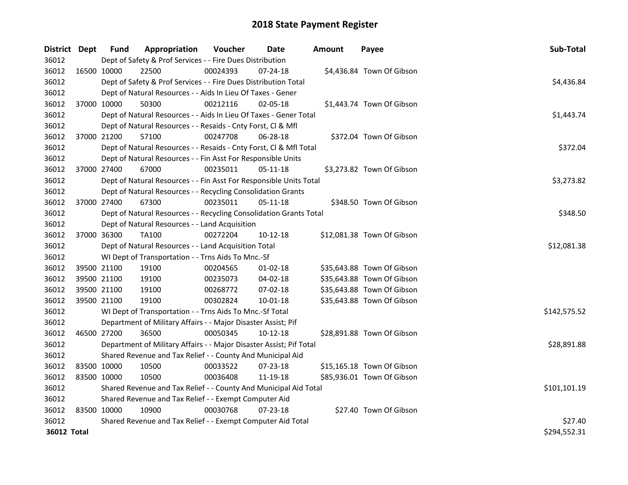| District Dept | <b>Fund</b> | Appropriation                                                       | Voucher     | Date           | <b>Amount</b> | Payee                      | Sub-Total    |
|---------------|-------------|---------------------------------------------------------------------|-------------|----------------|---------------|----------------------------|--------------|
| 36012         |             | Dept of Safety & Prof Services - - Fire Dues Distribution           |             |                |               |                            |              |
| 36012         | 16500 10000 | 22500                                                               | 00024393    | 07-24-18       |               | \$4,436.84 Town Of Gibson  |              |
| 36012         |             | Dept of Safety & Prof Services - - Fire Dues Distribution Total     |             |                |               |                            | \$4,436.84   |
| 36012         |             | Dept of Natural Resources - - Aids In Lieu Of Taxes - Gener         |             |                |               |                            |              |
| 36012         | 37000 10000 | 50300                                                               | 00212116    | 02-05-18       |               | \$1,443.74 Town Of Gibson  |              |
| 36012         |             | Dept of Natural Resources - - Aids In Lieu Of Taxes - Gener Total   |             |                |               |                            | \$1,443.74   |
| 36012         |             | Dept of Natural Resources - - Resaids - Cnty Forst, Cl & Mfl        |             |                |               |                            |              |
| 36012         | 37000 21200 | 57100                                                               | 00247708    | 06-28-18       |               | \$372.04 Town Of Gibson    |              |
| 36012         |             | Dept of Natural Resources - - Resaids - Cnty Forst, Cl & Mfl Total  |             |                |               |                            | \$372.04     |
| 36012         |             | Dept of Natural Resources - - Fin Asst For Responsible Units        |             |                |               |                            |              |
| 36012         | 37000 27400 | 67000                                                               | 00235011    | $05 - 11 - 18$ |               | \$3,273.82 Town Of Gibson  |              |
| 36012         |             | Dept of Natural Resources - - Fin Asst For Responsible Units Total  |             |                |               |                            | \$3,273.82   |
| 36012         |             | Dept of Natural Resources - - Recycling Consolidation Grants        |             |                |               |                            |              |
| 36012         | 37000 27400 | 67300                                                               | 00235011    | 05-11-18       |               | \$348.50 Town Of Gibson    |              |
| 36012         |             | Dept of Natural Resources - - Recycling Consolidation Grants Total  |             |                |               |                            | \$348.50     |
| 36012         |             | Dept of Natural Resources - - Land Acquisition                      |             |                |               |                            |              |
| 36012         | 37000 36300 | <b>TA100</b>                                                        | 00272204    | 10-12-18       |               | \$12,081.38 Town Of Gibson |              |
| 36012         |             | Dept of Natural Resources - - Land Acquisition Total                | \$12,081.38 |                |               |                            |              |
| 36012         |             | WI Dept of Transportation - - Trns Aids To Mnc.-Sf                  |             |                |               |                            |              |
| 36012         | 39500 21100 | 19100                                                               | 00204565    | $01-02-18$     |               | \$35,643.88 Town Of Gibson |              |
| 36012         | 39500 21100 | 19100                                                               | 00235073    | 04-02-18       |               | \$35,643.88 Town Of Gibson |              |
| 36012         | 39500 21100 | 19100                                                               | 00268772    | 07-02-18       |               | \$35,643.88 Town Of Gibson |              |
| 36012         | 39500 21100 | 19100                                                               | 00302824    | $10 - 01 - 18$ |               | \$35,643.88 Town Of Gibson |              |
| 36012         |             | WI Dept of Transportation - - Trns Aids To Mnc.-Sf Total            |             |                |               |                            | \$142,575.52 |
| 36012         |             | Department of Military Affairs - - Major Disaster Assist; Pif       |             |                |               |                            |              |
| 36012         | 46500 27200 | 36500                                                               | 00050345    | 10-12-18       |               | \$28,891.88 Town Of Gibson |              |
| 36012         |             | Department of Military Affairs - - Major Disaster Assist; Pif Total |             |                |               |                            | \$28,891.88  |
| 36012         |             | Shared Revenue and Tax Relief - - County And Municipal Aid          |             |                |               |                            |              |
| 36012         | 83500 10000 | 10500                                                               | 00033522    | 07-23-18       |               | \$15,165.18 Town Of Gibson |              |
| 36012         | 83500 10000 | 10500                                                               | 00036408    | 11-19-18       |               | \$85,936.01 Town Of Gibson |              |
| 36012         |             | Shared Revenue and Tax Relief - - County And Municipal Aid Total    |             |                |               |                            | \$101,101.19 |
| 36012         |             | Shared Revenue and Tax Relief - - Exempt Computer Aid               |             |                |               |                            |              |
| 36012         | 83500 10000 | 10900                                                               | 00030768    | 07-23-18       |               | \$27.40 Town Of Gibson     |              |
| 36012         |             | Shared Revenue and Tax Relief - - Exempt Computer Aid Total         |             |                |               |                            | \$27.40      |
| 36012 Total   |             |                                                                     |             |                |               |                            | \$294,552.31 |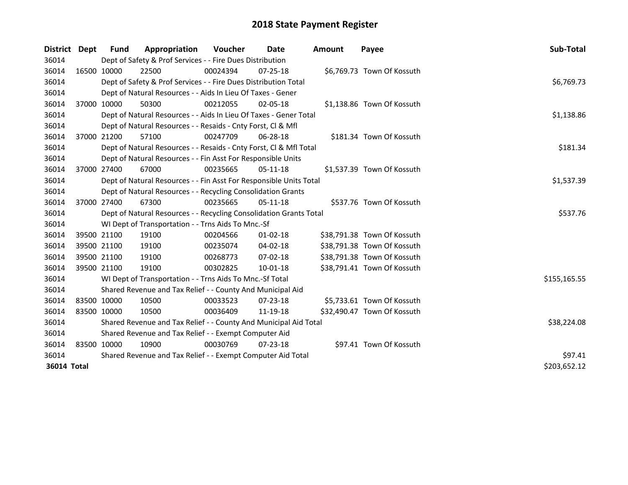| <b>District</b> | <b>Dept</b> | <b>Fund</b> | Appropriation                                                      | Voucher  | Date           | <b>Amount</b> | Payee                       | Sub-Total    |
|-----------------|-------------|-------------|--------------------------------------------------------------------|----------|----------------|---------------|-----------------------------|--------------|
| 36014           |             |             | Dept of Safety & Prof Services - - Fire Dues Distribution          |          |                |               |                             |              |
| 36014           | 16500 10000 |             | 22500                                                              | 00024394 | $07 - 25 - 18$ |               | \$6,769.73 Town Of Kossuth  |              |
| 36014           |             |             | Dept of Safety & Prof Services - - Fire Dues Distribution Total    |          |                |               |                             | \$6,769.73   |
| 36014           |             |             | Dept of Natural Resources - - Aids In Lieu Of Taxes - Gener        |          |                |               |                             |              |
| 36014           |             | 37000 10000 | 50300                                                              | 00212055 | $02 - 05 - 18$ |               | \$1,138.86 Town Of Kossuth  |              |
| 36014           |             |             | Dept of Natural Resources - - Aids In Lieu Of Taxes - Gener Total  |          |                |               |                             | \$1,138.86   |
| 36014           |             |             | Dept of Natural Resources - - Resaids - Cnty Forst, Cl & Mfl       |          |                |               |                             |              |
| 36014           | 37000 21200 |             | 57100                                                              | 00247709 | 06-28-18       |               | \$181.34 Town Of Kossuth    |              |
| 36014           |             |             | Dept of Natural Resources - - Resaids - Cnty Forst, Cl & Mfl Total |          |                |               |                             | \$181.34     |
| 36014           |             |             | Dept of Natural Resources - - Fin Asst For Responsible Units       |          |                |               |                             |              |
| 36014           |             | 37000 27400 | 67000                                                              | 00235665 | $05 - 11 - 18$ |               | \$1,537.39 Town Of Kossuth  |              |
| 36014           |             |             | Dept of Natural Resources - - Fin Asst For Responsible Units Total |          |                |               |                             | \$1,537.39   |
| 36014           |             |             | Dept of Natural Resources - - Recycling Consolidation Grants       |          |                |               |                             |              |
| 36014           | 37000 27400 |             | 67300                                                              | 00235665 | $05-11-18$     |               | \$537.76 Town Of Kossuth    |              |
| 36014           |             |             | Dept of Natural Resources - - Recycling Consolidation Grants Total | \$537.76 |                |               |                             |              |
| 36014           |             |             | WI Dept of Transportation - - Trns Aids To Mnc.-Sf                 |          |                |               |                             |              |
| 36014           |             | 39500 21100 | 19100                                                              | 00204566 | $01 - 02 - 18$ |               | \$38,791.38 Town Of Kossuth |              |
| 36014           | 39500 21100 |             | 19100                                                              | 00235074 | 04-02-18       |               | \$38,791.38 Town Of Kossuth |              |
| 36014           | 39500 21100 |             | 19100                                                              | 00268773 | $07 - 02 - 18$ |               | \$38,791.38 Town Of Kossuth |              |
| 36014           | 39500 21100 |             | 19100                                                              | 00302825 | $10 - 01 - 18$ |               | \$38,791.41 Town Of Kossuth |              |
| 36014           |             |             | WI Dept of Transportation - - Trns Aids To Mnc.-Sf Total           |          |                |               |                             | \$155,165.55 |
| 36014           |             |             | Shared Revenue and Tax Relief - - County And Municipal Aid         |          |                |               |                             |              |
| 36014           | 83500 10000 |             | 10500                                                              | 00033523 | $07 - 23 - 18$ |               | \$5,733.61 Town Of Kossuth  |              |
| 36014           | 83500 10000 |             | 10500                                                              | 00036409 | 11-19-18       |               | \$32,490.47 Town Of Kossuth |              |
| 36014           |             |             | Shared Revenue and Tax Relief - - County And Municipal Aid Total   |          |                |               |                             | \$38,224.08  |
| 36014           |             |             | Shared Revenue and Tax Relief - - Exempt Computer Aid              |          |                |               |                             |              |
| 36014           | 83500 10000 |             | 10900                                                              | 00030769 | $07 - 23 - 18$ |               | \$97.41 Town Of Kossuth     |              |
| 36014           |             |             | Shared Revenue and Tax Relief - - Exempt Computer Aid Total        |          |                |               |                             | \$97.41      |
| 36014 Total     |             |             |                                                                    |          |                |               |                             | \$203,652.12 |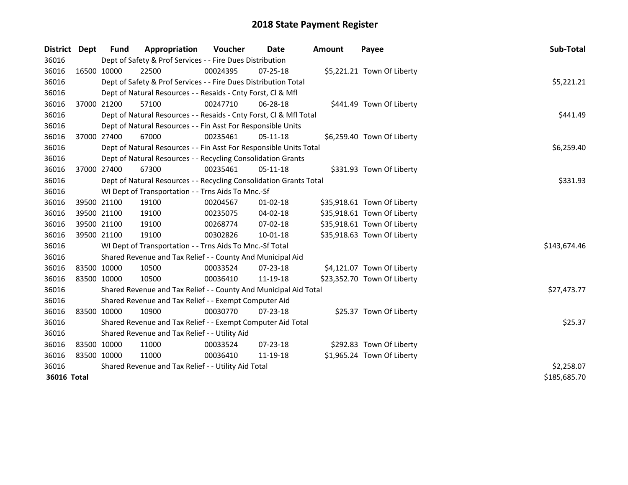| <b>District</b> | Dept         | <b>Fund</b> | Appropriation                                                      | <b>Voucher</b> | Date           | <b>Amount</b> | Payee                       | Sub-Total    |
|-----------------|--------------|-------------|--------------------------------------------------------------------|----------------|----------------|---------------|-----------------------------|--------------|
| 36016           |              |             | Dept of Safety & Prof Services - - Fire Dues Distribution          |                |                |               |                             |              |
| 36016           |              | 16500 10000 | 22500                                                              | 00024395       | 07-25-18       |               | \$5,221.21 Town Of Liberty  |              |
| 36016           |              |             | Dept of Safety & Prof Services - - Fire Dues Distribution Total    |                |                |               |                             | \$5,221.21   |
| 36016           |              |             | Dept of Natural Resources - - Resaids - Cnty Forst, Cl & Mfl       |                |                |               |                             |              |
| 36016           |              | 37000 21200 | 57100                                                              | 00247710       | 06-28-18       |               | \$441.49 Town Of Liberty    |              |
| 36016           |              |             | Dept of Natural Resources - - Resaids - Cnty Forst, CI & Mfl Total |                |                |               |                             | \$441.49     |
| 36016           |              |             | Dept of Natural Resources - - Fin Asst For Responsible Units       |                |                |               |                             |              |
| 36016           |              | 37000 27400 | 67000                                                              | 00235461       | 05-11-18       |               | \$6,259.40 Town Of Liberty  |              |
| 36016           |              |             | Dept of Natural Resources - - Fin Asst For Responsible Units Total |                |                |               |                             | \$6,259.40   |
| 36016           |              |             | Dept of Natural Resources - - Recycling Consolidation Grants       |                |                |               |                             |              |
| 36016           |              | 37000 27400 | 67300                                                              | 00235461       | 05-11-18       |               | \$331.93 Town Of Liberty    |              |
| 36016           |              |             | Dept of Natural Resources - - Recycling Consolidation Grants Total |                |                |               |                             | \$331.93     |
| 36016           |              |             | WI Dept of Transportation - - Trns Aids To Mnc.-Sf                 |                |                |               |                             |              |
| 36016           |              | 39500 21100 | 19100                                                              | 00204567       | 01-02-18       |               | \$35,918.61 Town Of Liberty |              |
| 36016           |              | 39500 21100 | 19100                                                              | 00235075       | 04-02-18       |               | \$35,918.61 Town Of Liberty |              |
| 36016           |              | 39500 21100 | 19100                                                              | 00268774       | 07-02-18       |               | \$35,918.61 Town Of Liberty |              |
| 36016           | 39500 21100  |             | 19100                                                              | 00302826       | $10 - 01 - 18$ |               | \$35,918.63 Town Of Liberty |              |
| 36016           |              |             | WI Dept of Transportation - - Trns Aids To Mnc.-Sf Total           |                |                |               |                             | \$143,674.46 |
| 36016           |              |             | Shared Revenue and Tax Relief - - County And Municipal Aid         |                |                |               |                             |              |
| 36016           | 83500 10000  |             | 10500                                                              | 00033524       | $07 - 23 - 18$ |               | \$4,121.07 Town Of Liberty  |              |
| 36016           | 83500 10000  |             | 10500                                                              | 00036410       | 11-19-18       |               | \$23,352.70 Town Of Liberty |              |
| 36016           |              |             | Shared Revenue and Tax Relief - - County And Municipal Aid Total   |                |                |               |                             | \$27,473.77  |
| 36016           |              |             | Shared Revenue and Tax Relief - - Exempt Computer Aid              |                |                |               |                             |              |
| 36016           | 83500 10000  |             | 10900                                                              | 00030770       | 07-23-18       |               | \$25.37 Town Of Liberty     |              |
| 36016           |              |             | Shared Revenue and Tax Relief - - Exempt Computer Aid Total        | \$25.37        |                |               |                             |              |
| 36016           |              |             | Shared Revenue and Tax Relief - - Utility Aid                      |                |                |               |                             |              |
| 36016           | 83500 10000  |             | 11000                                                              | 00033524       | 07-23-18       |               | \$292.83 Town Of Liberty    |              |
| 36016           | 83500 10000  |             | 11000                                                              | 00036410       | 11-19-18       |               | \$1,965.24 Town Of Liberty  |              |
| 36016           |              |             | Shared Revenue and Tax Relief - - Utility Aid Total                | \$2,258.07     |                |               |                             |              |
| 36016 Total     | \$185,685.70 |             |                                                                    |                |                |               |                             |              |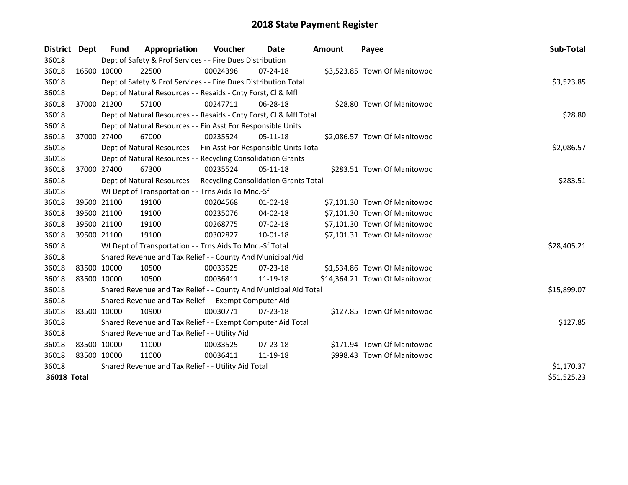| District Dept |             | <b>Fund</b>                                         | Appropriation                                                      | Voucher  | Date           | <b>Amount</b> | Payee                         | Sub-Total   |
|---------------|-------------|-----------------------------------------------------|--------------------------------------------------------------------|----------|----------------|---------------|-------------------------------|-------------|
| 36018         |             |                                                     | Dept of Safety & Prof Services - - Fire Dues Distribution          |          |                |               |                               |             |
| 36018         | 16500 10000 |                                                     | 22500                                                              | 00024396 | $07 - 24 - 18$ |               | \$3,523.85 Town Of Manitowoc  |             |
| 36018         |             |                                                     | Dept of Safety & Prof Services - - Fire Dues Distribution Total    |          |                |               |                               | \$3,523.85  |
| 36018         |             |                                                     | Dept of Natural Resources - - Resaids - Cnty Forst, Cl & Mfl       |          |                |               |                               |             |
| 36018         | 37000 21200 |                                                     | 57100                                                              | 00247711 | 06-28-18       |               | \$28.80 Town Of Manitowoc     |             |
| 36018         |             |                                                     | Dept of Natural Resources - - Resaids - Cnty Forst, Cl & Mfl Total |          |                |               |                               | \$28.80     |
| 36018         |             |                                                     | Dept of Natural Resources - - Fin Asst For Responsible Units       |          |                |               |                               |             |
| 36018         | 37000 27400 |                                                     | 67000                                                              | 00235524 | $05-11-18$     |               | \$2,086.57 Town Of Manitowoc  |             |
| 36018         |             |                                                     | Dept of Natural Resources - - Fin Asst For Responsible Units Total |          |                |               |                               | \$2,086.57  |
| 36018         |             |                                                     | Dept of Natural Resources - - Recycling Consolidation Grants       |          |                |               |                               |             |
| 36018         | 37000 27400 |                                                     | 67300                                                              | 00235524 | 05-11-18       |               | \$283.51 Town Of Manitowoc    |             |
| 36018         |             |                                                     | Dept of Natural Resources - - Recycling Consolidation Grants Total |          |                |               |                               | \$283.51    |
| 36018         |             |                                                     | WI Dept of Transportation - - Trns Aids To Mnc.-Sf                 |          |                |               |                               |             |
| 36018         | 39500 21100 |                                                     | 19100                                                              | 00204568 | $01 - 02 - 18$ |               | \$7,101.30 Town Of Manitowoc  |             |
| 36018         | 39500 21100 |                                                     | 19100                                                              | 00235076 | 04-02-18       |               | \$7,101.30 Town Of Manitowoc  |             |
| 36018         | 39500 21100 |                                                     | 19100                                                              | 00268775 | 07-02-18       |               | \$7,101.30 Town Of Manitowoc  |             |
| 36018         | 39500 21100 |                                                     | 19100                                                              | 00302827 | $10 - 01 - 18$ |               | \$7,101.31 Town Of Manitowoc  |             |
| 36018         |             |                                                     | WI Dept of Transportation - - Trns Aids To Mnc.-Sf Total           |          |                |               |                               | \$28,405.21 |
| 36018         |             |                                                     | Shared Revenue and Tax Relief - - County And Municipal Aid         |          |                |               |                               |             |
| 36018         | 83500 10000 |                                                     | 10500                                                              | 00033525 | $07 - 23 - 18$ |               | \$1,534.86 Town Of Manitowoc  |             |
| 36018         | 83500 10000 |                                                     | 10500                                                              | 00036411 | 11-19-18       |               | \$14,364.21 Town Of Manitowoc |             |
| 36018         |             |                                                     | Shared Revenue and Tax Relief - - County And Municipal Aid Total   |          |                |               |                               | \$15,899.07 |
| 36018         |             |                                                     | Shared Revenue and Tax Relief - - Exempt Computer Aid              |          |                |               |                               |             |
| 36018         | 83500 10000 |                                                     | 10900                                                              | 00030771 | $07 - 23 - 18$ |               | \$127.85 Town Of Manitowoc    |             |
| 36018         |             |                                                     | Shared Revenue and Tax Relief - - Exempt Computer Aid Total        | \$127.85 |                |               |                               |             |
| 36018         |             |                                                     | Shared Revenue and Tax Relief - - Utility Aid                      |          |                |               |                               |             |
| 36018         | 83500 10000 |                                                     | 11000                                                              | 00033525 | 07-23-18       |               | \$171.94 Town Of Manitowoc    |             |
| 36018         | 83500 10000 |                                                     | 11000                                                              | 00036411 | 11-19-18       |               | \$998.43 Town Of Manitowoc    |             |
| 36018         |             | Shared Revenue and Tax Relief - - Utility Aid Total | \$1,170.37                                                         |          |                |               |                               |             |
| 36018 Total   |             |                                                     |                                                                    |          |                |               |                               |             |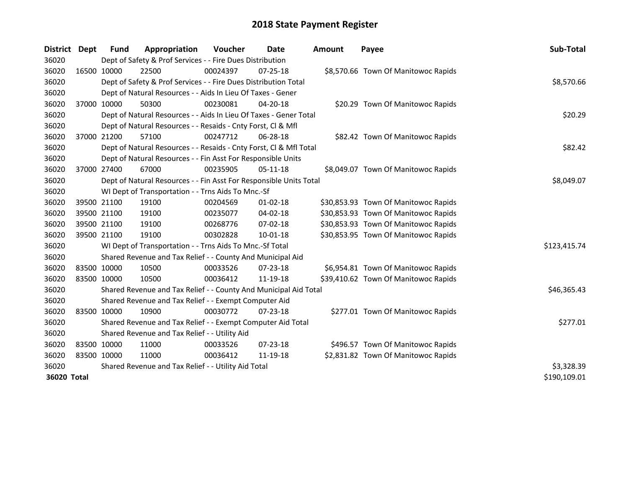| <b>District</b> | Dept | Fund        | Appropriation                                                      | Voucher  | Date           | <b>Amount</b> | Payee                                | Sub-Total    |
|-----------------|------|-------------|--------------------------------------------------------------------|----------|----------------|---------------|--------------------------------------|--------------|
| 36020           |      |             | Dept of Safety & Prof Services - - Fire Dues Distribution          |          |                |               |                                      |              |
| 36020           |      | 16500 10000 | 22500                                                              | 00024397 | $07 - 25 - 18$ |               | \$8,570.66 Town Of Manitowoc Rapids  |              |
| 36020           |      |             | Dept of Safety & Prof Services - - Fire Dues Distribution Total    |          |                |               |                                      | \$8,570.66   |
| 36020           |      |             | Dept of Natural Resources - - Aids In Lieu Of Taxes - Gener        |          |                |               |                                      |              |
| 36020           |      | 37000 10000 | 50300                                                              | 00230081 | $04 - 20 - 18$ |               | \$20.29 Town Of Manitowoc Rapids     |              |
| 36020           |      |             | Dept of Natural Resources - - Aids In Lieu Of Taxes - Gener Total  |          |                |               |                                      | \$20.29      |
| 36020           |      |             | Dept of Natural Resources - - Resaids - Cnty Forst, Cl & Mfl       |          |                |               |                                      |              |
| 36020           |      | 37000 21200 | 57100                                                              | 00247712 | 06-28-18       |               | \$82.42 Town Of Manitowoc Rapids     |              |
| 36020           |      |             | Dept of Natural Resources - - Resaids - Cnty Forst, Cl & Mfl Total |          |                |               |                                      | \$82.42      |
| 36020           |      |             | Dept of Natural Resources - - Fin Asst For Responsible Units       |          |                |               |                                      |              |
| 36020           |      | 37000 27400 | 67000                                                              | 00235905 | 05-11-18       |               | \$8,049.07 Town Of Manitowoc Rapids  |              |
| 36020           |      |             | Dept of Natural Resources - - Fin Asst For Responsible Units Total |          |                |               |                                      | \$8,049.07   |
| 36020           |      |             | WI Dept of Transportation - - Trns Aids To Mnc.-Sf                 |          |                |               |                                      |              |
| 36020           |      | 39500 21100 | 19100                                                              | 00204569 | $01 - 02 - 18$ |               | \$30,853.93 Town Of Manitowoc Rapids |              |
| 36020           |      | 39500 21100 | 19100                                                              | 00235077 | 04-02-18       |               | \$30,853.93 Town Of Manitowoc Rapids |              |
| 36020           |      | 39500 21100 | 19100                                                              | 00268776 | 07-02-18       |               | \$30,853.93 Town Of Manitowoc Rapids |              |
| 36020           |      | 39500 21100 | 19100                                                              | 00302828 | 10-01-18       |               | \$30,853.95 Town Of Manitowoc Rapids |              |
| 36020           |      |             | WI Dept of Transportation - - Trns Aids To Mnc.-Sf Total           |          |                |               |                                      | \$123,415.74 |
| 36020           |      |             | Shared Revenue and Tax Relief - - County And Municipal Aid         |          |                |               |                                      |              |
| 36020           |      | 83500 10000 | 10500                                                              | 00033526 | $07 - 23 - 18$ |               | \$6,954.81 Town Of Manitowoc Rapids  |              |
| 36020           |      | 83500 10000 | 10500                                                              | 00036412 | 11-19-18       |               | \$39,410.62 Town Of Manitowoc Rapids |              |
| 36020           |      |             | Shared Revenue and Tax Relief - - County And Municipal Aid Total   |          |                |               |                                      | \$46,365.43  |
| 36020           |      |             | Shared Revenue and Tax Relief - - Exempt Computer Aid              |          |                |               |                                      |              |
| 36020           |      | 83500 10000 | 10900                                                              | 00030772 | $07 - 23 - 18$ |               | \$277.01 Town Of Manitowoc Rapids    |              |
| 36020           |      |             | Shared Revenue and Tax Relief - - Exempt Computer Aid Total        |          |                |               |                                      | \$277.01     |
| 36020           |      |             | Shared Revenue and Tax Relief - - Utility Aid                      |          |                |               |                                      |              |
| 36020           |      | 83500 10000 | 11000                                                              | 00033526 | 07-23-18       |               | \$496.57 Town Of Manitowoc Rapids    |              |
| 36020           |      | 83500 10000 | 11000                                                              | 00036412 | 11-19-18       |               | \$2,831.82 Town Of Manitowoc Rapids  |              |
| 36020           |      |             | Shared Revenue and Tax Relief - - Utility Aid Total                |          |                |               |                                      | \$3,328.39   |
| 36020 Total     |      |             |                                                                    |          |                |               |                                      |              |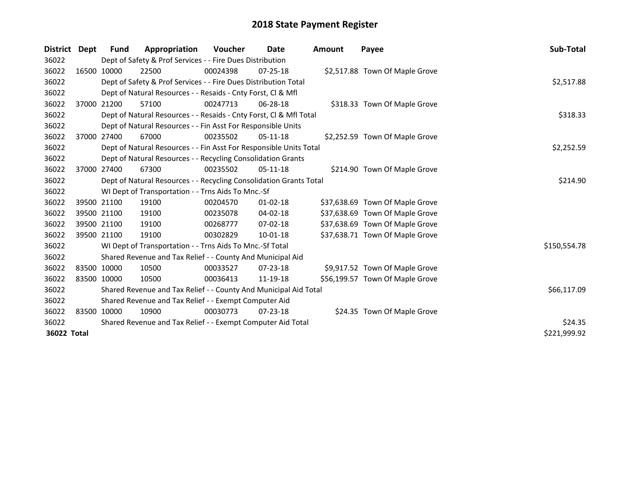| District Dept | Fund        | Appropriation                                                      | <b>Voucher</b> | Date           | <b>Amount</b> | Payee                           | Sub-Total    |
|---------------|-------------|--------------------------------------------------------------------|----------------|----------------|---------------|---------------------------------|--------------|
| 36022         |             | Dept of Safety & Prof Services - - Fire Dues Distribution          |                |                |               |                                 |              |
| 36022         | 16500 10000 | 22500                                                              | 00024398       | $07 - 25 - 18$ |               | \$2,517.88 Town Of Maple Grove  |              |
| 36022         |             | Dept of Safety & Prof Services - - Fire Dues Distribution Total    |                |                |               |                                 | \$2,517.88   |
| 36022         |             | Dept of Natural Resources - - Resaids - Cnty Forst, Cl & Mfl       |                |                |               |                                 |              |
| 36022         | 37000 21200 | 57100                                                              | 00247713       | $06 - 28 - 18$ |               | \$318.33 Town Of Maple Grove    |              |
| 36022         |             | Dept of Natural Resources - - Resaids - Cnty Forst, Cl & Mfl Total |                | \$318.33       |               |                                 |              |
| 36022         |             | Dept of Natural Resources - - Fin Asst For Responsible Units       |                |                |               |                                 |              |
| 36022         | 37000 27400 | 67000                                                              | 00235502       | $05-11-18$     |               | \$2,252.59 Town Of Maple Grove  |              |
| 36022         |             | Dept of Natural Resources - - Fin Asst For Responsible Units Total |                |                |               |                                 | \$2,252.59   |
| 36022         |             | Dept of Natural Resources - - Recycling Consolidation Grants       |                |                |               |                                 |              |
| 36022         | 37000 27400 | 67300                                                              | 00235502       | $05-11-18$     |               | \$214.90 Town Of Maple Grove    |              |
| 36022         |             | Dept of Natural Resources - - Recycling Consolidation Grants Total |                |                |               |                                 | \$214.90     |
| 36022         |             | WI Dept of Transportation - - Trns Aids To Mnc.-Sf                 |                |                |               |                                 |              |
| 36022         | 39500 21100 | 19100                                                              | 00204570       | $01 - 02 - 18$ |               | \$37,638.69 Town Of Maple Grove |              |
| 36022         | 39500 21100 | 19100                                                              | 00235078       | 04-02-18       |               | \$37,638.69 Town Of Maple Grove |              |
| 36022         | 39500 21100 | 19100                                                              | 00268777       | 07-02-18       |               | \$37,638.69 Town Of Maple Grove |              |
| 36022         | 39500 21100 | 19100                                                              | 00302829       | 10-01-18       |               | \$37,638.71 Town Of Maple Grove |              |
| 36022         |             | WI Dept of Transportation - - Trns Aids To Mnc.-Sf Total           |                |                |               |                                 | \$150,554.78 |
| 36022         |             | Shared Revenue and Tax Relief - - County And Municipal Aid         |                |                |               |                                 |              |
| 36022         | 83500 10000 | 10500                                                              | 00033527       | 07-23-18       |               | \$9,917.52 Town Of Maple Grove  |              |
| 36022         | 83500 10000 | 10500                                                              | 00036413       | 11-19-18       |               | \$56,199.57 Town Of Maple Grove |              |
| 36022         |             | Shared Revenue and Tax Relief - - County And Municipal Aid Total   | \$66,117.09    |                |               |                                 |              |
| 36022         |             | Shared Revenue and Tax Relief - - Exempt Computer Aid              |                |                |               |                                 |              |
| 36022         | 83500 10000 | 10900                                                              | 00030773       | $07 - 23 - 18$ |               | \$24.35 Town Of Maple Grove     |              |
| 36022         |             | Shared Revenue and Tax Relief - - Exempt Computer Aid Total        |                |                |               |                                 | \$24.35      |
| 36022 Total   |             |                                                                    |                |                |               |                                 | \$221,999.92 |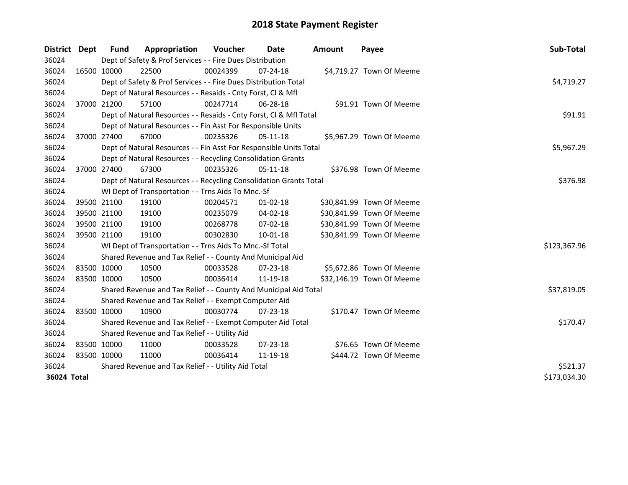| District    | Dept        | Fund                                                | Appropriation                                                      | <b>Voucher</b> | Date           | <b>Amount</b> | Payee                     | Sub-Total    |
|-------------|-------------|-----------------------------------------------------|--------------------------------------------------------------------|----------------|----------------|---------------|---------------------------|--------------|
| 36024       |             |                                                     | Dept of Safety & Prof Services - - Fire Dues Distribution          |                |                |               |                           |              |
| 36024       |             | 16500 10000                                         | 22500                                                              | 00024399       | 07-24-18       |               | \$4,719.27 Town Of Meeme  |              |
| 36024       |             |                                                     | Dept of Safety & Prof Services - - Fire Dues Distribution Total    |                |                |               |                           | \$4,719.27   |
| 36024       |             |                                                     | Dept of Natural Resources - - Resaids - Cnty Forst, Cl & Mfl       |                |                |               |                           |              |
| 36024       |             | 37000 21200                                         | 57100                                                              | 00247714       | $06 - 28 - 18$ |               | \$91.91 Town Of Meeme     |              |
| 36024       |             |                                                     | Dept of Natural Resources - - Resaids - Cnty Forst, CI & Mfl Total |                |                |               |                           | \$91.91      |
| 36024       |             |                                                     | Dept of Natural Resources - - Fin Asst For Responsible Units       |                |                |               |                           |              |
| 36024       |             | 37000 27400                                         | 67000                                                              | 00235326       | $05-11-18$     |               | \$5,967.29 Town Of Meeme  |              |
| 36024       |             |                                                     | Dept of Natural Resources - - Fin Asst For Responsible Units Total |                |                |               |                           | \$5,967.29   |
| 36024       |             |                                                     | Dept of Natural Resources - - Recycling Consolidation Grants       |                |                |               |                           |              |
| 36024       |             | 37000 27400                                         | 67300                                                              | 00235326       | $05-11-18$     |               | \$376.98 Town Of Meeme    |              |
| 36024       |             |                                                     | Dept of Natural Resources - - Recycling Consolidation Grants Total |                |                |               |                           | \$376.98     |
| 36024       |             |                                                     | WI Dept of Transportation - - Trns Aids To Mnc.-Sf                 |                |                |               |                           |              |
| 36024       |             | 39500 21100                                         | 19100                                                              | 00204571       | $01 - 02 - 18$ |               | \$30,841.99 Town Of Meeme |              |
| 36024       |             | 39500 21100                                         | 19100                                                              | 00235079       | 04-02-18       |               | \$30,841.99 Town Of Meeme |              |
| 36024       |             | 39500 21100                                         | 19100                                                              | 00268778       | 07-02-18       |               | \$30,841.99 Town Of Meeme |              |
| 36024       |             | 39500 21100                                         | 19100                                                              | 00302830       | 10-01-18       |               | \$30,841.99 Town Of Meeme |              |
| 36024       |             |                                                     | WI Dept of Transportation - - Trns Aids To Mnc.-Sf Total           |                |                |               |                           | \$123,367.96 |
| 36024       |             |                                                     | Shared Revenue and Tax Relief - - County And Municipal Aid         |                |                |               |                           |              |
| 36024       | 83500 10000 |                                                     | 10500                                                              | 00033528       | $07 - 23 - 18$ |               | \$5,672.86 Town Of Meeme  |              |
| 36024       | 83500 10000 |                                                     | 10500                                                              | 00036414       | 11-19-18       |               | \$32,146.19 Town Of Meeme |              |
| 36024       |             |                                                     | Shared Revenue and Tax Relief - - County And Municipal Aid Total   |                |                |               |                           | \$37,819.05  |
| 36024       |             |                                                     | Shared Revenue and Tax Relief - - Exempt Computer Aid              |                |                |               |                           |              |
| 36024       |             | 83500 10000                                         | 10900                                                              | 00030774       | $07 - 23 - 18$ |               | \$170.47 Town Of Meeme    |              |
| 36024       |             |                                                     | Shared Revenue and Tax Relief - - Exempt Computer Aid Total        | \$170.47       |                |               |                           |              |
| 36024       |             |                                                     | Shared Revenue and Tax Relief - - Utility Aid                      |                |                |               |                           |              |
| 36024       |             | 83500 10000                                         | 11000                                                              | 00033528       | 07-23-18       |               | \$76.65 Town Of Meeme     |              |
| 36024       | 83500 10000 |                                                     | 11000                                                              | 00036414       | 11-19-18       |               | \$444.72 Town Of Meeme    |              |
| 36024       |             | Shared Revenue and Tax Relief - - Utility Aid Total | \$521.37                                                           |                |                |               |                           |              |
| 36024 Total |             |                                                     |                                                                    |                |                |               |                           |              |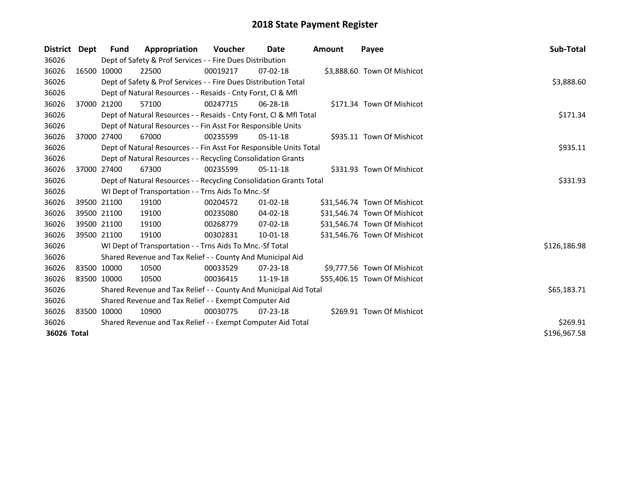| District Dept |             | Fund         | Appropriation                                                      | Voucher     | Date           | Amount | Payee                        | Sub-Total    |
|---------------|-------------|--------------|--------------------------------------------------------------------|-------------|----------------|--------|------------------------------|--------------|
| 36026         |             |              | Dept of Safety & Prof Services - - Fire Dues Distribution          |             |                |        |                              |              |
| 36026         |             | 16500 10000  | 22500                                                              | 00019217    | $07-02-18$     |        | \$3,888.60 Town Of Mishicot  |              |
| 36026         |             |              | Dept of Safety & Prof Services - - Fire Dues Distribution Total    |             |                |        |                              | \$3,888.60   |
| 36026         |             |              | Dept of Natural Resources - - Resaids - Cnty Forst, CI & Mfl       |             |                |        |                              |              |
| 36026         |             | 37000 21200  | 57100                                                              | 00247715    | 06-28-18       |        | \$171.34 Town Of Mishicot    |              |
| 36026         |             |              | Dept of Natural Resources - - Resaids - Cnty Forst, Cl & Mfl Total | \$171.34    |                |        |                              |              |
| 36026         |             |              | Dept of Natural Resources - - Fin Asst For Responsible Units       |             |                |        |                              |              |
| 36026         |             | 37000 27400  | 67000                                                              | 00235599    | $05-11-18$     |        | \$935.11 Town Of Mishicot    |              |
| 36026         |             |              | Dept of Natural Resources - - Fin Asst For Responsible Units Total |             |                |        |                              | \$935.11     |
| 36026         |             |              | Dept of Natural Resources - - Recycling Consolidation Grants       |             |                |        |                              |              |
| 36026         |             | 37000 27400  | 67300                                                              | 00235599    | $05-11-18$     |        | \$331.93 Town Of Mishicot    |              |
| 36026         |             |              | Dept of Natural Resources - - Recycling Consolidation Grants Total |             |                |        |                              | \$331.93     |
| 36026         |             |              | WI Dept of Transportation - - Trns Aids To Mnc.-Sf                 |             |                |        |                              |              |
| 36026         |             | 39500 21100  | 19100                                                              | 00204572    | $01 - 02 - 18$ |        | \$31,546.74 Town Of Mishicot |              |
| 36026         |             | 39500 21100  | 19100                                                              | 00235080    | $04 - 02 - 18$ |        | \$31,546.74 Town Of Mishicot |              |
| 36026         |             | 39500 21100  | 19100                                                              | 00268779    | $07-02-18$     |        | \$31,546.74 Town Of Mishicot |              |
| 36026         | 39500 21100 |              | 19100                                                              | 00302831    | 10-01-18       |        | \$31,546.76 Town Of Mishicot |              |
| 36026         |             |              | WI Dept of Transportation - - Trns Aids To Mnc.-Sf Total           |             |                |        |                              | \$126,186.98 |
| 36026         |             |              | Shared Revenue and Tax Relief - - County And Municipal Aid         |             |                |        |                              |              |
| 36026         | 83500 10000 |              | 10500                                                              | 00033529    | $07 - 23 - 18$ |        | \$9,777.56 Town Of Mishicot  |              |
| 36026         | 83500 10000 |              | 10500                                                              | 00036415    | 11-19-18       |        | \$55,406.15 Town Of Mishicot |              |
| 36026         |             |              | Shared Revenue and Tax Relief - - County And Municipal Aid Total   | \$65,183.71 |                |        |                              |              |
| 36026         |             |              | Shared Revenue and Tax Relief - - Exempt Computer Aid              |             |                |        |                              |              |
| 36026         |             | 83500 10000  | 10900                                                              | 00030775    | 07-23-18       |        | \$269.91 Town Of Mishicot    |              |
| 36026         |             |              | Shared Revenue and Tax Relief - - Exempt Computer Aid Total        |             |                |        |                              | \$269.91     |
| 36026 Total   |             | \$196,967.58 |                                                                    |             |                |        |                              |              |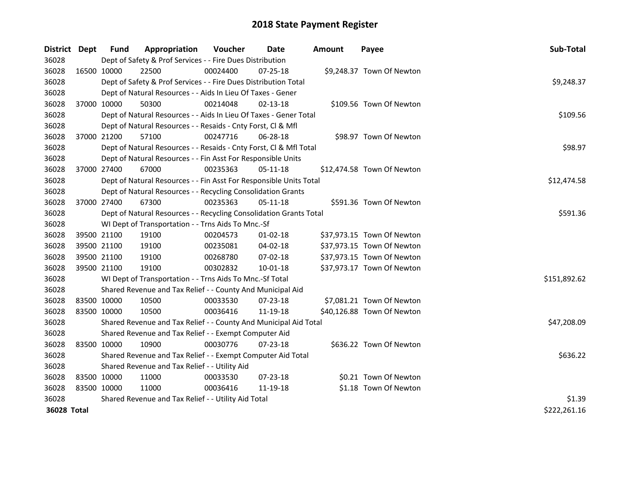| District Dept      |             | <b>Fund</b> | Appropriation                                                      | Voucher  | Date           | <b>Amount</b> | Payee                      | Sub-Total    |
|--------------------|-------------|-------------|--------------------------------------------------------------------|----------|----------------|---------------|----------------------------|--------------|
| 36028              |             |             | Dept of Safety & Prof Services - - Fire Dues Distribution          |          |                |               |                            |              |
| 36028              | 16500 10000 |             | 22500                                                              | 00024400 | $07 - 25 - 18$ |               | \$9,248.37 Town Of Newton  |              |
| 36028              |             |             | Dept of Safety & Prof Services - - Fire Dues Distribution Total    |          |                |               |                            | \$9,248.37   |
| 36028              |             |             | Dept of Natural Resources - - Aids In Lieu Of Taxes - Gener        |          |                |               |                            |              |
| 36028              |             | 37000 10000 | 50300                                                              | 00214048 | 02-13-18       |               | \$109.56 Town Of Newton    |              |
| 36028              |             |             | Dept of Natural Resources - - Aids In Lieu Of Taxes - Gener Total  |          |                |               |                            | \$109.56     |
| 36028              |             |             | Dept of Natural Resources - - Resaids - Cnty Forst, Cl & Mfl       |          |                |               |                            |              |
| 36028              | 37000 21200 |             | 57100                                                              | 00247716 | 06-28-18       |               | \$98.97 Town Of Newton     |              |
| 36028              |             |             | Dept of Natural Resources - - Resaids - Cnty Forst, Cl & Mfl Total |          |                |               |                            | \$98.97      |
| 36028              |             |             | Dept of Natural Resources - - Fin Asst For Responsible Units       |          |                |               |                            |              |
| 36028              |             | 37000 27400 | 67000                                                              | 00235363 | $05-11-18$     |               | \$12,474.58 Town Of Newton |              |
| 36028              |             |             | Dept of Natural Resources - - Fin Asst For Responsible Units Total |          |                |               |                            | \$12,474.58  |
| 36028              |             |             | Dept of Natural Resources - - Recycling Consolidation Grants       |          |                |               |                            |              |
| 36028              | 37000 27400 |             | 67300                                                              | 00235363 | $05-11-18$     |               | \$591.36 Town Of Newton    |              |
| 36028              |             |             | Dept of Natural Resources - - Recycling Consolidation Grants Total | \$591.36 |                |               |                            |              |
| 36028              |             |             | WI Dept of Transportation - - Trns Aids To Mnc.-Sf                 |          |                |               |                            |              |
| 36028              | 39500 21100 |             | 19100                                                              | 00204573 | $01 - 02 - 18$ |               | \$37,973.15 Town Of Newton |              |
| 36028              | 39500 21100 |             | 19100                                                              | 00235081 | 04-02-18       |               | \$37,973.15 Town Of Newton |              |
| 36028              | 39500 21100 |             | 19100                                                              | 00268780 | 07-02-18       |               | \$37,973.15 Town Of Newton |              |
| 36028              | 39500 21100 |             | 19100                                                              | 00302832 | 10-01-18       |               | \$37,973.17 Town Of Newton |              |
| 36028              |             |             | WI Dept of Transportation - - Trns Aids To Mnc.-Sf Total           |          |                |               |                            | \$151,892.62 |
| 36028              |             |             | Shared Revenue and Tax Relief - - County And Municipal Aid         |          |                |               |                            |              |
| 36028              |             | 83500 10000 | 10500                                                              | 00033530 | $07 - 23 - 18$ |               | \$7,081.21 Town Of Newton  |              |
| 36028              | 83500 10000 |             | 10500                                                              | 00036416 | 11-19-18       |               | \$40,126.88 Town Of Newton |              |
| 36028              |             |             | Shared Revenue and Tax Relief - - County And Municipal Aid Total   |          |                |               |                            | \$47,208.09  |
| 36028              |             |             | Shared Revenue and Tax Relief - - Exempt Computer Aid              |          |                |               |                            |              |
| 36028              | 83500 10000 |             | 10900                                                              | 00030776 | 07-23-18       |               | \$636.22 Town Of Newton    |              |
| 36028              |             |             | Shared Revenue and Tax Relief - - Exempt Computer Aid Total        |          |                |               |                            | \$636.22     |
| 36028              |             |             | Shared Revenue and Tax Relief - - Utility Aid                      |          |                |               |                            |              |
| 36028              | 83500 10000 |             | 11000                                                              | 00033530 | $07 - 23 - 18$ |               | \$0.21 Town Of Newton      |              |
| 36028              | 83500 10000 |             | 11000                                                              | 00036416 | 11-19-18       |               | \$1.18 Town Of Newton      |              |
| 36028              |             |             | Shared Revenue and Tax Relief - - Utility Aid Total                |          |                |               |                            | \$1.39       |
| <b>36028 Total</b> |             |             |                                                                    |          |                |               |                            | \$222,261.16 |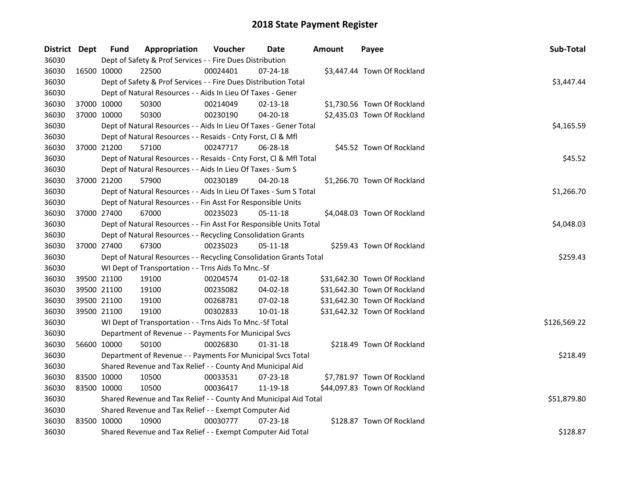| District Dept |             | <b>Fund</b> | Appropriation                                                      | Voucher  | Date           | <b>Amount</b> | Payee                        | Sub-Total    |  |  |
|---------------|-------------|-------------|--------------------------------------------------------------------|----------|----------------|---------------|------------------------------|--------------|--|--|
| 36030         |             |             | Dept of Safety & Prof Services - - Fire Dues Distribution          |          |                |               |                              |              |  |  |
| 36030         | 16500 10000 |             | 22500                                                              | 00024401 | 07-24-18       |               | \$3,447.44 Town Of Rockland  |              |  |  |
| 36030         |             |             | Dept of Safety & Prof Services - - Fire Dues Distribution Total    |          |                |               |                              | \$3,447.44   |  |  |
| 36030         |             |             | Dept of Natural Resources - - Aids In Lieu Of Taxes - Gener        |          |                |               |                              |              |  |  |
| 36030         |             | 37000 10000 | 50300                                                              | 00214049 | $02 - 13 - 18$ |               | \$1,730.56 Town Of Rockland  |              |  |  |
| 36030         |             | 37000 10000 | 50300                                                              | 00230190 | 04-20-18       |               | \$2,435.03 Town Of Rockland  |              |  |  |
| 36030         |             |             | Dept of Natural Resources - - Aids In Lieu Of Taxes - Gener Total  |          |                |               |                              | \$4,165.59   |  |  |
| 36030         |             |             | Dept of Natural Resources - - Resaids - Cnty Forst, Cl & Mfl       |          |                |               |                              |              |  |  |
| 36030         |             | 37000 21200 | 57100                                                              | 00247717 | 06-28-18       |               | \$45.52 Town Of Rockland     |              |  |  |
| 36030         |             |             | Dept of Natural Resources - - Resaids - Cnty Forst, Cl & Mfl Total |          |                |               |                              | \$45.52      |  |  |
| 36030         |             |             | Dept of Natural Resources - - Aids In Lieu Of Taxes - Sum S        |          |                |               |                              |              |  |  |
| 36030         |             | 37000 21200 | 57900                                                              | 00230189 | 04-20-18       |               | \$1,266.70 Town Of Rockland  |              |  |  |
| 36030         |             |             | Dept of Natural Resources - - Aids In Lieu Of Taxes - Sum S Total  |          |                |               |                              | \$1,266.70   |  |  |
| 36030         |             |             | Dept of Natural Resources - - Fin Asst For Responsible Units       |          |                |               |                              |              |  |  |
| 36030         |             | 37000 27400 | 67000                                                              | 00235023 | $05 - 11 - 18$ |               | \$4,048.03 Town Of Rockland  |              |  |  |
| 36030         |             |             | Dept of Natural Resources - - Fin Asst For Responsible Units Total |          |                |               |                              |              |  |  |
| 36030         |             |             | Dept of Natural Resources - - Recycling Consolidation Grants       |          |                |               |                              |              |  |  |
| 36030         |             | 37000 27400 | 67300                                                              | 00235023 | $05 - 11 - 18$ |               | \$259.43 Town Of Rockland    |              |  |  |
| 36030         |             |             | Dept of Natural Resources - - Recycling Consolidation Grants Total |          |                |               |                              | \$259.43     |  |  |
| 36030         |             |             | WI Dept of Transportation - - Trns Aids To Mnc.-Sf                 |          |                |               |                              |              |  |  |
| 36030         |             | 39500 21100 | 19100                                                              | 00204574 | $01-02-18$     |               | \$31,642.30 Town Of Rockland |              |  |  |
| 36030         |             | 39500 21100 | 19100                                                              | 00235082 | 04-02-18       |               | \$31,642.30 Town Of Rockland |              |  |  |
| 36030         |             | 39500 21100 | 19100                                                              | 00268781 | 07-02-18       |               | \$31,642.30 Town Of Rockland |              |  |  |
| 36030         |             | 39500 21100 | 19100                                                              | 00302833 | $10 - 01 - 18$ |               | \$31,642.32 Town Of Rockland |              |  |  |
| 36030         |             |             | WI Dept of Transportation - - Trns Aids To Mnc.-Sf Total           |          |                |               |                              | \$126,569.22 |  |  |
| 36030         |             |             | Department of Revenue - - Payments For Municipal Svcs              |          |                |               |                              |              |  |  |
| 36030         |             | 56600 10000 | 50100                                                              | 00026830 | 01-31-18       |               | \$218.49 Town Of Rockland    |              |  |  |
| 36030         |             |             | Department of Revenue - - Payments For Municipal Svcs Total        |          |                |               |                              | \$218.49     |  |  |
| 36030         |             |             | Shared Revenue and Tax Relief - - County And Municipal Aid         |          |                |               |                              |              |  |  |
| 36030         |             | 83500 10000 | 10500                                                              | 00033531 | 07-23-18       |               | \$7,781.97 Town Of Rockland  |              |  |  |
| 36030         |             | 83500 10000 | 10500                                                              | 00036417 | 11-19-18       |               | \$44,097.83 Town Of Rockland |              |  |  |
| 36030         |             |             | Shared Revenue and Tax Relief - - County And Municipal Aid Total   |          |                |               |                              | \$51,879.80  |  |  |
| 36030         |             |             | Shared Revenue and Tax Relief - - Exempt Computer Aid              |          |                |               |                              |              |  |  |
| 36030         |             | 83500 10000 | 10900                                                              | 00030777 | $07 - 23 - 18$ |               | \$128.87 Town Of Rockland    |              |  |  |
| 36030         |             |             | Shared Revenue and Tax Relief - - Exempt Computer Aid Total        |          |                |               |                              | \$128.87     |  |  |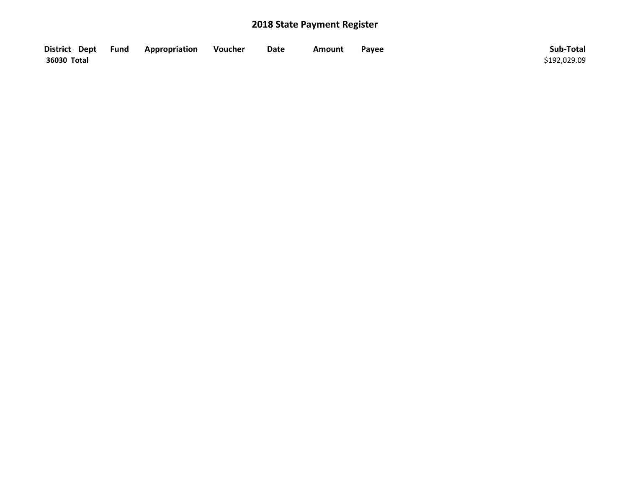| District Dept Fund | Appropriation | Voucher | Date | <b>Amount</b> | Payee | Sub-Total    |
|--------------------|---------------|---------|------|---------------|-------|--------------|
| 36030 Total        |               |         |      |               |       | \$192,029.09 |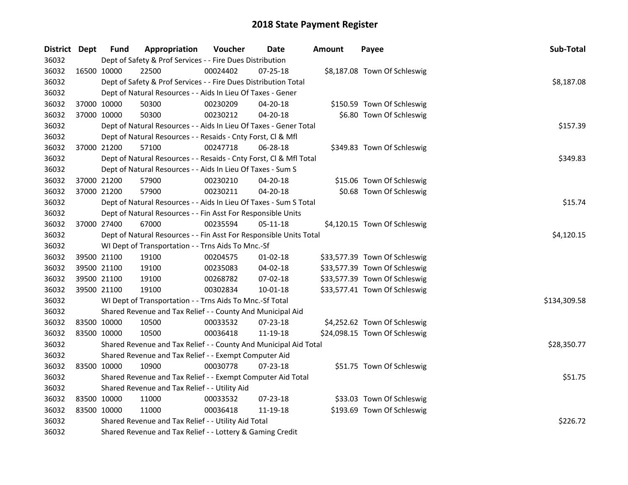| District Dept |             | <b>Fund</b>                                   | Appropriation                                                                                                    | Voucher  | <b>Date</b>    | <b>Amount</b> | Payee                         | Sub-Total    |  |  |  |  |
|---------------|-------------|-----------------------------------------------|------------------------------------------------------------------------------------------------------------------|----------|----------------|---------------|-------------------------------|--------------|--|--|--|--|
| 36032         |             |                                               | Dept of Safety & Prof Services - - Fire Dues Distribution                                                        |          |                |               |                               |              |  |  |  |  |
| 36032         |             | 16500 10000                                   | 22500                                                                                                            | 00024402 | 07-25-18       |               | \$8,187.08 Town Of Schleswig  |              |  |  |  |  |
| 36032         |             |                                               | Dept of Safety & Prof Services - - Fire Dues Distribution Total                                                  |          |                |               |                               | \$8,187.08   |  |  |  |  |
| 36032         |             |                                               | Dept of Natural Resources - - Aids In Lieu Of Taxes - Gener                                                      |          |                |               |                               |              |  |  |  |  |
| 36032         | 37000 10000 |                                               | 50300                                                                                                            | 00230209 | 04-20-18       |               | \$150.59 Town Of Schleswig    |              |  |  |  |  |
| 36032         |             | 37000 10000                                   | 50300                                                                                                            | 00230212 | $04 - 20 - 18$ |               | \$6.80 Town Of Schleswig      |              |  |  |  |  |
| 36032         |             |                                               | Dept of Natural Resources - - Aids In Lieu Of Taxes - Gener Total                                                | \$157.39 |                |               |                               |              |  |  |  |  |
| 36032         |             |                                               | Dept of Natural Resources - - Resaids - Cnty Forst, Cl & Mfl                                                     |          |                |               |                               |              |  |  |  |  |
| 36032         | 37000 21200 |                                               | 57100                                                                                                            | 00247718 | 06-28-18       |               | \$349.83 Town Of Schleswig    |              |  |  |  |  |
| 36032         |             |                                               | Dept of Natural Resources - - Resaids - Cnty Forst, Cl & Mfl Total                                               |          |                |               |                               | \$349.83     |  |  |  |  |
| 36032         |             |                                               | Dept of Natural Resources - - Aids In Lieu Of Taxes - Sum S                                                      |          |                |               |                               |              |  |  |  |  |
| 36032         | 37000 21200 |                                               | 57900                                                                                                            | 00230210 | 04-20-18       |               | \$15.06 Town Of Schleswig     |              |  |  |  |  |
| 36032         | 37000 21200 |                                               | 57900                                                                                                            | 00230211 | $04 - 20 - 18$ |               | \$0.68 Town Of Schleswig      |              |  |  |  |  |
| 36032         |             |                                               | Dept of Natural Resources - - Aids In Lieu Of Taxes - Sum S Total                                                |          |                |               |                               | \$15.74      |  |  |  |  |
| 36032         |             |                                               | Dept of Natural Resources - - Fin Asst For Responsible Units                                                     |          |                |               |                               |              |  |  |  |  |
| 36032         | 37000 27400 |                                               | 67000                                                                                                            | 00235594 | 05-11-18       |               | \$4,120.15 Town Of Schleswig  |              |  |  |  |  |
| 36032         |             |                                               | Dept of Natural Resources - - Fin Asst For Responsible Units Total                                               |          |                |               |                               | \$4,120.15   |  |  |  |  |
| 36032         |             |                                               | WI Dept of Transportation - - Trns Aids To Mnc.-Sf                                                               |          |                |               |                               |              |  |  |  |  |
| 36032         | 39500 21100 |                                               | 19100                                                                                                            | 00204575 | $01 - 02 - 18$ |               | \$33,577.39 Town Of Schleswig |              |  |  |  |  |
| 36032         | 39500 21100 |                                               | 19100                                                                                                            | 00235083 | 04-02-18       |               | \$33,577.39 Town Of Schleswig |              |  |  |  |  |
| 36032         | 39500 21100 |                                               | 19100                                                                                                            | 00268782 | 07-02-18       |               | \$33,577.39 Town Of Schleswig |              |  |  |  |  |
| 36032         | 39500 21100 |                                               | 19100                                                                                                            | 00302834 | 10-01-18       |               | \$33,577.41 Town Of Schleswig |              |  |  |  |  |
| 36032         |             |                                               | WI Dept of Transportation - - Trns Aids To Mnc.-Sf Total                                                         |          |                |               |                               | \$134,309.58 |  |  |  |  |
| 36032         |             |                                               | Shared Revenue and Tax Relief - - County And Municipal Aid                                                       |          |                |               |                               |              |  |  |  |  |
| 36032         | 83500 10000 |                                               | 10500                                                                                                            | 00033532 | 07-23-18       |               | \$4,252.62 Town Of Schleswig  |              |  |  |  |  |
| 36032         | 83500 10000 |                                               | 10500                                                                                                            | 00036418 | 11-19-18       |               | \$24,098.15 Town Of Schleswig |              |  |  |  |  |
| 36032         |             |                                               | Shared Revenue and Tax Relief - - County And Municipal Aid Total                                                 |          |                |               |                               | \$28,350.77  |  |  |  |  |
| 36032         |             |                                               | Shared Revenue and Tax Relief - - Exempt Computer Aid                                                            |          |                |               |                               |              |  |  |  |  |
| 36032         | 83500 10000 |                                               | 10900                                                                                                            | 00030778 | 07-23-18       |               | \$51.75 Town Of Schleswig     |              |  |  |  |  |
| 36032         |             |                                               | Shared Revenue and Tax Relief - - Exempt Computer Aid Total                                                      |          |                |               |                               | \$51.75      |  |  |  |  |
| 36032         |             | Shared Revenue and Tax Relief - - Utility Aid |                                                                                                                  |          |                |               |                               |              |  |  |  |  |
| 36032         | 83500 10000 |                                               | 11000                                                                                                            | 00033532 | 07-23-18       |               | \$33.03 Town Of Schleswig     |              |  |  |  |  |
| 36032         | 83500 10000 |                                               | 11000                                                                                                            | 00036418 | 11-19-18       |               | \$193.69 Town Of Schleswig    |              |  |  |  |  |
| 36032         |             |                                               |                                                                                                                  |          |                |               |                               | \$226.72     |  |  |  |  |
| 36032         |             |                                               | Shared Revenue and Tax Relief - - Utility Aid Total<br>Shared Revenue and Tax Relief - - Lottery & Gaming Credit |          |                |               |                               |              |  |  |  |  |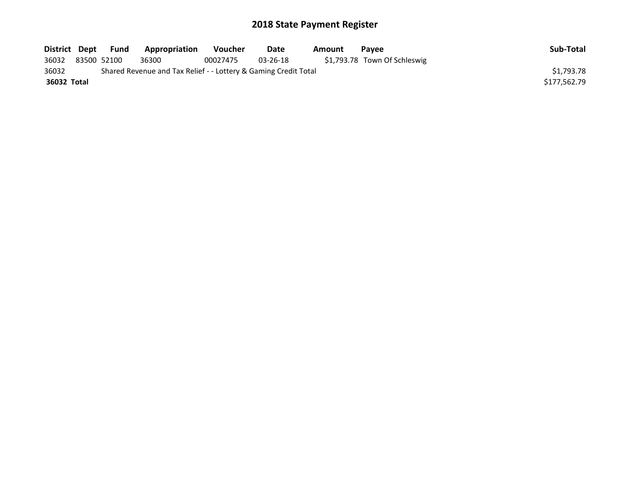| District Dept |             | Fund | Appropriation                                                   | <b>Voucher</b> | Date     | Amount | <b>Pavee</b>                 | Sub-Total    |
|---------------|-------------|------|-----------------------------------------------------------------|----------------|----------|--------|------------------------------|--------------|
| 36032         | 83500 52100 |      | 36300                                                           | 00027475       | 03-26-18 |        | \$1,793.78 Town Of Schleswig |              |
| 36032         |             |      | Shared Revenue and Tax Relief - - Lottery & Gaming Credit Total |                |          |        |                              | \$1.793.78   |
| 36032 Total   |             |      |                                                                 |                |          |        |                              | \$177.562.79 |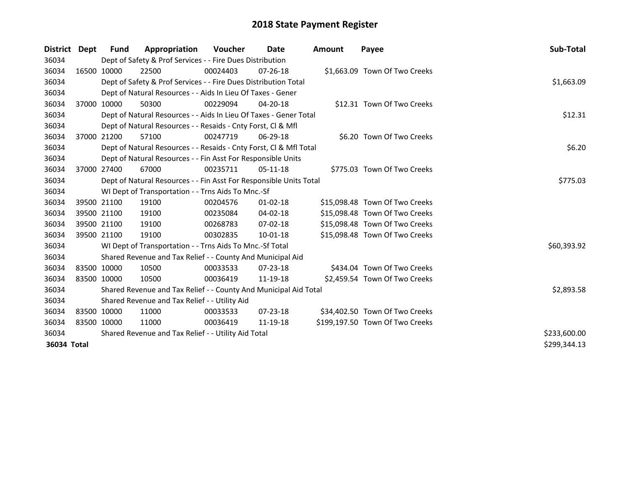| District Dept | <b>Fund</b> | Appropriation                                                      | Voucher  | Date           | Amount | Payee                           | <b>Sub-Total</b> |
|---------------|-------------|--------------------------------------------------------------------|----------|----------------|--------|---------------------------------|------------------|
| 36034         |             | Dept of Safety & Prof Services - - Fire Dues Distribution          |          |                |        |                                 |                  |
| 36034         | 16500 10000 | 22500                                                              | 00024403 | $07 - 26 - 18$ |        | \$1,663.09 Town Of Two Creeks   |                  |
| 36034         |             | Dept of Safety & Prof Services - - Fire Dues Distribution Total    |          |                |        |                                 | \$1,663.09       |
| 36034         |             | Dept of Natural Resources - - Aids In Lieu Of Taxes - Gener        |          |                |        |                                 |                  |
| 36034         | 37000 10000 | 50300                                                              | 00229094 | $04 - 20 - 18$ |        | \$12.31 Town Of Two Creeks      |                  |
| 36034         |             | Dept of Natural Resources - - Aids In Lieu Of Taxes - Gener Total  | \$12.31  |                |        |                                 |                  |
| 36034         |             | Dept of Natural Resources - - Resaids - Cnty Forst, CI & Mfl       |          |                |        |                                 |                  |
| 36034         | 37000 21200 | 57100                                                              | 00247719 | 06-29-18       |        | \$6.20 Town Of Two Creeks       |                  |
| 36034         |             | Dept of Natural Resources - - Resaids - Cnty Forst, Cl & Mfl Total |          |                |        |                                 | \$6.20           |
| 36034         |             | Dept of Natural Resources - - Fin Asst For Responsible Units       |          |                |        |                                 |                  |
| 36034         | 37000 27400 | 67000                                                              | 00235711 | $05-11-18$     |        | \$775.03 Town Of Two Creeks     |                  |
| 36034         |             | Dept of Natural Resources - - Fin Asst For Responsible Units Total |          |                |        |                                 | \$775.03         |
| 36034         |             | WI Dept of Transportation - - Trns Aids To Mnc.-Sf                 |          |                |        |                                 |                  |
| 36034         | 39500 21100 | 19100                                                              | 00204576 | $01 - 02 - 18$ |        | \$15,098.48 Town Of Two Creeks  |                  |
| 36034         | 39500 21100 | 19100                                                              | 00235084 | 04-02-18       |        | \$15,098.48 Town Of Two Creeks  |                  |
| 36034         | 39500 21100 | 19100                                                              | 00268783 | 07-02-18       |        | \$15,098.48 Town Of Two Creeks  |                  |
| 36034         | 39500 21100 | 19100                                                              | 00302835 | 10-01-18       |        | \$15,098.48 Town Of Two Creeks  |                  |
| 36034         |             | WI Dept of Transportation - - Trns Aids To Mnc.-Sf Total           |          |                |        |                                 | \$60,393.92      |
| 36034         |             | Shared Revenue and Tax Relief - - County And Municipal Aid         |          |                |        |                                 |                  |
| 36034         | 83500 10000 | 10500                                                              | 00033533 | $07 - 23 - 18$ |        | \$434.04 Town Of Two Creeks     |                  |
| 36034         | 83500 10000 | 10500                                                              | 00036419 | 11-19-18       |        | \$2,459.54 Town Of Two Creeks   |                  |
| 36034         |             | Shared Revenue and Tax Relief - - County And Municipal Aid Total   |          |                |        |                                 | \$2,893.58       |
| 36034         |             | Shared Revenue and Tax Relief - - Utility Aid                      |          |                |        |                                 |                  |
| 36034         | 83500 10000 | 11000                                                              | 00033533 | $07 - 23 - 18$ |        | \$34,402.50 Town Of Two Creeks  |                  |
| 36034         | 83500 10000 | 11000                                                              | 00036419 | 11-19-18       |        | \$199,197.50 Town Of Two Creeks |                  |
| 36034         |             | Shared Revenue and Tax Relief - - Utility Aid Total                |          |                |        |                                 | \$233,600.00     |
| 36034 Total   |             |                                                                    |          |                |        |                                 | \$299,344.13     |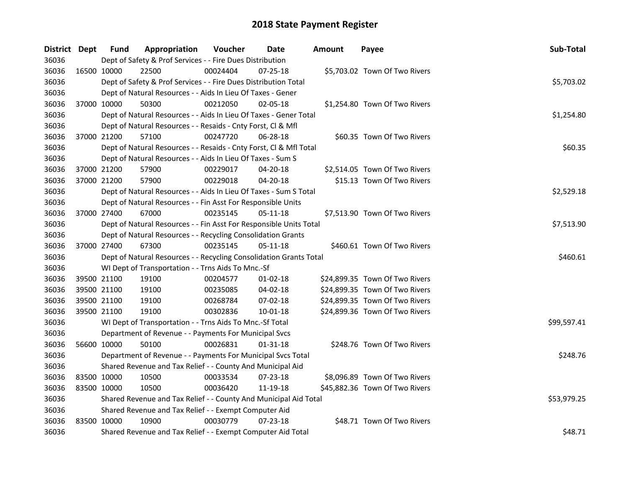| District Dept |             | <b>Fund</b>                                                  | Appropriation                                                      | Voucher  | Date           | <b>Amount</b> | Payee                          | Sub-Total   |  |  |  |
|---------------|-------------|--------------------------------------------------------------|--------------------------------------------------------------------|----------|----------------|---------------|--------------------------------|-------------|--|--|--|
| 36036         |             |                                                              | Dept of Safety & Prof Services - - Fire Dues Distribution          |          |                |               |                                |             |  |  |  |
| 36036         |             | 16500 10000                                                  | 22500                                                              | 00024404 | 07-25-18       |               | \$5,703.02 Town Of Two Rivers  |             |  |  |  |
| 36036         |             |                                                              | Dept of Safety & Prof Services - - Fire Dues Distribution Total    |          |                |               |                                | \$5,703.02  |  |  |  |
| 36036         |             |                                                              | Dept of Natural Resources - - Aids In Lieu Of Taxes - Gener        |          |                |               |                                |             |  |  |  |
| 36036         | 37000 10000 |                                                              | 50300                                                              | 00212050 | 02-05-18       |               | \$1,254.80 Town Of Two Rivers  |             |  |  |  |
| 36036         |             |                                                              | Dept of Natural Resources - - Aids In Lieu Of Taxes - Gener Total  |          |                |               |                                | \$1,254.80  |  |  |  |
| 36036         |             |                                                              | Dept of Natural Resources - - Resaids - Cnty Forst, Cl & Mfl       |          |                |               |                                |             |  |  |  |
| 36036         |             | 37000 21200                                                  | 57100                                                              | 00247720 | 06-28-18       |               | \$60.35 Town Of Two Rivers     |             |  |  |  |
| 36036         |             |                                                              | Dept of Natural Resources - - Resaids - Cnty Forst, Cl & Mfl Total |          |                |               |                                | \$60.35     |  |  |  |
| 36036         |             |                                                              | Dept of Natural Resources - - Aids In Lieu Of Taxes - Sum S        |          |                |               |                                |             |  |  |  |
| 36036         |             | 37000 21200                                                  | 57900                                                              | 00229017 | 04-20-18       |               | \$2,514.05 Town Of Two Rivers  |             |  |  |  |
| 36036         | 37000 21200 |                                                              | 57900                                                              | 00229018 | 04-20-18       |               | \$15.13 Town Of Two Rivers     |             |  |  |  |
| 36036         |             |                                                              | Dept of Natural Resources - - Aids In Lieu Of Taxes - Sum S Total  |          |                |               |                                | \$2,529.18  |  |  |  |
| 36036         |             |                                                              | Dept of Natural Resources - - Fin Asst For Responsible Units       |          |                |               |                                |             |  |  |  |
| 36036         | 37000 27400 |                                                              | 67000                                                              | 00235145 | 05-11-18       |               | \$7,513.90 Town Of Two Rivers  |             |  |  |  |
| 36036         |             |                                                              | Dept of Natural Resources - - Fin Asst For Responsible Units Total |          |                |               |                                |             |  |  |  |
| 36036         |             | Dept of Natural Resources - - Recycling Consolidation Grants |                                                                    |          |                |               |                                |             |  |  |  |
| 36036         | 37000 27400 |                                                              | 67300                                                              | 00235145 | $05 - 11 - 18$ |               | \$460.61 Town Of Two Rivers    |             |  |  |  |
| 36036         |             |                                                              | Dept of Natural Resources - - Recycling Consolidation Grants Total |          |                |               |                                | \$460.61    |  |  |  |
| 36036         |             |                                                              | WI Dept of Transportation - - Trns Aids To Mnc.-Sf                 |          |                |               |                                |             |  |  |  |
| 36036         |             | 39500 21100                                                  | 19100                                                              | 00204577 | $01-02-18$     |               | \$24,899.35 Town Of Two Rivers |             |  |  |  |
| 36036         |             | 39500 21100                                                  | 19100                                                              | 00235085 | 04-02-18       |               | \$24,899.35 Town Of Two Rivers |             |  |  |  |
| 36036         | 39500 21100 |                                                              | 19100                                                              | 00268784 | 07-02-18       |               | \$24,899.35 Town Of Two Rivers |             |  |  |  |
| 36036         | 39500 21100 |                                                              | 19100                                                              | 00302836 | 10-01-18       |               | \$24,899.36 Town Of Two Rivers |             |  |  |  |
| 36036         |             |                                                              | WI Dept of Transportation - - Trns Aids To Mnc.-Sf Total           |          |                |               |                                | \$99,597.41 |  |  |  |
| 36036         |             |                                                              | Department of Revenue - - Payments For Municipal Svcs              |          |                |               |                                |             |  |  |  |
| 36036         | 56600 10000 |                                                              | 50100                                                              | 00026831 | 01-31-18       |               | \$248.76 Town Of Two Rivers    |             |  |  |  |
| 36036         |             |                                                              | Department of Revenue - - Payments For Municipal Svcs Total        |          |                |               |                                | \$248.76    |  |  |  |
| 36036         |             |                                                              | Shared Revenue and Tax Relief - - County And Municipal Aid         |          |                |               |                                |             |  |  |  |
| 36036         | 83500 10000 |                                                              | 10500                                                              | 00033534 | 07-23-18       |               | \$8,096.89 Town Of Two Rivers  |             |  |  |  |
| 36036         | 83500 10000 |                                                              | 10500                                                              | 00036420 | 11-19-18       |               | \$45,882.36 Town Of Two Rivers |             |  |  |  |
| 36036         |             |                                                              | Shared Revenue and Tax Relief - - County And Municipal Aid Total   |          |                |               |                                | \$53,979.25 |  |  |  |
| 36036         |             |                                                              | Shared Revenue and Tax Relief - - Exempt Computer Aid              |          |                |               |                                |             |  |  |  |
| 36036         | 83500 10000 |                                                              | 10900                                                              | 00030779 | $07 - 23 - 18$ |               | \$48.71 Town Of Two Rivers     |             |  |  |  |
| 36036         |             |                                                              | Shared Revenue and Tax Relief - - Exempt Computer Aid Total        |          |                |               |                                | \$48.71     |  |  |  |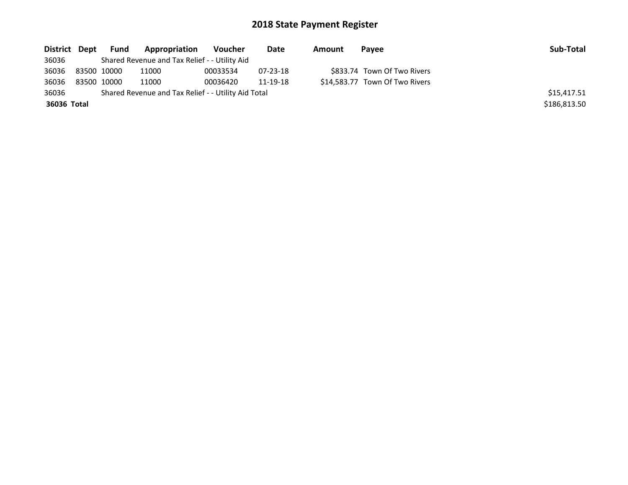| District Dept | Fund        | Appropriation                                       | Voucher  | Date           | Amount | Pavee                          | Sub-Total    |
|---------------|-------------|-----------------------------------------------------|----------|----------------|--------|--------------------------------|--------------|
| 36036         |             | Shared Revenue and Tax Relief - - Utility Aid       |          |                |        |                                |              |
| 36036         | 83500 10000 | 11000                                               | 00033534 | $07 - 23 - 18$ |        | \$833.74 Town Of Two Rivers    |              |
| 36036         | 83500 10000 | 11000                                               | 00036420 | 11-19-18       |        | \$14,583.77 Town Of Two Rivers |              |
| 36036         |             | Shared Revenue and Tax Relief - - Utility Aid Total |          |                |        |                                | \$15,417.51  |
| 36036 Total   |             |                                                     |          |                |        |                                | \$186,813.50 |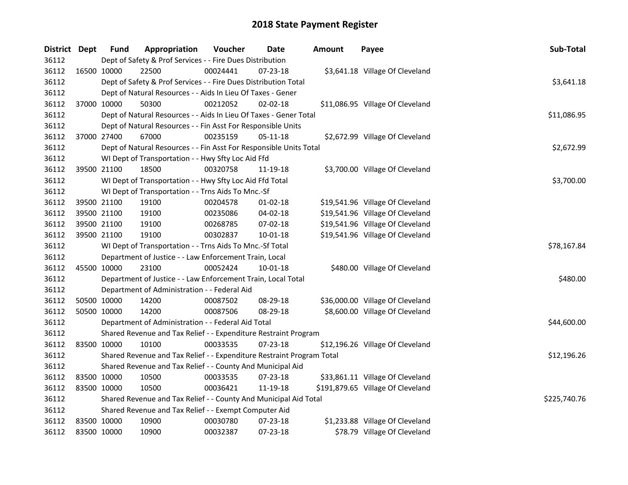| District Dept |             | <b>Fund</b> | Appropriation                                                         | Voucher  | Date           | <b>Amount</b> | Payee                             | Sub-Total    |
|---------------|-------------|-------------|-----------------------------------------------------------------------|----------|----------------|---------------|-----------------------------------|--------------|
| 36112         |             |             | Dept of Safety & Prof Services - - Fire Dues Distribution             |          |                |               |                                   |              |
| 36112         |             | 16500 10000 | 22500                                                                 | 00024441 | 07-23-18       |               | \$3,641.18 Village Of Cleveland   |              |
| 36112         |             |             | Dept of Safety & Prof Services - - Fire Dues Distribution Total       |          |                |               |                                   | \$3,641.18   |
| 36112         |             |             | Dept of Natural Resources - - Aids In Lieu Of Taxes - Gener           |          |                |               |                                   |              |
| 36112         | 37000 10000 |             | 50300                                                                 | 00212052 | 02-02-18       |               | \$11,086.95 Village Of Cleveland  |              |
| 36112         |             |             | Dept of Natural Resources - - Aids In Lieu Of Taxes - Gener Total     |          |                |               |                                   | \$11,086.95  |
| 36112         |             |             | Dept of Natural Resources - - Fin Asst For Responsible Units          |          |                |               |                                   |              |
| 36112         |             | 37000 27400 | 67000                                                                 | 00235159 | 05-11-18       |               | \$2,672.99 Village Of Cleveland   |              |
| 36112         |             |             | Dept of Natural Resources - - Fin Asst For Responsible Units Total    |          |                |               |                                   | \$2,672.99   |
| 36112         |             |             | WI Dept of Transportation - - Hwy Sfty Loc Aid Ffd                    |          |                |               |                                   |              |
| 36112         | 39500 21100 |             | 18500                                                                 | 00320758 | 11-19-18       |               | \$3,700.00 Village Of Cleveland   |              |
| 36112         |             |             | WI Dept of Transportation - - Hwy Sfty Loc Aid Ffd Total              |          |                |               |                                   | \$3,700.00   |
| 36112         |             |             | WI Dept of Transportation - - Trns Aids To Mnc.-Sf                    |          |                |               |                                   |              |
| 36112         |             | 39500 21100 | 19100                                                                 | 00204578 | $01 - 02 - 18$ |               | \$19,541.96 Village Of Cleveland  |              |
| 36112         | 39500 21100 |             | 19100                                                                 | 00235086 | 04-02-18       |               | \$19,541.96 Village Of Cleveland  |              |
| 36112         | 39500 21100 |             | 19100                                                                 | 00268785 | 07-02-18       |               | \$19,541.96 Village Of Cleveland  |              |
| 36112         | 39500 21100 |             | 19100                                                                 | 00302837 | 10-01-18       |               | \$19,541.96 Village Of Cleveland  |              |
| 36112         |             |             | WI Dept of Transportation - - Trns Aids To Mnc.-Sf Total              |          | \$78,167.84    |               |                                   |              |
| 36112         |             |             | Department of Justice - - Law Enforcement Train, Local                |          |                |               |                                   |              |
| 36112         | 45500 10000 |             | 23100                                                                 | 00052424 | 10-01-18       |               | \$480.00 Village Of Cleveland     |              |
| 36112         |             |             | Department of Justice - - Law Enforcement Train, Local Total          |          |                |               |                                   | \$480.00     |
| 36112         |             |             | Department of Administration - - Federal Aid                          |          |                |               |                                   |              |
| 36112         | 50500 10000 |             | 14200                                                                 | 00087502 | 08-29-18       |               | \$36,000.00 Village Of Cleveland  |              |
| 36112         | 50500 10000 |             | 14200                                                                 | 00087506 | 08-29-18       |               | \$8,600.00 Village Of Cleveland   |              |
| 36112         |             |             | Department of Administration - - Federal Aid Total                    |          |                |               |                                   | \$44,600.00  |
| 36112         |             |             | Shared Revenue and Tax Relief - - Expenditure Restraint Program       |          |                |               |                                   |              |
| 36112         | 83500 10000 |             | 10100                                                                 | 00033535 | 07-23-18       |               | \$12,196.26 Village Of Cleveland  |              |
| 36112         |             |             | Shared Revenue and Tax Relief - - Expenditure Restraint Program Total |          |                |               |                                   | \$12,196.26  |
| 36112         |             |             | Shared Revenue and Tax Relief - - County And Municipal Aid            |          |                |               |                                   |              |
| 36112         | 83500 10000 |             | 10500                                                                 | 00033535 | 07-23-18       |               | \$33,861.11 Village Of Cleveland  |              |
| 36112         | 83500 10000 |             | 10500                                                                 | 00036421 | 11-19-18       |               | \$191,879.65 Village Of Cleveland |              |
| 36112         |             |             | Shared Revenue and Tax Relief - - County And Municipal Aid Total      |          |                |               |                                   | \$225,740.76 |
| 36112         |             |             | Shared Revenue and Tax Relief - - Exempt Computer Aid                 |          |                |               |                                   |              |
| 36112         | 83500 10000 |             | 10900                                                                 | 00030780 | 07-23-18       |               | \$1,233.88 Village Of Cleveland   |              |
| 36112         | 83500 10000 |             | 10900                                                                 | 00032387 | 07-23-18       |               | \$78.79 Village Of Cleveland      |              |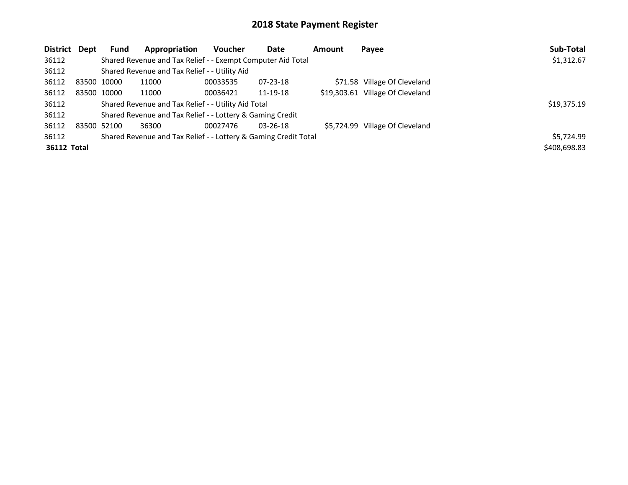| <b>District</b> | Dept        | <b>Fund</b> | Appropriation                                                   | <b>Voucher</b> | Date           | <b>Amount</b> | Payee                            | Sub-Total    |
|-----------------|-------------|-------------|-----------------------------------------------------------------|----------------|----------------|---------------|----------------------------------|--------------|
| 36112           |             |             | Shared Revenue and Tax Relief - - Exempt Computer Aid Total     |                |                |               |                                  | \$1,312.67   |
| 36112           |             |             | Shared Revenue and Tax Relief - - Utility Aid                   |                |                |               |                                  |              |
| 36112           | 83500 10000 |             | 11000                                                           | 00033535       | $07 - 23 - 18$ |               | \$71.58 Village Of Cleveland     |              |
| 36112           |             | 83500 10000 | 11000                                                           | 00036421       | 11-19-18       |               | \$19,303.61 Village Of Cleveland |              |
| 36112           |             |             | Shared Revenue and Tax Relief - - Utility Aid Total             |                |                |               |                                  | \$19,375.19  |
| 36112           |             |             | Shared Revenue and Tax Relief - - Lottery & Gaming Credit       |                |                |               |                                  |              |
| 36112           |             | 83500 52100 | 36300                                                           | 00027476       | 03-26-18       |               | \$5,724.99 Village Of Cleveland  |              |
| 36112           |             |             | Shared Revenue and Tax Relief - - Lottery & Gaming Credit Total |                |                |               |                                  | \$5,724.99   |
| 36112 Total     |             |             |                                                                 |                |                |               |                                  | \$408,698.83 |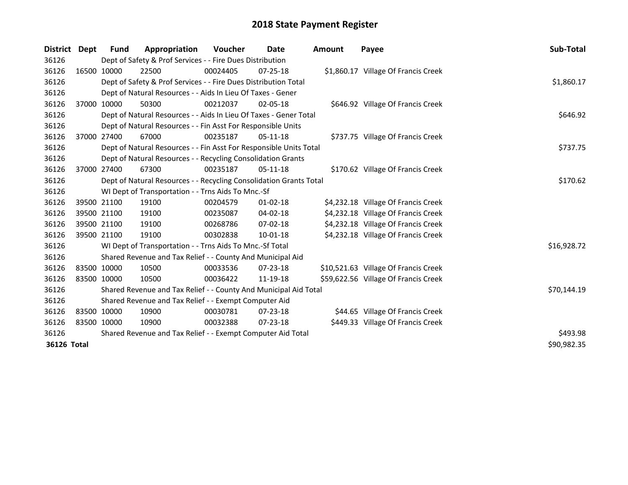| District Dept                     |             | <b>Fund</b>                                           | Appropriation                                                      | <b>Voucher</b> | Date           | Amount | Payee                                | <b>Sub-Total</b> |  |  |  |
|-----------------------------------|-------------|-------------------------------------------------------|--------------------------------------------------------------------|----------------|----------------|--------|--------------------------------------|------------------|--|--|--|
| 36126                             |             |                                                       | Dept of Safety & Prof Services - - Fire Dues Distribution          |                |                |        |                                      |                  |  |  |  |
| 36126                             |             | 16500 10000                                           | 22500                                                              | 00024405       | $07 - 25 - 18$ |        | \$1,860.17 Village Of Francis Creek  |                  |  |  |  |
| 36126                             |             |                                                       | Dept of Safety & Prof Services - - Fire Dues Distribution Total    |                |                |        |                                      | \$1,860.17       |  |  |  |
| 36126                             |             |                                                       | Dept of Natural Resources - - Aids In Lieu Of Taxes - Gener        |                |                |        |                                      |                  |  |  |  |
| 36126                             |             | 37000 10000                                           | 50300                                                              | 00212037       | $02 - 05 - 18$ |        | \$646.92 Village Of Francis Creek    |                  |  |  |  |
| 36126                             |             |                                                       | Dept of Natural Resources - - Aids In Lieu Of Taxes - Gener Total  |                |                |        |                                      |                  |  |  |  |
| 36126                             |             |                                                       | Dept of Natural Resources - - Fin Asst For Responsible Units       |                |                |        |                                      |                  |  |  |  |
| 36126                             |             | 37000 27400                                           | 67000                                                              | 00235187       | $05-11-18$     |        | \$737.75 Village Of Francis Creek    |                  |  |  |  |
| 36126                             |             |                                                       | Dept of Natural Resources - - Fin Asst For Responsible Units Total |                |                |        |                                      | \$737.75         |  |  |  |
| 36126                             |             |                                                       | Dept of Natural Resources - - Recycling Consolidation Grants       |                |                |        |                                      |                  |  |  |  |
| 36126                             |             | 37000 27400                                           | 67300                                                              | 00235187       | $05-11-18$     |        | \$170.62 Village Of Francis Creek    |                  |  |  |  |
| 36126                             |             |                                                       | Dept of Natural Resources - - Recycling Consolidation Grants Total |                |                |        |                                      | \$170.62         |  |  |  |
| 36126                             |             |                                                       | WI Dept of Transportation - - Trns Aids To Mnc.-Sf                 |                |                |        |                                      |                  |  |  |  |
| 36126                             |             | 39500 21100                                           | 19100                                                              | 00204579       | $01 - 02 - 18$ |        | \$4,232.18 Village Of Francis Creek  |                  |  |  |  |
| 36126                             |             | 39500 21100                                           | 19100                                                              | 00235087       | 04-02-18       |        | \$4,232.18 Village Of Francis Creek  |                  |  |  |  |
| 36126                             |             | 39500 21100                                           | 19100                                                              | 00268786       | $07 - 02 - 18$ |        | \$4,232.18 Village Of Francis Creek  |                  |  |  |  |
| 36126                             |             | 39500 21100                                           | 19100                                                              | 00302838       | 10-01-18       |        | \$4,232.18 Village Of Francis Creek  |                  |  |  |  |
| 36126                             |             |                                                       | WI Dept of Transportation - - Trns Aids To Mnc.-Sf Total           |                |                |        |                                      | \$16,928.72      |  |  |  |
| 36126                             |             |                                                       | Shared Revenue and Tax Relief - - County And Municipal Aid         |                |                |        |                                      |                  |  |  |  |
| 36126                             |             | 83500 10000                                           | 10500                                                              | 00033536       | $07 - 23 - 18$ |        | \$10,521.63 Village Of Francis Creek |                  |  |  |  |
| 36126                             | 83500 10000 |                                                       | 10500                                                              | 00036422       | 11-19-18       |        | \$59,622.56 Village Of Francis Creek |                  |  |  |  |
| 36126                             |             |                                                       | Shared Revenue and Tax Relief - - County And Municipal Aid Total   |                |                |        |                                      | \$70,144.19      |  |  |  |
| 36126                             |             | Shared Revenue and Tax Relief - - Exempt Computer Aid |                                                                    |                |                |        |                                      |                  |  |  |  |
| 36126                             |             | 83500 10000                                           | 10900                                                              | 00030781       | $07 - 23 - 18$ |        | \$44.65 Village Of Francis Creek     |                  |  |  |  |
| 36126                             | 83500 10000 |                                                       | 10900                                                              | 00032388       | 07-23-18       |        | \$449.33 Village Of Francis Creek    |                  |  |  |  |
| 36126                             |             |                                                       | Shared Revenue and Tax Relief - - Exempt Computer Aid Total        |                |                |        |                                      | \$493.98         |  |  |  |
| \$90,982.35<br><b>36126 Total</b> |             |                                                       |                                                                    |                |                |        |                                      |                  |  |  |  |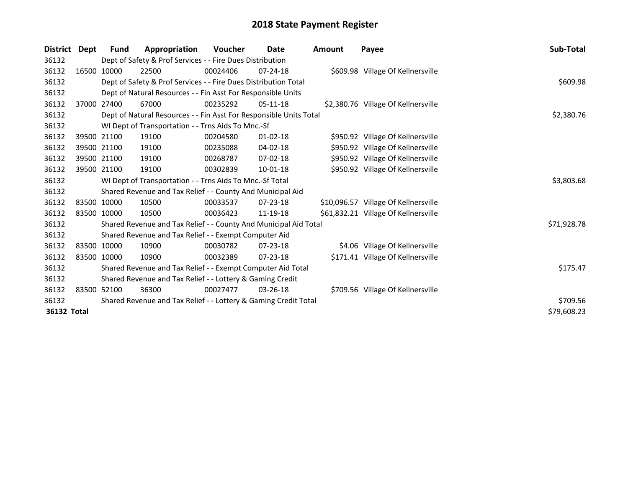| District    | Dept  | <b>Fund</b>                                                     | Appropriation                                                      | <b>Voucher</b> | Date           | <b>Amount</b> | Payee                                | Sub-Total   |  |
|-------------|-------|-----------------------------------------------------------------|--------------------------------------------------------------------|----------------|----------------|---------------|--------------------------------------|-------------|--|
| 36132       |       |                                                                 | Dept of Safety & Prof Services - - Fire Dues Distribution          |                |                |               |                                      |             |  |
| 36132       |       | 16500 10000                                                     | 22500                                                              | 00024406       | $07 - 24 - 18$ |               | \$609.98 Village Of Kellnersville    |             |  |
| 36132       |       |                                                                 | Dept of Safety & Prof Services - - Fire Dues Distribution Total    |                |                |               |                                      | \$609.98    |  |
| 36132       |       |                                                                 | Dept of Natural Resources - - Fin Asst For Responsible Units       |                |                |               |                                      |             |  |
| 36132       | 37000 | 27400                                                           | 67000                                                              | 00235292       | $05-11-18$     |               | \$2,380.76 Village Of Kellnersville  |             |  |
| 36132       |       |                                                                 | Dept of Natural Resources - - Fin Asst For Responsible Units Total |                |                |               |                                      | \$2,380.76  |  |
| 36132       |       |                                                                 | WI Dept of Transportation - - Trns Aids To Mnc.-Sf                 |                |                |               |                                      |             |  |
| 36132       |       | 39500 21100                                                     | 19100                                                              | 00204580       | $01 - 02 - 18$ |               | \$950.92 Village Of Kellnersville    |             |  |
| 36132       |       | 39500 21100                                                     | 19100                                                              | 00235088       | 04-02-18       |               | \$950.92 Village Of Kellnersville    |             |  |
| 36132       |       | 39500 21100                                                     | 19100                                                              | 00268787       | 07-02-18       |               | \$950.92 Village Of Kellnersville    |             |  |
| 36132       |       | 39500 21100                                                     | 19100                                                              | 00302839       | $10-01-18$     |               | \$950.92 Village Of Kellnersville    |             |  |
| 36132       |       |                                                                 | WI Dept of Transportation - - Trns Aids To Mnc.-Sf Total           |                |                |               |                                      | \$3,803.68  |  |
| 36132       |       |                                                                 | Shared Revenue and Tax Relief - - County And Municipal Aid         |                |                |               |                                      |             |  |
| 36132       |       | 83500 10000                                                     | 10500                                                              | 00033537       | $07 - 23 - 18$ |               | \$10,096.57 Village Of Kellnersville |             |  |
| 36132       |       | 83500 10000                                                     | 10500                                                              | 00036423       | 11-19-18       |               | \$61,832.21 Village Of Kellnersville |             |  |
| 36132       |       |                                                                 | Shared Revenue and Tax Relief - - County And Municipal Aid Total   |                |                |               |                                      | \$71,928.78 |  |
| 36132       |       |                                                                 | Shared Revenue and Tax Relief - - Exempt Computer Aid              |                |                |               |                                      |             |  |
| 36132       |       | 83500 10000                                                     | 10900                                                              | 00030782       | 07-23-18       |               | \$4.06 Village Of Kellnersville      |             |  |
| 36132       |       | 83500 10000                                                     | 10900                                                              | 00032389       | $07 - 23 - 18$ |               | \$171.41 Village Of Kellnersville    |             |  |
| 36132       |       |                                                                 | Shared Revenue and Tax Relief - - Exempt Computer Aid Total        | \$175.47       |                |               |                                      |             |  |
| 36132       |       |                                                                 | Shared Revenue and Tax Relief - - Lottery & Gaming Credit          |                |                |               |                                      |             |  |
| 36132       |       | 83500 52100                                                     | 36300                                                              | 00027477       | $03 - 26 - 18$ |               | \$709.56 Village Of Kellnersville    |             |  |
| 36132       |       | Shared Revenue and Tax Relief - - Lottery & Gaming Credit Total |                                                                    |                |                |               |                                      |             |  |
| 36132 Total |       |                                                                 |                                                                    |                |                |               |                                      | \$79,608.23 |  |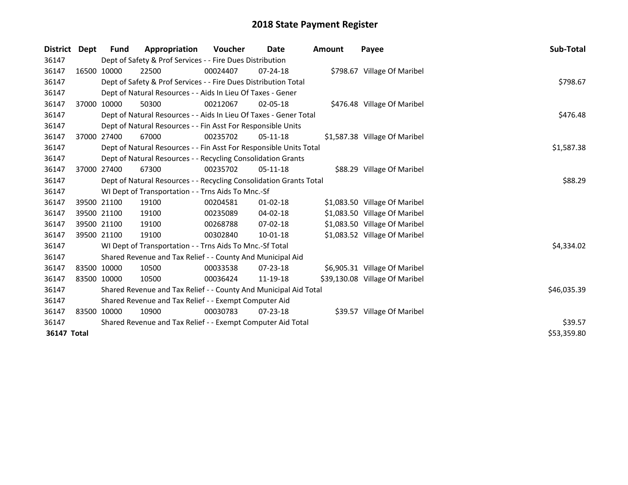| District           | Dept        | <b>Fund</b> | Appropriation                                                      | Voucher     | Date           | <b>Amount</b> | Payee                          | Sub-Total   |
|--------------------|-------------|-------------|--------------------------------------------------------------------|-------------|----------------|---------------|--------------------------------|-------------|
| 36147              |             |             | Dept of Safety & Prof Services - - Fire Dues Distribution          |             |                |               |                                |             |
| 36147              |             | 16500 10000 | 22500                                                              | 00024407    | $07 - 24 - 18$ |               | \$798.67 Village Of Maribel    |             |
| 36147              |             |             | Dept of Safety & Prof Services - - Fire Dues Distribution Total    |             |                |               |                                | \$798.67    |
| 36147              |             |             | Dept of Natural Resources - - Aids In Lieu Of Taxes - Gener        |             |                |               |                                |             |
| 36147              |             | 37000 10000 | 50300                                                              | 00212067    | $02 - 05 - 18$ |               | \$476.48 Village Of Maribel    |             |
| 36147              |             |             | Dept of Natural Resources - - Aids In Lieu Of Taxes - Gener Total  |             |                |               |                                | \$476.48    |
| 36147              |             |             | Dept of Natural Resources - - Fin Asst For Responsible Units       |             |                |               |                                |             |
| 36147              |             | 37000 27400 | 67000                                                              | 00235702    | $05-11-18$     |               | \$1,587.38 Village Of Maribel  |             |
| 36147              |             |             | Dept of Natural Resources - - Fin Asst For Responsible Units Total |             |                |               |                                | \$1,587.38  |
| 36147              |             |             | Dept of Natural Resources - - Recycling Consolidation Grants       |             |                |               |                                |             |
| 36147              |             | 37000 27400 | 67300                                                              | 00235702    | $05-11-18$     |               | \$88.29 Village Of Maribel     |             |
| 36147              |             |             | Dept of Natural Resources - - Recycling Consolidation Grants Total | \$88.29     |                |               |                                |             |
| 36147              |             |             | WI Dept of Transportation - - Trns Aids To Mnc.-Sf                 |             |                |               |                                |             |
| 36147              |             | 39500 21100 | 19100                                                              | 00204581    | 01-02-18       |               | \$1,083.50 Village Of Maribel  |             |
| 36147              |             | 39500 21100 | 19100                                                              | 00235089    | 04-02-18       |               | \$1,083.50 Village Of Maribel  |             |
| 36147              |             | 39500 21100 | 19100                                                              | 00268788    | 07-02-18       |               | \$1,083.50 Village Of Maribel  |             |
| 36147              |             | 39500 21100 | 19100                                                              | 00302840    | $10 - 01 - 18$ |               | \$1,083.52 Village Of Maribel  |             |
| 36147              |             |             | WI Dept of Transportation - - Trns Aids To Mnc.-Sf Total           |             |                |               |                                | \$4,334.02  |
| 36147              |             |             | Shared Revenue and Tax Relief - - County And Municipal Aid         |             |                |               |                                |             |
| 36147              | 83500 10000 |             | 10500                                                              | 00033538    | 07-23-18       |               | \$6,905.31 Village Of Maribel  |             |
| 36147              | 83500 10000 |             | 10500                                                              | 00036424    | 11-19-18       |               | \$39,130.08 Village Of Maribel |             |
| 36147              |             |             | Shared Revenue and Tax Relief - - County And Municipal Aid Total   | \$46,035.39 |                |               |                                |             |
| 36147              |             |             | Shared Revenue and Tax Relief - - Exempt Computer Aid              |             |                |               |                                |             |
| 36147              | 83500 10000 |             | 10900                                                              | 00030783    | 07-23-18       |               | \$39.57 Village Of Maribel     |             |
| 36147              |             |             | Shared Revenue and Tax Relief - - Exempt Computer Aid Total        |             |                |               |                                | \$39.57     |
| <b>36147 Total</b> |             |             |                                                                    |             |                |               |                                | \$53,359.80 |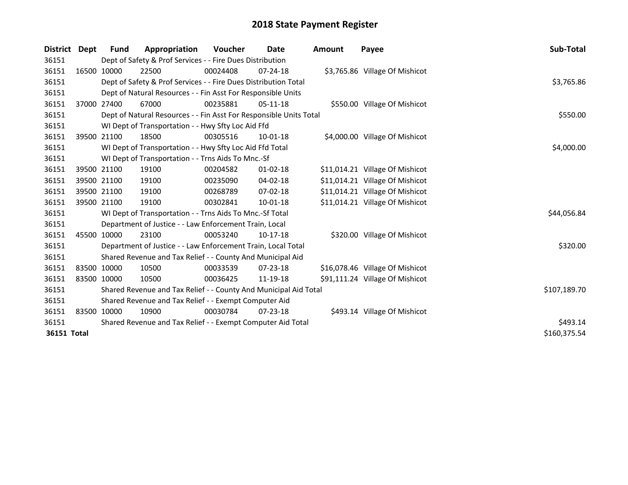| District    | Dept        | <b>Fund</b>                                                 | Appropriation                                                      | <b>Voucher</b> | Date           | Amount | Payee                           | Sub-Total    |
|-------------|-------------|-------------------------------------------------------------|--------------------------------------------------------------------|----------------|----------------|--------|---------------------------------|--------------|
| 36151       |             |                                                             | Dept of Safety & Prof Services - - Fire Dues Distribution          |                |                |        |                                 |              |
| 36151       |             | 16500 10000                                                 | 22500                                                              | 00024408       | $07 - 24 - 18$ |        | \$3,765.86 Village Of Mishicot  |              |
| 36151       |             |                                                             | Dept of Safety & Prof Services - - Fire Dues Distribution Total    |                |                |        |                                 | \$3,765.86   |
| 36151       |             |                                                             | Dept of Natural Resources - - Fin Asst For Responsible Units       |                |                |        |                                 |              |
| 36151       |             | 37000 27400                                                 | 67000                                                              | 00235881       | $05-11-18$     |        | \$550.00 Village Of Mishicot    |              |
| 36151       |             |                                                             | Dept of Natural Resources - - Fin Asst For Responsible Units Total |                |                |        |                                 | \$550.00     |
| 36151       |             |                                                             | WI Dept of Transportation - - Hwy Sfty Loc Aid Ffd                 |                |                |        |                                 |              |
| 36151       | 39500 21100 |                                                             | 18500                                                              | 00305516       | $10-01-18$     |        | \$4,000.00 Village Of Mishicot  |              |
| 36151       |             |                                                             | WI Dept of Transportation - - Hwy Sfty Loc Aid Ffd Total           |                |                |        |                                 | \$4,000.00   |
| 36151       |             |                                                             | WI Dept of Transportation - - Trns Aids To Mnc.-Sf                 |                |                |        |                                 |              |
| 36151       | 39500 21100 |                                                             | 19100                                                              | 00204582       | $01 - 02 - 18$ |        | \$11,014.21 Village Of Mishicot |              |
| 36151       | 39500 21100 |                                                             | 19100                                                              | 00235090       | 04-02-18       |        | \$11,014.21 Village Of Mishicot |              |
| 36151       | 39500 21100 |                                                             | 19100                                                              | 00268789       | $07 - 02 - 18$ |        | \$11,014.21 Village Of Mishicot |              |
| 36151       | 39500 21100 |                                                             | 19100                                                              | 00302841       | 10-01-18       |        | \$11,014.21 Village Of Mishicot |              |
| 36151       |             |                                                             | WI Dept of Transportation - - Trns Aids To Mnc.-Sf Total           |                |                |        |                                 | \$44,056.84  |
| 36151       |             |                                                             | Department of Justice - - Law Enforcement Train, Local             |                |                |        |                                 |              |
| 36151       | 45500 10000 |                                                             | 23100                                                              | 00053240       | $10-17-18$     |        | \$320.00 Village Of Mishicot    |              |
| 36151       |             |                                                             | Department of Justice - - Law Enforcement Train, Local Total       |                |                |        |                                 | \$320.00     |
| 36151       |             |                                                             | Shared Revenue and Tax Relief - - County And Municipal Aid         |                |                |        |                                 |              |
| 36151       | 83500 10000 |                                                             | 10500                                                              | 00033539       | 07-23-18       |        | \$16,078.46 Village Of Mishicot |              |
| 36151       | 83500 10000 |                                                             | 10500                                                              | 00036425       | 11-19-18       |        | \$91,111.24 Village Of Mishicot |              |
| 36151       |             |                                                             | Shared Revenue and Tax Relief - - County And Municipal Aid Total   |                |                |        |                                 | \$107,189.70 |
| 36151       |             |                                                             | Shared Revenue and Tax Relief - - Exempt Computer Aid              |                |                |        |                                 |              |
| 36151       | 83500 10000 |                                                             | 10900                                                              | 00030784       | $07 - 23 - 18$ |        | \$493.14 Village Of Mishicot    |              |
| 36151       |             | Shared Revenue and Tax Relief - - Exempt Computer Aid Total | \$493.14                                                           |                |                |        |                                 |              |
| 36151 Total |             |                                                             |                                                                    |                |                |        |                                 | \$160,375.54 |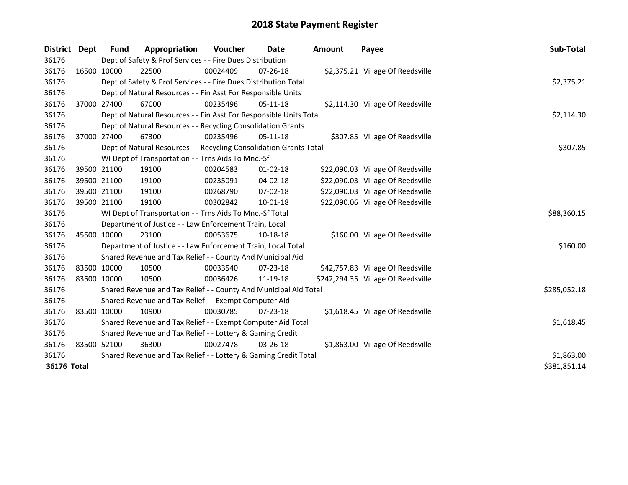| <b>District</b> | Dept         | <b>Fund</b>                                                 | Appropriation                                                      | Voucher    | Date           | <b>Amount</b> | Payee                              | Sub-Total    |  |
|-----------------|--------------|-------------------------------------------------------------|--------------------------------------------------------------------|------------|----------------|---------------|------------------------------------|--------------|--|
| 36176           |              |                                                             | Dept of Safety & Prof Services - - Fire Dues Distribution          |            |                |               |                                    |              |  |
| 36176           | 16500 10000  |                                                             | 22500                                                              | 00024409   | $07 - 26 - 18$ |               | \$2,375.21 Village Of Reedsville   |              |  |
| 36176           |              |                                                             | Dept of Safety & Prof Services - - Fire Dues Distribution Total    |            |                |               |                                    | \$2,375.21   |  |
| 36176           |              |                                                             | Dept of Natural Resources - - Fin Asst For Responsible Units       |            |                |               |                                    |              |  |
| 36176           |              | 37000 27400                                                 | 67000                                                              | 00235496   | $05 - 11 - 18$ |               | \$2,114.30 Village Of Reedsville   |              |  |
| 36176           |              |                                                             | Dept of Natural Resources - - Fin Asst For Responsible Units Total |            |                |               |                                    | \$2,114.30   |  |
| 36176           |              |                                                             | Dept of Natural Resources - - Recycling Consolidation Grants       |            |                |               |                                    |              |  |
| 36176           | 37000 27400  |                                                             | 67300                                                              | 00235496   | 05-11-18       |               | \$307.85 Village Of Reedsville     |              |  |
| 36176           |              |                                                             | Dept of Natural Resources - - Recycling Consolidation Grants Total |            |                |               |                                    | \$307.85     |  |
| 36176           |              |                                                             | WI Dept of Transportation - - Trns Aids To Mnc.-Sf                 |            |                |               |                                    |              |  |
| 36176           |              | 39500 21100                                                 | 19100                                                              | 00204583   | $01 - 02 - 18$ |               | \$22,090.03 Village Of Reedsville  |              |  |
| 36176           | 39500 21100  |                                                             | 19100                                                              | 00235091   | 04-02-18       |               | \$22,090.03 Village Of Reedsville  |              |  |
| 36176           |              | 39500 21100                                                 | 19100                                                              | 00268790   | 07-02-18       |               | \$22,090.03 Village Of Reedsville  |              |  |
| 36176           | 39500 21100  |                                                             | 19100                                                              | 00302842   | $10 - 01 - 18$ |               | \$22,090.06 Village Of Reedsville  |              |  |
| 36176           |              |                                                             | WI Dept of Transportation - - Trns Aids To Mnc.-Sf Total           |            |                |               |                                    | \$88,360.15  |  |
| 36176           |              |                                                             | Department of Justice - - Law Enforcement Train, Local             |            |                |               |                                    |              |  |
| 36176           |              | 45500 10000                                                 | 23100                                                              | 00053675   | 10-18-18       |               | \$160.00 Village Of Reedsville     |              |  |
| 36176           |              |                                                             | Department of Justice - - Law Enforcement Train, Local Total       |            |                |               |                                    | \$160.00     |  |
| 36176           |              |                                                             | Shared Revenue and Tax Relief - - County And Municipal Aid         |            |                |               |                                    |              |  |
| 36176           | 83500 10000  |                                                             | 10500                                                              | 00033540   | $07 - 23 - 18$ |               | \$42,757.83 Village Of Reedsville  |              |  |
| 36176           | 83500 10000  |                                                             | 10500                                                              | 00036426   | 11-19-18       |               | \$242,294.35 Village Of Reedsville |              |  |
| 36176           |              |                                                             | Shared Revenue and Tax Relief - - County And Municipal Aid Total   |            |                |               |                                    | \$285,052.18 |  |
| 36176           |              |                                                             | Shared Revenue and Tax Relief - - Exempt Computer Aid              |            |                |               |                                    |              |  |
| 36176           | 83500 10000  |                                                             | 10900                                                              | 00030785   | 07-23-18       |               | \$1,618.45 Village Of Reedsville   |              |  |
| 36176           |              | Shared Revenue and Tax Relief - - Exempt Computer Aid Total | \$1,618.45                                                         |            |                |               |                                    |              |  |
| 36176           |              | Shared Revenue and Tax Relief - - Lottery & Gaming Credit   |                                                                    |            |                |               |                                    |              |  |
| 36176           |              | 83500 52100                                                 | 36300                                                              | 00027478   | 03-26-18       |               | \$1,863.00 Village Of Reedsville   |              |  |
| 36176           |              |                                                             | Shared Revenue and Tax Relief - - Lottery & Gaming Credit Total    | \$1,863.00 |                |               |                                    |              |  |
| 36176 Total     | \$381,851.14 |                                                             |                                                                    |            |                |               |                                    |              |  |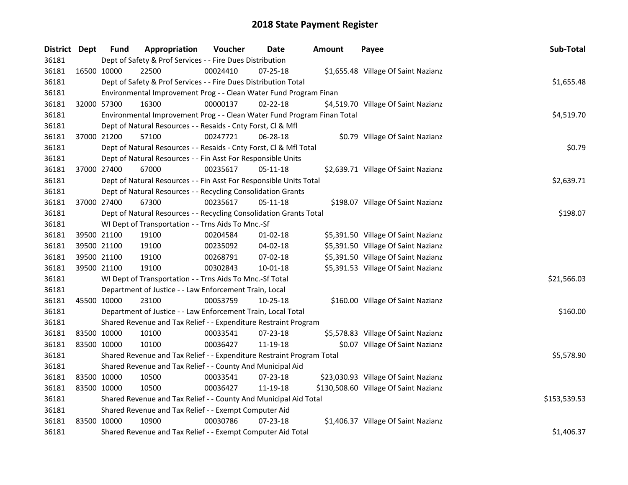| District Dept |             | <b>Fund</b> | Appropriation                                                           | Voucher  | Date           | <b>Amount</b> | Payee                                 | Sub-Total    |
|---------------|-------------|-------------|-------------------------------------------------------------------------|----------|----------------|---------------|---------------------------------------|--------------|
| 36181         |             |             | Dept of Safety & Prof Services - - Fire Dues Distribution               |          |                |               |                                       |              |
| 36181         | 16500 10000 |             | 22500                                                                   | 00024410 | 07-25-18       |               | \$1,655.48 Village Of Saint Nazianz   |              |
| 36181         |             |             | Dept of Safety & Prof Services - - Fire Dues Distribution Total         |          |                |               |                                       | \$1,655.48   |
| 36181         |             |             | Environmental Improvement Prog - - Clean Water Fund Program Finan       |          |                |               |                                       |              |
| 36181         | 32000 57300 |             | 16300                                                                   | 00000137 | $02 - 22 - 18$ |               | \$4,519.70 Village Of Saint Nazianz   |              |
| 36181         |             |             | Environmental Improvement Prog - - Clean Water Fund Program Finan Total |          |                |               |                                       | \$4,519.70   |
| 36181         |             |             | Dept of Natural Resources - - Resaids - Cnty Forst, Cl & Mfl            |          |                |               |                                       |              |
| 36181         |             | 37000 21200 | 57100                                                                   | 00247721 | 06-28-18       |               | \$0.79 Village Of Saint Nazianz       |              |
| 36181         |             |             | Dept of Natural Resources - - Resaids - Cnty Forst, Cl & Mfl Total      |          |                |               |                                       | \$0.79       |
| 36181         |             |             | Dept of Natural Resources - - Fin Asst For Responsible Units            |          |                |               |                                       |              |
| 36181         | 37000 27400 |             | 67000                                                                   | 00235617 | 05-11-18       |               | \$2,639.71 Village Of Saint Nazianz   |              |
| 36181         |             |             | Dept of Natural Resources - - Fin Asst For Responsible Units Total      |          |                |               |                                       | \$2,639.71   |
| 36181         |             |             | Dept of Natural Resources - - Recycling Consolidation Grants            |          |                |               |                                       |              |
| 36181         | 37000 27400 |             | 67300                                                                   | 00235617 | 05-11-18       |               | \$198.07 Village Of Saint Nazianz     |              |
| 36181         |             |             | Dept of Natural Resources - - Recycling Consolidation Grants Total      |          |                |               |                                       | \$198.07     |
| 36181         |             |             | WI Dept of Transportation - - Trns Aids To Mnc.-Sf                      |          |                |               |                                       |              |
| 36181         |             | 39500 21100 | 19100                                                                   | 00204584 | $01-02-18$     |               | \$5,391.50 Village Of Saint Nazianz   |              |
| 36181         |             | 39500 21100 | 19100                                                                   | 00235092 | $04 - 02 - 18$ |               | \$5,391.50 Village Of Saint Nazianz   |              |
| 36181         | 39500 21100 |             | 19100                                                                   | 00268791 | 07-02-18       |               | \$5,391.50 Village Of Saint Nazianz   |              |
| 36181         | 39500 21100 |             | 19100                                                                   | 00302843 | $10 - 01 - 18$ |               | \$5,391.53 Village Of Saint Nazianz   |              |
| 36181         |             |             | WI Dept of Transportation - - Trns Aids To Mnc.-Sf Total                |          |                |               |                                       | \$21,566.03  |
| 36181         |             |             | Department of Justice - - Law Enforcement Train, Local                  |          |                |               |                                       |              |
| 36181         | 45500 10000 |             | 23100                                                                   | 00053759 | 10-25-18       |               | \$160.00 Village Of Saint Nazianz     |              |
| 36181         |             |             | Department of Justice - - Law Enforcement Train, Local Total            |          |                |               |                                       | \$160.00     |
| 36181         |             |             | Shared Revenue and Tax Relief - - Expenditure Restraint Program         |          |                |               |                                       |              |
| 36181         |             | 83500 10000 | 10100                                                                   | 00033541 | 07-23-18       |               | \$5,578.83 Village Of Saint Nazianz   |              |
| 36181         | 83500 10000 |             | 10100                                                                   | 00036427 | 11-19-18       |               | \$0.07 Village Of Saint Nazianz       |              |
| 36181         |             |             | Shared Revenue and Tax Relief - - Expenditure Restraint Program Total   |          |                |               |                                       | \$5,578.90   |
| 36181         |             |             | Shared Revenue and Tax Relief - - County And Municipal Aid              |          |                |               |                                       |              |
| 36181         | 83500 10000 |             | 10500                                                                   | 00033541 | 07-23-18       |               | \$23,030.93 Village Of Saint Nazianz  |              |
| 36181         | 83500 10000 |             | 10500                                                                   | 00036427 | 11-19-18       |               | \$130,508.60 Village Of Saint Nazianz |              |
| 36181         |             |             | Shared Revenue and Tax Relief - - County And Municipal Aid Total        |          |                |               |                                       | \$153,539.53 |
| 36181         |             |             | Shared Revenue and Tax Relief - - Exempt Computer Aid                   |          |                |               |                                       |              |
| 36181         | 83500 10000 |             | 10900                                                                   | 00030786 | 07-23-18       |               | \$1,406.37 Village Of Saint Nazianz   |              |
| 36181         |             |             | Shared Revenue and Tax Relief - - Exempt Computer Aid Total             |          |                |               |                                       | \$1,406.37   |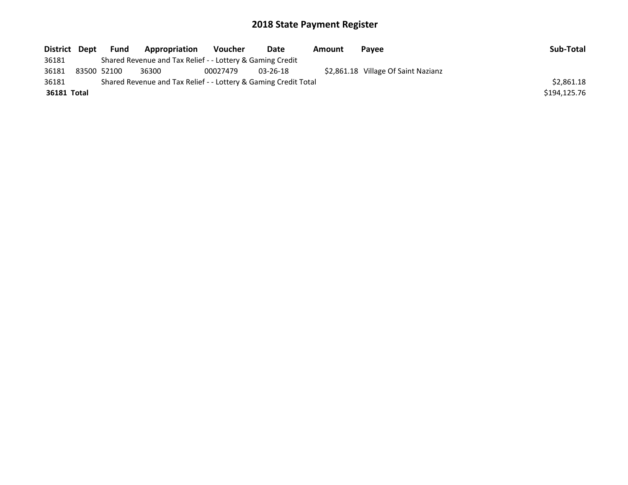| <b>Fund</b> | Appropriation                | Voucher | Date           | Amount                                                    | <b>Pavee</b>                                                    | Sub-Total                           |
|-------------|------------------------------|---------|----------------|-----------------------------------------------------------|-----------------------------------------------------------------|-------------------------------------|
|             |                              |         |                |                                                           |                                                                 |                                     |
|             | 36300                        |         | $03 - 26 - 18$ |                                                           |                                                                 |                                     |
|             |                              |         |                |                                                           |                                                                 | \$2,861.18                          |
|             |                              |         |                |                                                           |                                                                 | \$194,125.76                        |
| 36181 Total | District Dept<br>83500 52100 |         | 00027479       | Shared Revenue and Tax Relief - - Lottery & Gaming Credit | Shared Revenue and Tax Relief - - Lottery & Gaming Credit Total | \$2,861.18 Village Of Saint Nazianz |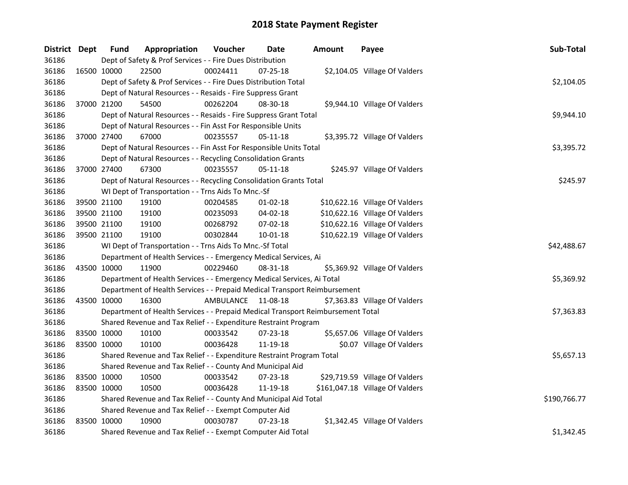| District Dept |             | <b>Fund</b> | Appropriation                                                                   | Voucher            | <b>Date</b>    | <b>Amount</b> | Payee                           | Sub-Total    |
|---------------|-------------|-------------|---------------------------------------------------------------------------------|--------------------|----------------|---------------|---------------------------------|--------------|
| 36186         |             |             | Dept of Safety & Prof Services - - Fire Dues Distribution                       |                    |                |               |                                 |              |
| 36186         | 16500 10000 |             | 22500                                                                           | 00024411           | 07-25-18       |               | \$2,104.05 Village Of Valders   |              |
| 36186         |             |             | Dept of Safety & Prof Services - - Fire Dues Distribution Total                 |                    |                |               |                                 | \$2,104.05   |
| 36186         |             |             | Dept of Natural Resources - - Resaids - Fire Suppress Grant                     |                    |                |               |                                 |              |
| 36186         | 37000 21200 |             | 54500                                                                           | 00262204           | 08-30-18       |               | \$9,944.10 Village Of Valders   |              |
| 36186         |             |             | Dept of Natural Resources - - Resaids - Fire Suppress Grant Total               |                    |                |               |                                 | \$9,944.10   |
| 36186         |             |             | Dept of Natural Resources - - Fin Asst For Responsible Units                    |                    |                |               |                                 |              |
| 36186         | 37000 27400 |             | 67000                                                                           | 00235557           | 05-11-18       |               | \$3,395.72 Village Of Valders   |              |
| 36186         |             |             | Dept of Natural Resources - - Fin Asst For Responsible Units Total              |                    |                |               |                                 | \$3,395.72   |
| 36186         |             |             | Dept of Natural Resources - - Recycling Consolidation Grants                    |                    |                |               |                                 |              |
| 36186         | 37000 27400 |             | 67300                                                                           | 00235557           | $05 - 11 - 18$ |               | \$245.97 Village Of Valders     |              |
| 36186         |             |             | Dept of Natural Resources - - Recycling Consolidation Grants Total              |                    |                |               |                                 | \$245.97     |
| 36186         |             |             | WI Dept of Transportation - - Trns Aids To Mnc.-Sf                              |                    |                |               |                                 |              |
| 36186         | 39500 21100 |             | 19100                                                                           | 00204585           | 01-02-18       |               | \$10,622.16 Village Of Valders  |              |
| 36186         | 39500 21100 |             | 19100                                                                           | 00235093           | 04-02-18       |               | \$10,622.16 Village Of Valders  |              |
| 36186         | 39500 21100 |             | 19100                                                                           | 00268792           | 07-02-18       |               | \$10,622.16 Village Of Valders  |              |
| 36186         |             | 39500 21100 | 19100                                                                           | 00302844           | 10-01-18       |               | \$10,622.19 Village Of Valders  |              |
| 36186         |             |             | WI Dept of Transportation - - Trns Aids To Mnc.-Sf Total                        | \$42,488.67        |                |               |                                 |              |
| 36186         |             |             | Department of Health Services - - Emergency Medical Services, Ai                |                    |                |               |                                 |              |
| 36186         | 43500 10000 |             | 11900                                                                           | 00229460           | 08-31-18       |               | \$5,369.92 Village Of Valders   |              |
| 36186         |             |             | Department of Health Services - - Emergency Medical Services, Ai Total          |                    |                |               |                                 | \$5,369.92   |
| 36186         |             |             | Department of Health Services - - Prepaid Medical Transport Reimbursement       |                    |                |               |                                 |              |
| 36186         | 43500 10000 |             | 16300                                                                           | AMBULANCE 11-08-18 |                |               | \$7,363.83 Village Of Valders   |              |
| 36186         |             |             | Department of Health Services - - Prepaid Medical Transport Reimbursement Total |                    |                |               |                                 | \$7,363.83   |
| 36186         |             |             | Shared Revenue and Tax Relief - - Expenditure Restraint Program                 |                    |                |               |                                 |              |
| 36186         | 83500 10000 |             | 10100                                                                           | 00033542           | 07-23-18       |               | \$5,657.06 Village Of Valders   |              |
| 36186         | 83500 10000 |             | 10100                                                                           | 00036428           | 11-19-18       |               | \$0.07 Village Of Valders       |              |
| 36186         |             |             | Shared Revenue and Tax Relief - - Expenditure Restraint Program Total           |                    |                |               |                                 | \$5,657.13   |
| 36186         |             |             | Shared Revenue and Tax Relief - - County And Municipal Aid                      |                    |                |               |                                 |              |
| 36186         | 83500 10000 |             | 10500                                                                           | 00033542           | 07-23-18       |               | \$29,719.59 Village Of Valders  |              |
| 36186         | 83500 10000 |             | 10500                                                                           | 00036428           | 11-19-18       |               | \$161,047.18 Village Of Valders |              |
| 36186         |             |             | Shared Revenue and Tax Relief - - County And Municipal Aid Total                |                    |                |               |                                 | \$190,766.77 |
| 36186         |             |             | Shared Revenue and Tax Relief - - Exempt Computer Aid                           |                    |                |               |                                 |              |
| 36186         | 83500 10000 |             | 10900                                                                           | 00030787           | $07 - 23 - 18$ |               | \$1,342.45 Village Of Valders   |              |
| 36186         |             |             | Shared Revenue and Tax Relief - - Exempt Computer Aid Total                     |                    |                |               |                                 | \$1,342.45   |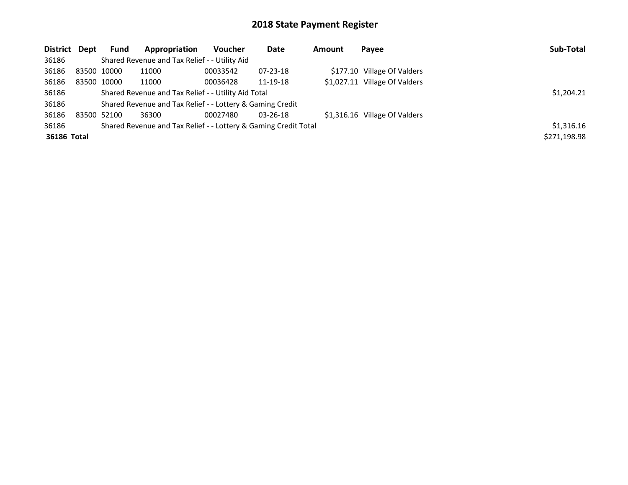| District Dept |             | <b>Fund</b> | Appropriation                                                   | <b>Voucher</b> | Date           | Amount | Payee                         | Sub-Total    |
|---------------|-------------|-------------|-----------------------------------------------------------------|----------------|----------------|--------|-------------------------------|--------------|
| 36186         |             |             | Shared Revenue and Tax Relief - - Utility Aid                   |                |                |        |                               |              |
| 36186         | 83500 10000 |             | 11000                                                           | 00033542       | $07 - 23 - 18$ |        | \$177.10 Village Of Valders   |              |
| 36186         |             | 83500 10000 | 11000                                                           | 00036428       | 11-19-18       |        | \$1,027.11 Village Of Valders |              |
| 36186         |             |             | Shared Revenue and Tax Relief - - Utility Aid Total             |                |                |        |                               | \$1,204.21   |
| 36186         |             |             | Shared Revenue and Tax Relief - - Lottery & Gaming Credit       |                |                |        |                               |              |
| 36186         |             | 83500 52100 | 36300                                                           | 00027480       | $03 - 26 - 18$ |        | \$1,316.16 Village Of Valders |              |
| 36186         |             |             | Shared Revenue and Tax Relief - - Lottery & Gaming Credit Total |                |                |        |                               | \$1,316.16   |
| 36186 Total   |             |             |                                                                 |                |                |        |                               | \$271,198.98 |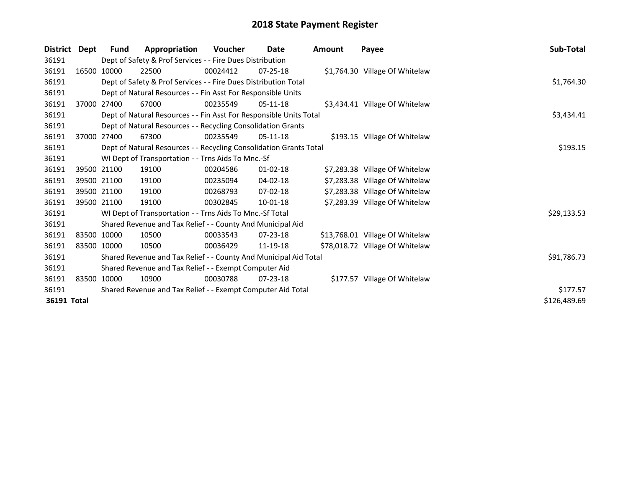| <b>District</b> | Dept | <b>Fund</b> | Appropriation                                                      | Voucher  | Date           | Amount | Payee                           | Sub-Total    |
|-----------------|------|-------------|--------------------------------------------------------------------|----------|----------------|--------|---------------------------------|--------------|
| 36191           |      |             | Dept of Safety & Prof Services - - Fire Dues Distribution          |          |                |        |                                 |              |
| 36191           |      | 16500 10000 | 22500                                                              | 00024412 | $07 - 25 - 18$ |        | \$1,764.30 Village Of Whitelaw  |              |
| 36191           |      |             | Dept of Safety & Prof Services - - Fire Dues Distribution Total    |          |                |        |                                 | \$1,764.30   |
| 36191           |      |             | Dept of Natural Resources - - Fin Asst For Responsible Units       |          |                |        |                                 |              |
| 36191           |      | 37000 27400 | 67000                                                              | 00235549 | 05-11-18       |        | \$3,434.41 Village Of Whitelaw  |              |
| 36191           |      |             | Dept of Natural Resources - - Fin Asst For Responsible Units Total |          |                |        |                                 | \$3,434.41   |
| 36191           |      |             | Dept of Natural Resources - - Recycling Consolidation Grants       |          |                |        |                                 |              |
| 36191           |      | 37000 27400 | 67300                                                              | 00235549 | $05-11-18$     |        | \$193.15 Village Of Whitelaw    |              |
| 36191           |      |             | Dept of Natural Resources - - Recycling Consolidation Grants Total |          |                |        |                                 | \$193.15     |
| 36191           |      |             | WI Dept of Transportation - - Trns Aids To Mnc.-Sf                 |          |                |        |                                 |              |
| 36191           |      | 39500 21100 | 19100                                                              | 00204586 | $01 - 02 - 18$ |        | \$7,283.38 Village Of Whitelaw  |              |
| 36191           |      | 39500 21100 | 19100                                                              | 00235094 | $04 - 02 - 18$ |        | \$7,283.38 Village Of Whitelaw  |              |
| 36191           |      | 39500 21100 | 19100                                                              | 00268793 | $07 - 02 - 18$ |        | \$7,283.38 Village Of Whitelaw  |              |
| 36191           |      | 39500 21100 | 19100                                                              | 00302845 | 10-01-18       |        | \$7,283.39 Village Of Whitelaw  |              |
| 36191           |      |             | WI Dept of Transportation - - Trns Aids To Mnc.-Sf Total           |          |                |        |                                 | \$29,133.53  |
| 36191           |      |             | Shared Revenue and Tax Relief - - County And Municipal Aid         |          |                |        |                                 |              |
| 36191           |      | 83500 10000 | 10500                                                              | 00033543 | $07 - 23 - 18$ |        | \$13,768.01 Village Of Whitelaw |              |
| 36191           |      | 83500 10000 | 10500                                                              | 00036429 | 11-19-18       |        | \$78,018.72 Village Of Whitelaw |              |
| 36191           |      |             | Shared Revenue and Tax Relief - - County And Municipal Aid Total   |          |                |        |                                 | \$91,786.73  |
| 36191           |      |             | Shared Revenue and Tax Relief - - Exempt Computer Aid              |          |                |        |                                 |              |
| 36191           |      | 83500 10000 | 10900                                                              | 00030788 | $07 - 23 - 18$ |        | \$177.57 Village Of Whitelaw    |              |
| 36191           |      |             | Shared Revenue and Tax Relief - - Exempt Computer Aid Total        | \$177.57 |                |        |                                 |              |
| 36191 Total     |      |             |                                                                    |          |                |        |                                 | \$126,489.69 |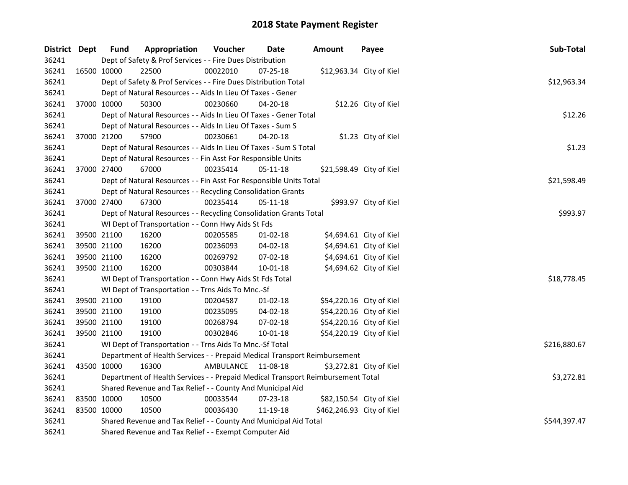| District Dept |             | <b>Fund</b> | Appropriation                                                                   | Voucher      | Date           | <b>Amount</b>             | Payee                    | Sub-Total    |
|---------------|-------------|-------------|---------------------------------------------------------------------------------|--------------|----------------|---------------------------|--------------------------|--------------|
| 36241         |             |             | Dept of Safety & Prof Services - - Fire Dues Distribution                       |              |                |                           |                          |              |
| 36241         | 16500 10000 |             | 22500                                                                           | 00022010     | 07-25-18       |                           | \$12,963.34 City of Kiel |              |
| 36241         |             |             | Dept of Safety & Prof Services - - Fire Dues Distribution Total                 |              |                |                           |                          | \$12,963.34  |
| 36241         |             |             | Dept of Natural Resources - - Aids In Lieu Of Taxes - Gener                     |              |                |                           |                          |              |
| 36241         |             | 37000 10000 | 50300                                                                           | 00230660     | 04-20-18       |                           | \$12.26 City of Kiel     |              |
| 36241         |             |             | Dept of Natural Resources - - Aids In Lieu Of Taxes - Gener Total               |              |                |                           |                          | \$12.26      |
| 36241         |             |             | Dept of Natural Resources - - Aids In Lieu Of Taxes - Sum S                     |              |                |                           |                          |              |
| 36241         |             | 37000 21200 | 57900                                                                           | 00230661     | 04-20-18       |                           | \$1.23 City of Kiel      |              |
| 36241         |             |             | Dept of Natural Resources - - Aids In Lieu Of Taxes - Sum S Total               |              |                |                           |                          | \$1.23       |
| 36241         |             |             | Dept of Natural Resources - - Fin Asst For Responsible Units                    |              |                |                           |                          |              |
| 36241         |             | 37000 27400 | 67000                                                                           | 00235414     | $05 - 11 - 18$ |                           | \$21,598.49 City of Kiel |              |
| 36241         |             |             | Dept of Natural Resources - - Fin Asst For Responsible Units Total              |              |                |                           |                          | \$21,598.49  |
| 36241         |             |             | Dept of Natural Resources - - Recycling Consolidation Grants                    |              |                |                           |                          |              |
| 36241         |             | 37000 27400 | 67300                                                                           | 00235414     | 05-11-18       |                           | \$993.97 City of Kiel    |              |
| 36241         |             |             | Dept of Natural Resources - - Recycling Consolidation Grants Total              |              |                |                           |                          | \$993.97     |
| 36241         |             |             | WI Dept of Transportation - - Conn Hwy Aids St Fds                              |              |                |                           |                          |              |
| 36241         |             | 39500 21100 | 16200                                                                           | 00205585     | $01-02-18$     |                           | \$4,694.61 City of Kiel  |              |
| 36241         |             | 39500 21100 | 16200                                                                           | 00236093     | $04 - 02 - 18$ |                           | \$4,694.61 City of Kiel  |              |
| 36241         |             | 39500 21100 | 16200                                                                           | 00269792     | 07-02-18       |                           | \$4,694.61 City of Kiel  |              |
| 36241         |             | 39500 21100 | 16200                                                                           | 00303844     | $10 - 01 - 18$ |                           | \$4,694.62 City of Kiel  |              |
| 36241         |             |             | WI Dept of Transportation - - Conn Hwy Aids St Fds Total                        |              |                |                           |                          | \$18,778.45  |
| 36241         |             |             | WI Dept of Transportation - - Trns Aids To Mnc.-Sf                              |              |                |                           |                          |              |
| 36241         |             | 39500 21100 | 19100                                                                           | 00204587     | 01-02-18       |                           | \$54,220.16 City of Kiel |              |
| 36241         |             | 39500 21100 | 19100                                                                           | 00235095     | 04-02-18       |                           | \$54,220.16 City of Kiel |              |
| 36241         |             | 39500 21100 | 19100                                                                           | 00268794     | 07-02-18       |                           | \$54,220.16 City of Kiel |              |
| 36241         |             | 39500 21100 | 19100                                                                           | 00302846     | 10-01-18       |                           | \$54,220.19 City of Kiel |              |
| 36241         |             |             | WI Dept of Transportation - - Trns Aids To Mnc.-Sf Total                        |              |                |                           |                          | \$216,880.67 |
| 36241         |             |             | Department of Health Services - - Prepaid Medical Transport Reimbursement       |              |                |                           |                          |              |
| 36241         |             | 43500 10000 | 16300                                                                           | AMBULANCE    | 11-08-18       |                           | \$3,272.81 City of Kiel  |              |
| 36241         |             |             | Department of Health Services - - Prepaid Medical Transport Reimbursement Total |              |                |                           |                          | \$3,272.81   |
| 36241         |             |             | Shared Revenue and Tax Relief - - County And Municipal Aid                      |              |                |                           |                          |              |
| 36241         |             | 83500 10000 | 10500                                                                           | 00033544     | 07-23-18       |                           | \$82,150.54 City of Kiel |              |
| 36241         | 83500 10000 |             | 10500                                                                           | 00036430     | 11-19-18       | \$462,246.93 City of Kiel |                          |              |
| 36241         |             |             | Shared Revenue and Tax Relief - - County And Municipal Aid Total                | \$544,397.47 |                |                           |                          |              |
| 36241         |             |             | Shared Revenue and Tax Relief - - Exempt Computer Aid                           |              |                |                           |                          |              |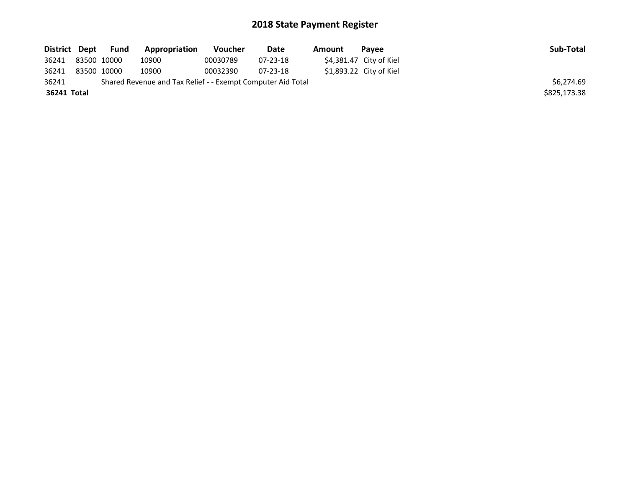| District Dept |             | <b>Fund</b> | Appropriation                                               | <b>Voucher</b> | Date     | Amount | Pavee                    | Sub-Total    |
|---------------|-------------|-------------|-------------------------------------------------------------|----------------|----------|--------|--------------------------|--------------|
| 36241         | 83500 10000 |             | 10900                                                       | 00030789       | 07-23-18 |        | $$4,381.47$ City of Kiel |              |
| 36241         | 83500 10000 |             | 10900                                                       | 00032390       | 07-23-18 |        | $$1,893.22$ City of Kiel |              |
| 36241         |             |             | Shared Revenue and Tax Relief - - Exempt Computer Aid Total |                |          |        |                          | \$6.274.69   |
| 36241 Total   |             |             |                                                             |                |          |        |                          | \$825,173.38 |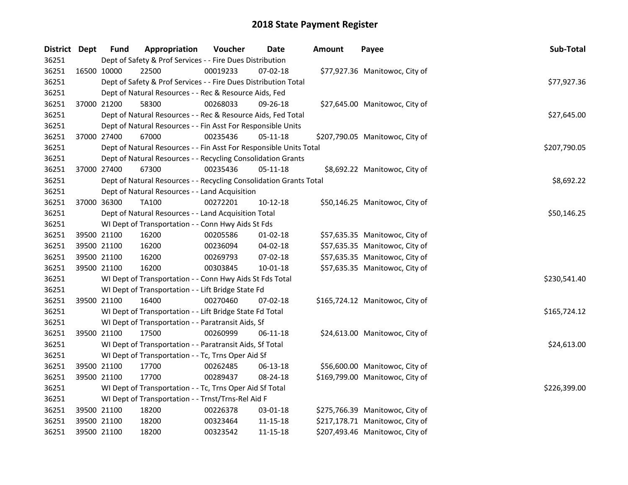| District Dept |             | <b>Fund</b>                                                  | Appropriation                                                      | Voucher  | Date           | <b>Amount</b> | Payee                           | Sub-Total    |
|---------------|-------------|--------------------------------------------------------------|--------------------------------------------------------------------|----------|----------------|---------------|---------------------------------|--------------|
| 36251         |             |                                                              | Dept of Safety & Prof Services - - Fire Dues Distribution          |          |                |               |                                 |              |
| 36251         | 16500 10000 |                                                              | 22500                                                              | 00019233 | 07-02-18       |               | \$77,927.36 Manitowoc, City of  |              |
| 36251         |             |                                                              | Dept of Safety & Prof Services - - Fire Dues Distribution Total    |          |                |               |                                 | \$77,927.36  |
| 36251         |             |                                                              | Dept of Natural Resources - - Rec & Resource Aids, Fed             |          |                |               |                                 |              |
| 36251         |             | 37000 21200                                                  | 58300                                                              | 00268033 | $09 - 26 - 18$ |               | \$27,645.00 Manitowoc, City of  |              |
| 36251         |             |                                                              | Dept of Natural Resources - - Rec & Resource Aids, Fed Total       |          |                |               |                                 | \$27,645.00  |
| 36251         |             |                                                              | Dept of Natural Resources - - Fin Asst For Responsible Units       |          |                |               |                                 |              |
| 36251         |             | 37000 27400                                                  | 67000                                                              | 00235436 | 05-11-18       |               | \$207,790.05 Manitowoc, City of |              |
| 36251         |             |                                                              | Dept of Natural Resources - - Fin Asst For Responsible Units Total |          |                |               |                                 | \$207,790.05 |
| 36251         |             | Dept of Natural Resources - - Recycling Consolidation Grants |                                                                    |          |                |               |                                 |              |
| 36251         |             | 37000 27400                                                  | 67300                                                              | 00235436 | $05-11-18$     |               | \$8,692.22 Manitowoc, City of   |              |
| 36251         |             |                                                              | Dept of Natural Resources - - Recycling Consolidation Grants Total |          |                |               |                                 | \$8,692.22   |
| 36251         |             |                                                              | Dept of Natural Resources - - Land Acquisition                     |          |                |               |                                 |              |
| 36251         |             | 37000 36300                                                  | TA100                                                              | 00272201 | 10-12-18       |               | \$50,146.25 Manitowoc, City of  |              |
| 36251         |             |                                                              | Dept of Natural Resources - - Land Acquisition Total               |          |                |               |                                 | \$50,146.25  |
| 36251         |             |                                                              | WI Dept of Transportation - - Conn Hwy Aids St Fds                 |          |                |               |                                 |              |
| 36251         |             | 39500 21100                                                  | 16200                                                              | 00205586 | $01-02-18$     |               | \$57,635.35 Manitowoc, City of  |              |
| 36251         |             | 39500 21100                                                  | 16200                                                              | 00236094 | 04-02-18       |               | \$57,635.35 Manitowoc, City of  |              |
| 36251         |             | 39500 21100                                                  | 16200                                                              | 00269793 | 07-02-18       |               | \$57,635.35 Manitowoc, City of  |              |
| 36251         |             | 39500 21100                                                  | 16200                                                              | 00303845 | 10-01-18       |               | \$57,635.35 Manitowoc, City of  |              |
| 36251         |             |                                                              | WI Dept of Transportation - - Conn Hwy Aids St Fds Total           |          |                |               |                                 | \$230,541.40 |
| 36251         |             |                                                              | WI Dept of Transportation - - Lift Bridge State Fd                 |          |                |               |                                 |              |
| 36251         | 39500 21100 |                                                              | 16400                                                              | 00270460 | 07-02-18       |               | \$165,724.12 Manitowoc, City of |              |
| 36251         |             |                                                              | WI Dept of Transportation - - Lift Bridge State Fd Total           |          |                |               |                                 | \$165,724.12 |
| 36251         |             |                                                              | WI Dept of Transportation - - Paratransit Aids, Sf                 |          |                |               |                                 |              |
| 36251         |             | 39500 21100                                                  | 17500                                                              | 00260999 | 06-11-18       |               | \$24,613.00 Manitowoc, City of  |              |
| 36251         |             |                                                              | WI Dept of Transportation - - Paratransit Aids, Sf Total           |          |                |               |                                 | \$24,613.00  |
| 36251         |             |                                                              | WI Dept of Transportation - - Tc, Trns Oper Aid Sf                 |          |                |               |                                 |              |
| 36251         |             | 39500 21100                                                  | 17700                                                              | 00262485 | 06-13-18       |               | \$56,600.00 Manitowoc, City of  |              |
| 36251         |             | 39500 21100                                                  | 17700                                                              | 00289437 | 08-24-18       |               | \$169,799.00 Manitowoc, City of |              |
| 36251         |             |                                                              | WI Dept of Transportation - - Tc, Trns Oper Aid Sf Total           |          |                |               |                                 | \$226,399.00 |
| 36251         |             |                                                              | WI Dept of Transportation - - Trnst/Trns-Rel Aid F                 |          |                |               |                                 |              |
| 36251         |             | 39500 21100                                                  | 18200                                                              | 00226378 | 03-01-18       |               | \$275,766.39 Manitowoc, City of |              |
| 36251         | 39500 21100 |                                                              | 18200                                                              | 00323464 | 11-15-18       |               | \$217,178.71 Manitowoc, City of |              |
| 36251         |             | 39500 21100                                                  | 18200                                                              | 00323542 | 11-15-18       |               | \$207,493.46 Manitowoc, City of |              |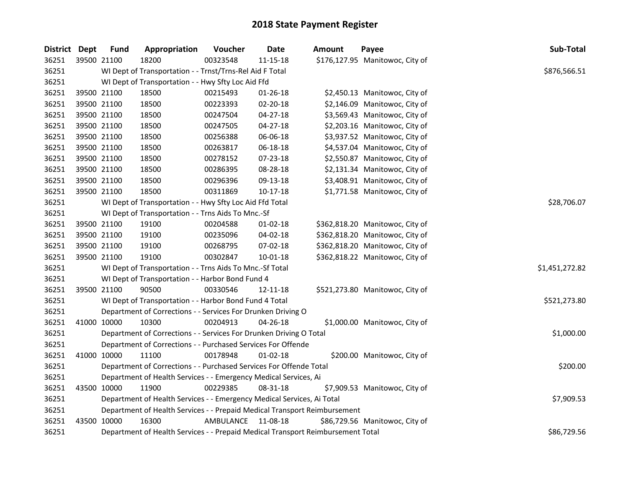| District Dept |             | <b>Fund</b>                                                            | Appropriation                                                                   | Voucher   | Date           | <b>Amount</b> | Payee                           | Sub-Total      |  |  |
|---------------|-------------|------------------------------------------------------------------------|---------------------------------------------------------------------------------|-----------|----------------|---------------|---------------------------------|----------------|--|--|
| 36251         | 39500 21100 |                                                                        | 18200                                                                           | 00323548  | $11 - 15 - 18$ |               | \$176,127.95 Manitowoc, City of |                |  |  |
| 36251         |             |                                                                        | WI Dept of Transportation - - Trnst/Trns-Rel Aid F Total                        |           |                |               |                                 | \$876,566.51   |  |  |
| 36251         |             |                                                                        | WI Dept of Transportation - - Hwy Sfty Loc Aid Ffd                              |           |                |               |                                 |                |  |  |
| 36251         |             | 39500 21100                                                            | 18500                                                                           | 00215493  | 01-26-18       |               | \$2,450.13 Manitowoc, City of   |                |  |  |
| 36251         |             | 39500 21100                                                            | 18500                                                                           | 00223393  | 02-20-18       |               | \$2,146.09 Manitowoc, City of   |                |  |  |
| 36251         | 39500 21100 |                                                                        | 18500                                                                           | 00247504  | $04 - 27 - 18$ |               | \$3,569.43 Manitowoc, City of   |                |  |  |
| 36251         |             | 39500 21100                                                            | 18500                                                                           | 00247505  | $04 - 27 - 18$ |               | \$2,203.16 Manitowoc, City of   |                |  |  |
| 36251         |             | 39500 21100                                                            | 18500                                                                           | 00256388  | 06-06-18       |               | \$3,937.52 Manitowoc, City of   |                |  |  |
| 36251         |             | 39500 21100                                                            | 18500                                                                           | 00263817  | 06-18-18       |               | \$4,537.04 Manitowoc, City of   |                |  |  |
| 36251         |             | 39500 21100                                                            | 18500                                                                           | 00278152  | 07-23-18       |               | \$2,550.87 Manitowoc, City of   |                |  |  |
| 36251         |             | 39500 21100                                                            | 18500                                                                           | 00286395  | 08-28-18       |               | \$2,131.34 Manitowoc, City of   |                |  |  |
| 36251         |             | 39500 21100                                                            | 18500                                                                           | 00296396  | 09-13-18       |               | \$3,408.91 Manitowoc, City of   |                |  |  |
| 36251         | 39500 21100 |                                                                        | 18500                                                                           | 00311869  | $10-17-18$     |               | \$1,771.58 Manitowoc, City of   |                |  |  |
| 36251         |             |                                                                        | WI Dept of Transportation - - Hwy Sfty Loc Aid Ffd Total                        |           |                | \$28,706.07   |                                 |                |  |  |
| 36251         |             |                                                                        | WI Dept of Transportation - - Trns Aids To Mnc.-Sf                              |           |                |               |                                 |                |  |  |
| 36251         |             | 39500 21100                                                            | 19100                                                                           | 00204588  | $01-02-18$     |               | \$362,818.20 Manitowoc, City of |                |  |  |
| 36251         |             | 39500 21100                                                            | 19100                                                                           | 00235096  | 04-02-18       |               | \$362,818.20 Manitowoc, City of |                |  |  |
| 36251         |             | 39500 21100                                                            | 19100                                                                           | 00268795  | 07-02-18       |               | \$362,818.20 Manitowoc, City of |                |  |  |
| 36251         |             | 39500 21100                                                            | 19100                                                                           | 00302847  | $10 - 01 - 18$ |               | \$362,818.22 Manitowoc, City of |                |  |  |
| 36251         |             |                                                                        | WI Dept of Transportation - - Trns Aids To Mnc.-Sf Total                        |           |                |               |                                 | \$1,451,272.82 |  |  |
| 36251         |             |                                                                        | WI Dept of Transportation - - Harbor Bond Fund 4                                |           |                |               |                                 |                |  |  |
| 36251         |             | 39500 21100                                                            | 90500                                                                           | 00330546  | 12-11-18       |               | \$521,273.80 Manitowoc, City of |                |  |  |
| 36251         |             |                                                                        | WI Dept of Transportation - - Harbor Bond Fund 4 Total                          |           |                |               |                                 | \$521,273.80   |  |  |
| 36251         |             |                                                                        | Department of Corrections - - Services For Drunken Driving O                    |           |                |               |                                 |                |  |  |
| 36251         |             | 41000 10000                                                            | 10300                                                                           | 00204913  | 04-26-18       |               | \$1,000.00 Manitowoc, City of   |                |  |  |
| 36251         |             |                                                                        | Department of Corrections - - Services For Drunken Driving O Total              |           |                |               |                                 | \$1,000.00     |  |  |
| 36251         |             |                                                                        | Department of Corrections - - Purchased Services For Offende                    |           |                |               |                                 |                |  |  |
| 36251         | 41000 10000 |                                                                        | 11100                                                                           | 00178948  | 01-02-18       |               | \$200.00 Manitowoc, City of     |                |  |  |
| 36251         |             |                                                                        | Department of Corrections - - Purchased Services For Offende Total              |           |                |               |                                 | \$200.00       |  |  |
| 36251         |             |                                                                        | Department of Health Services - - Emergency Medical Services, Ai                |           |                |               |                                 |                |  |  |
| 36251         |             | 43500 10000                                                            | 11900                                                                           | 00229385  | 08-31-18       |               | \$7,909.53 Manitowoc, City of   |                |  |  |
| 36251         |             | Department of Health Services - - Emergency Medical Services, Ai Total | \$7,909.53                                                                      |           |                |               |                                 |                |  |  |
| 36251         |             |                                                                        | Department of Health Services - - Prepaid Medical Transport Reimbursement       |           |                |               |                                 |                |  |  |
| 36251         |             | 43500 10000                                                            | 16300                                                                           | AMBULANCE | 11-08-18       |               | \$86,729.56 Manitowoc, City of  |                |  |  |
| 36251         |             |                                                                        | Department of Health Services - - Prepaid Medical Transport Reimbursement Total |           |                |               |                                 | \$86,729.56    |  |  |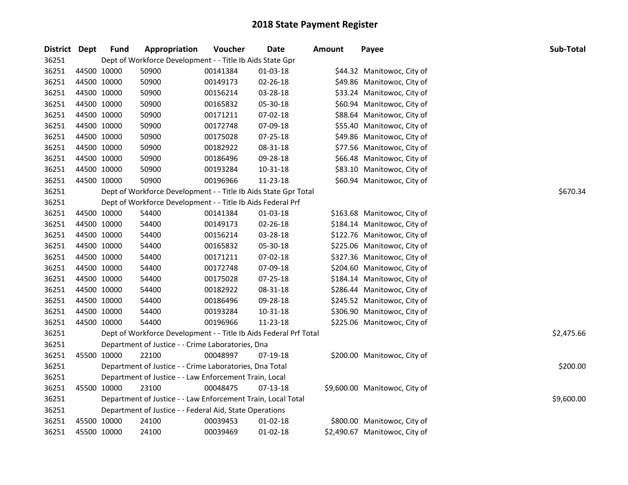| District Dept |             | <b>Fund</b> | Appropriation                                                     | Voucher  | Date           | <b>Amount</b> | Payee                         | Sub-Total  |
|---------------|-------------|-------------|-------------------------------------------------------------------|----------|----------------|---------------|-------------------------------|------------|
| 36251         |             |             | Dept of Workforce Development - - Title Ib Aids State Gpr         |          |                |               |                               |            |
| 36251         | 44500 10000 |             | 50900                                                             | 00141384 | 01-03-18       |               | \$44.32 Manitowoc, City of    |            |
| 36251         | 44500 10000 |             | 50900                                                             | 00149173 | 02-26-18       |               | \$49.86 Manitowoc, City of    |            |
| 36251         | 44500 10000 |             | 50900                                                             | 00156214 | 03-28-18       |               | \$33.24 Manitowoc, City of    |            |
| 36251         | 44500 10000 |             | 50900                                                             | 00165832 | 05-30-18       |               | \$60.94 Manitowoc, City of    |            |
| 36251         | 44500 10000 |             | 50900                                                             | 00171211 | 07-02-18       |               | \$88.64 Manitowoc, City of    |            |
| 36251         | 44500 10000 |             | 50900                                                             | 00172748 | 07-09-18       |               | \$55.40 Manitowoc, City of    |            |
| 36251         | 44500 10000 |             | 50900                                                             | 00175028 | 07-25-18       |               | \$49.86 Manitowoc, City of    |            |
| 36251         | 44500 10000 |             | 50900                                                             | 00182922 | 08-31-18       |               | \$77.56 Manitowoc, City of    |            |
| 36251         | 44500 10000 |             | 50900                                                             | 00186496 | 09-28-18       |               | \$66.48 Manitowoc, City of    |            |
| 36251         | 44500 10000 |             | 50900                                                             | 00193284 | 10-31-18       |               | \$83.10 Manitowoc, City of    |            |
| 36251         | 44500 10000 |             | 50900                                                             | 00196966 | 11-23-18       |               | \$60.94 Manitowoc, City of    |            |
| 36251         |             |             | Dept of Workforce Development - - Title Ib Aids State Gpr Total   |          |                |               |                               | \$670.34   |
| 36251         |             |             | Dept of Workforce Development - - Title Ib Aids Federal Prf       |          |                |               |                               |            |
| 36251         | 44500 10000 |             | 54400                                                             | 00141384 | 01-03-18       |               | \$163.68 Manitowoc, City of   |            |
| 36251         | 44500 10000 |             | 54400                                                             | 00149173 | 02-26-18       |               | \$184.14 Manitowoc, City of   |            |
| 36251         | 44500 10000 |             | 54400                                                             | 00156214 | 03-28-18       |               | \$122.76 Manitowoc, City of   |            |
| 36251         | 44500 10000 |             | 54400                                                             | 00165832 | 05-30-18       |               | \$225.06 Manitowoc, City of   |            |
| 36251         | 44500 10000 |             | 54400                                                             | 00171211 | 07-02-18       |               | \$327.36 Manitowoc, City of   |            |
| 36251         | 44500 10000 |             | 54400                                                             | 00172748 | 07-09-18       |               | \$204.60 Manitowoc, City of   |            |
| 36251         | 44500 10000 |             | 54400                                                             | 00175028 | 07-25-18       |               | \$184.14 Manitowoc, City of   |            |
| 36251         | 44500 10000 |             | 54400                                                             | 00182922 | 08-31-18       |               | \$286.44 Manitowoc, City of   |            |
| 36251         | 44500 10000 |             | 54400                                                             | 00186496 | 09-28-18       |               | \$245.52 Manitowoc, City of   |            |
| 36251         | 44500 10000 |             | 54400                                                             | 00193284 | 10-31-18       |               | \$306.90 Manitowoc, City of   |            |
| 36251         | 44500 10000 |             | 54400                                                             | 00196966 | 11-23-18       |               | \$225.06 Manitowoc, City of   |            |
| 36251         |             |             | Dept of Workforce Development - - Title Ib Aids Federal Prf Total |          |                |               |                               | \$2,475.66 |
| 36251         |             |             | Department of Justice - - Crime Laboratories, Dna                 |          |                |               |                               |            |
| 36251         | 45500 10000 |             | 22100                                                             | 00048997 | 07-19-18       |               | \$200.00 Manitowoc, City of   |            |
| 36251         |             |             | Department of Justice - - Crime Laboratories, Dna Total           |          |                |               |                               | \$200.00   |
| 36251         |             |             | Department of Justice - - Law Enforcement Train, Local            |          |                |               |                               |            |
| 36251         | 45500 10000 |             | 23100                                                             | 00048475 | 07-13-18       |               | \$9,600.00 Manitowoc, City of |            |
| 36251         |             |             | Department of Justice - - Law Enforcement Train, Local Total      |          |                |               |                               | \$9,600.00 |
| 36251         |             |             | Department of Justice - - Federal Aid, State Operations           |          |                |               |                               |            |
| 36251         | 45500 10000 |             | 24100                                                             | 00039453 | 01-02-18       |               | \$800.00 Manitowoc, City of   |            |
| 36251         | 45500 10000 |             | 24100                                                             | 00039469 | $01 - 02 - 18$ |               | \$2,490.67 Manitowoc, City of |            |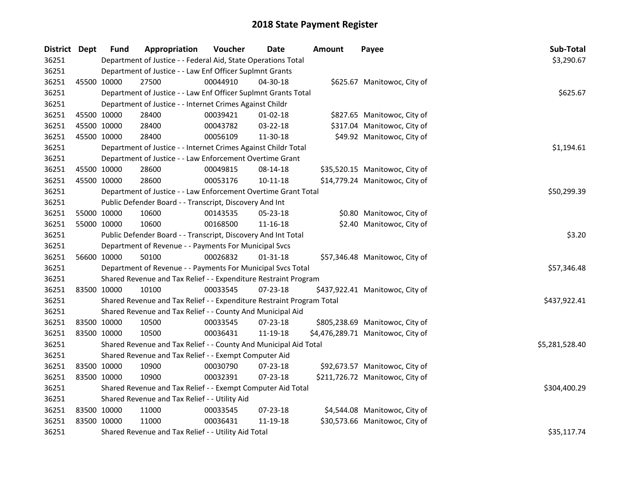| District Dept |             | <b>Fund</b> | Appropriation                                                         | Voucher  | <b>Date</b>    | <b>Amount</b> | Payee                             | Sub-Total      |
|---------------|-------------|-------------|-----------------------------------------------------------------------|----------|----------------|---------------|-----------------------------------|----------------|
| 36251         |             |             | Department of Justice - - Federal Aid, State Operations Total         |          |                |               |                                   | \$3,290.67     |
| 36251         |             |             | Department of Justice - - Law Enf Officer Suplmnt Grants              |          |                |               |                                   |                |
| 36251         |             | 45500 10000 | 27500                                                                 | 00044910 | 04-30-18       |               | \$625.67 Manitowoc, City of       |                |
| 36251         |             |             | Department of Justice - - Law Enf Officer Suplmnt Grants Total        |          |                |               |                                   | \$625.67       |
| 36251         |             |             | Department of Justice - - Internet Crimes Against Childr              |          |                |               |                                   |                |
| 36251         |             | 45500 10000 | 28400                                                                 | 00039421 | $01 - 02 - 18$ |               | \$827.65 Manitowoc, City of       |                |
| 36251         |             | 45500 10000 | 28400                                                                 | 00043782 | 03-22-18       |               | \$317.04 Manitowoc, City of       |                |
| 36251         |             | 45500 10000 | 28400                                                                 | 00056109 | 11-30-18       |               | \$49.92 Manitowoc, City of        |                |
| 36251         |             |             | Department of Justice - - Internet Crimes Against Childr Total        |          |                |               |                                   | \$1,194.61     |
| 36251         |             |             | Department of Justice - - Law Enforcement Overtime Grant              |          |                |               |                                   |                |
| 36251         |             | 45500 10000 | 28600                                                                 | 00049815 | 08-14-18       |               | \$35,520.15 Manitowoc, City of    |                |
| 36251         |             | 45500 10000 | 28600                                                                 | 00053176 | $10-11-18$     |               | \$14,779.24 Manitowoc, City of    |                |
| 36251         |             |             | Department of Justice - - Law Enforcement Overtime Grant Total        |          |                |               |                                   | \$50,299.39    |
| 36251         |             |             | Public Defender Board - - Transcript, Discovery And Int               |          |                |               |                                   |                |
| 36251         |             | 55000 10000 | 10600                                                                 | 00143535 | 05-23-18       |               | \$0.80 Manitowoc, City of         |                |
| 36251         | 55000 10000 |             | 10600                                                                 | 00168500 | 11-16-18       |               | \$2.40 Manitowoc, City of         |                |
| 36251         |             |             | Public Defender Board - - Transcript, Discovery And Int Total         |          |                |               |                                   | \$3.20         |
| 36251         |             |             | Department of Revenue - - Payments For Municipal Svcs                 |          |                |               |                                   |                |
| 36251         |             | 56600 10000 | 50100                                                                 | 00026832 | $01 - 31 - 18$ |               | \$57,346.48 Manitowoc, City of    |                |
| 36251         |             |             | Department of Revenue - - Payments For Municipal Svcs Total           |          |                |               |                                   | \$57,346.48    |
| 36251         |             |             | Shared Revenue and Tax Relief - - Expenditure Restraint Program       |          |                |               |                                   |                |
| 36251         |             | 83500 10000 | 10100                                                                 | 00033545 | 07-23-18       |               | \$437,922.41 Manitowoc, City of   |                |
| 36251         |             |             | Shared Revenue and Tax Relief - - Expenditure Restraint Program Total |          |                |               |                                   | \$437,922.41   |
| 36251         |             |             | Shared Revenue and Tax Relief - - County And Municipal Aid            |          |                |               |                                   |                |
| 36251         | 83500 10000 |             | 10500                                                                 | 00033545 | 07-23-18       |               | \$805,238.69 Manitowoc, City of   |                |
| 36251         |             | 83500 10000 | 10500                                                                 | 00036431 | 11-19-18       |               | \$4,476,289.71 Manitowoc, City of |                |
| 36251         |             |             | Shared Revenue and Tax Relief - - County And Municipal Aid Total      |          |                |               |                                   | \$5,281,528.40 |
| 36251         |             |             | Shared Revenue and Tax Relief - - Exempt Computer Aid                 |          |                |               |                                   |                |
| 36251         |             | 83500 10000 | 10900                                                                 | 00030790 | 07-23-18       |               | \$92,673.57 Manitowoc, City of    |                |
| 36251         | 83500 10000 |             | 10900                                                                 | 00032391 | 07-23-18       |               | \$211,726.72 Manitowoc, City of   |                |
| 36251         |             |             | Shared Revenue and Tax Relief - - Exempt Computer Aid Total           |          |                |               |                                   | \$304,400.29   |
| 36251         |             |             | Shared Revenue and Tax Relief - - Utility Aid                         |          |                |               |                                   |                |
| 36251         |             | 83500 10000 | 11000                                                                 | 00033545 | 07-23-18       |               | \$4,544.08 Manitowoc, City of     |                |
| 36251         |             | 83500 10000 | 11000                                                                 | 00036431 | 11-19-18       |               | \$30,573.66 Manitowoc, City of    |                |
| 36251         |             |             | Shared Revenue and Tax Relief - - Utility Aid Total                   |          |                | \$35,117.74   |                                   |                |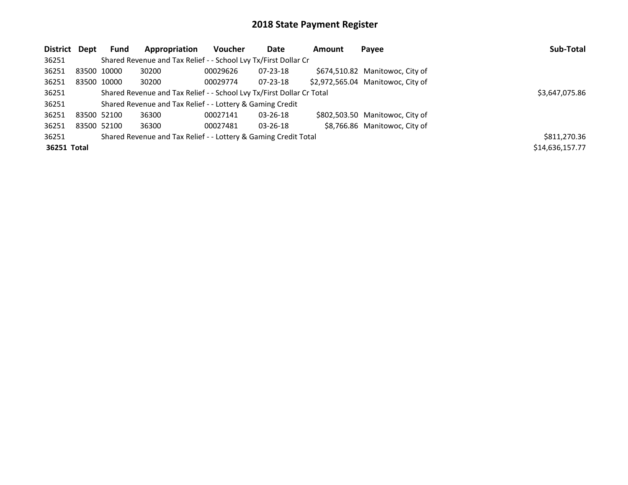| District Dept | <b>Fund</b> | Appropriation                                                         | <b>Voucher</b> | Date           | Amount         | Payee                             | Sub-Total       |
|---------------|-------------|-----------------------------------------------------------------------|----------------|----------------|----------------|-----------------------------------|-----------------|
| 36251         |             | Shared Revenue and Tax Relief - - School Lvy Tx/First Dollar Cr       |                |                |                |                                   |                 |
| 36251         | 83500 10000 | 30200                                                                 | 00029626       | $07 - 23 - 18$ |                | \$674,510.82 Manitowoc, City of   |                 |
| 36251         | 83500 10000 | 30200                                                                 | 00029774       | 07-23-18       |                | \$2,972,565.04 Manitowoc, City of |                 |
| 36251         |             | Shared Revenue and Tax Relief - - School Lvy Tx/First Dollar Cr Total |                |                | \$3,647,075.86 |                                   |                 |
| 36251         |             | Shared Revenue and Tax Relief - - Lottery & Gaming Credit             |                |                |                |                                   |                 |
| 36251         | 83500 52100 | 36300                                                                 | 00027141       | 03-26-18       |                | \$802,503.50 Manitowoc, City of   |                 |
| 36251         | 83500 52100 | 36300                                                                 | 00027481       | $03 - 26 - 18$ |                | \$8,766.86 Manitowoc, City of     |                 |
| 36251         |             | Shared Revenue and Tax Relief - - Lottery & Gaming Credit Total       |                |                |                |                                   | \$811,270.36    |
| 36251 Total   |             |                                                                       |                |                |                |                                   | \$14,636,157.77 |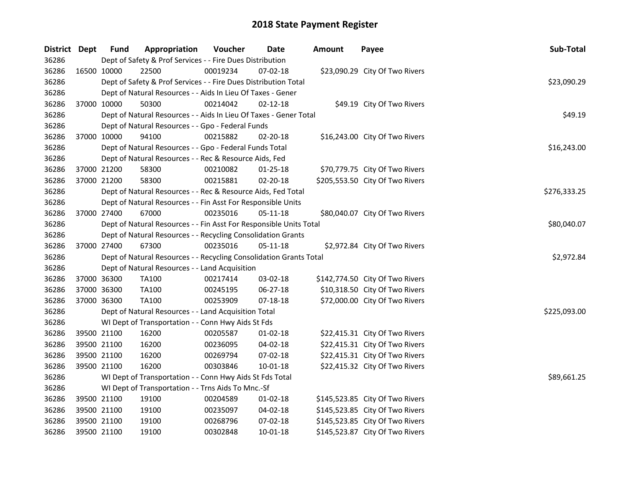| District Dept |             | <b>Fund</b> | Appropriation                                                      | Voucher  | <b>Date</b>    | Amount | Payee                           | Sub-Total    |
|---------------|-------------|-------------|--------------------------------------------------------------------|----------|----------------|--------|---------------------------------|--------------|
| 36286         |             |             | Dept of Safety & Prof Services - - Fire Dues Distribution          |          |                |        |                                 |              |
| 36286         | 16500 10000 |             | 22500                                                              | 00019234 | 07-02-18       |        | \$23,090.29 City Of Two Rivers  |              |
| 36286         |             |             | Dept of Safety & Prof Services - - Fire Dues Distribution Total    |          |                |        |                                 | \$23,090.29  |
| 36286         |             |             | Dept of Natural Resources - - Aids In Lieu Of Taxes - Gener        |          |                |        |                                 |              |
| 36286         | 37000 10000 |             | 50300                                                              | 00214042 | $02 - 12 - 18$ |        | \$49.19 City Of Two Rivers      |              |
| 36286         |             |             | Dept of Natural Resources - - Aids In Lieu Of Taxes - Gener Total  |          |                |        |                                 | \$49.19      |
| 36286         |             |             | Dept of Natural Resources - - Gpo - Federal Funds                  |          |                |        |                                 |              |
| 36286         |             | 37000 10000 | 94100                                                              | 00215882 | 02-20-18       |        | \$16,243.00 City Of Two Rivers  |              |
| 36286         |             |             | Dept of Natural Resources - - Gpo - Federal Funds Total            |          |                |        |                                 | \$16,243.00  |
| 36286         |             |             | Dept of Natural Resources - - Rec & Resource Aids, Fed             |          |                |        |                                 |              |
| 36286         |             | 37000 21200 | 58300                                                              | 00210082 | $01 - 25 - 18$ |        | \$70,779.75 City Of Two Rivers  |              |
| 36286         | 37000 21200 |             | 58300                                                              | 00215881 | 02-20-18       |        | \$205,553.50 City Of Two Rivers |              |
| 36286         |             |             | Dept of Natural Resources - - Rec & Resource Aids, Fed Total       |          |                |        |                                 | \$276,333.25 |
| 36286         |             |             | Dept of Natural Resources - - Fin Asst For Responsible Units       |          |                |        |                                 |              |
| 36286         |             | 37000 27400 | 67000                                                              | 00235016 | 05-11-18       |        | \$80,040.07 City Of Two Rivers  |              |
| 36286         |             |             | Dept of Natural Resources - - Fin Asst For Responsible Units Total |          |                |        |                                 | \$80,040.07  |
| 36286         |             |             | Dept of Natural Resources - - Recycling Consolidation Grants       |          |                |        |                                 |              |
| 36286         | 37000 27400 |             | 67300                                                              | 00235016 | $05 - 11 - 18$ |        | \$2,972.84 City Of Two Rivers   |              |
| 36286         |             |             | Dept of Natural Resources - - Recycling Consolidation Grants Total |          |                |        |                                 | \$2,972.84   |
| 36286         |             |             | Dept of Natural Resources - - Land Acquisition                     |          |                |        |                                 |              |
| 36286         | 37000 36300 |             | TA100                                                              | 00217414 | 03-02-18       |        | \$142,774.50 City Of Two Rivers |              |
| 36286         | 37000 36300 |             | TA100                                                              | 00245195 | 06-27-18       |        | \$10,318.50 City Of Two Rivers  |              |
| 36286         | 37000 36300 |             | <b>TA100</b>                                                       | 00253909 | $07 - 18 - 18$ |        | \$72,000.00 City Of Two Rivers  |              |
| 36286         |             |             | Dept of Natural Resources - - Land Acquisition Total               |          |                |        |                                 | \$225,093.00 |
| 36286         |             |             | WI Dept of Transportation - - Conn Hwy Aids St Fds                 |          |                |        |                                 |              |
| 36286         |             | 39500 21100 | 16200                                                              | 00205587 | $01-02-18$     |        | \$22,415.31 City Of Two Rivers  |              |
| 36286         | 39500 21100 |             | 16200                                                              | 00236095 | 04-02-18       |        | \$22,415.31 City Of Two Rivers  |              |
| 36286         | 39500 21100 |             | 16200                                                              | 00269794 | 07-02-18       |        | \$22,415.31 City Of Two Rivers  |              |
| 36286         | 39500 21100 |             | 16200                                                              | 00303846 | 10-01-18       |        | \$22,415.32 City Of Two Rivers  |              |
| 36286         |             |             | WI Dept of Transportation - - Conn Hwy Aids St Fds Total           |          |                |        |                                 | \$89,661.25  |
| 36286         |             |             | WI Dept of Transportation - - Trns Aids To Mnc.-Sf                 |          |                |        |                                 |              |
| 36286         | 39500 21100 |             | 19100                                                              | 00204589 | $01 - 02 - 18$ |        | \$145,523.85 City Of Two Rivers |              |
| 36286         |             | 39500 21100 | 19100                                                              | 00235097 | 04-02-18       |        | \$145,523.85 City Of Two Rivers |              |
| 36286         | 39500 21100 |             | 19100                                                              | 00268796 | 07-02-18       |        | \$145,523.85 City Of Two Rivers |              |
| 36286         | 39500 21100 |             | 19100                                                              | 00302848 | 10-01-18       |        | \$145,523.87 City Of Two Rivers |              |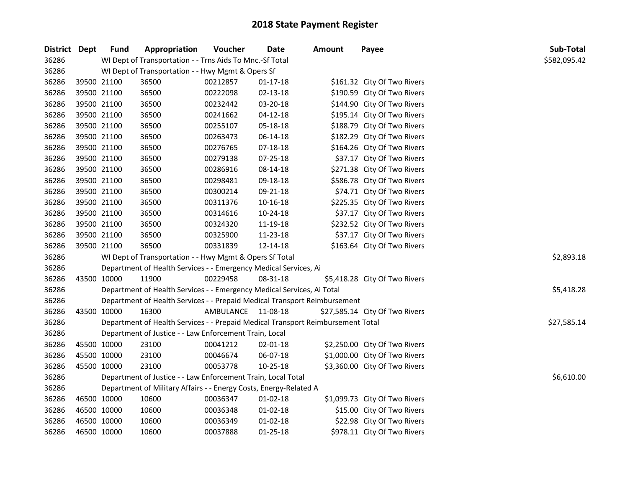| District Dept |             | <b>Fund</b> | Appropriation                                                                   | Voucher            | Date           | <b>Amount</b> | Payee                          | <b>Sub-Total</b> |
|---------------|-------------|-------------|---------------------------------------------------------------------------------|--------------------|----------------|---------------|--------------------------------|------------------|
| 36286         |             |             | WI Dept of Transportation - - Trns Aids To Mnc.-Sf Total                        |                    |                |               |                                | \$582,095.42     |
| 36286         |             |             | WI Dept of Transportation - - Hwy Mgmt & Opers Sf                               |                    |                |               |                                |                  |
| 36286         |             | 39500 21100 | 36500                                                                           | 00212857           | 01-17-18       |               | \$161.32 City Of Two Rivers    |                  |
| 36286         |             | 39500 21100 | 36500                                                                           | 00222098           | 02-13-18       |               | \$190.59 City Of Two Rivers    |                  |
| 36286         |             | 39500 21100 | 36500                                                                           | 00232442           | 03-20-18       |               | \$144.90 City Of Two Rivers    |                  |
| 36286         |             | 39500 21100 | 36500                                                                           | 00241662           | $04 - 12 - 18$ |               | \$195.14 City Of Two Rivers    |                  |
| 36286         |             | 39500 21100 | 36500                                                                           | 00255107           | 05-18-18       |               | \$188.79 City Of Two Rivers    |                  |
| 36286         | 39500 21100 |             | 36500                                                                           | 00263473           | 06-14-18       |               | \$182.29 City Of Two Rivers    |                  |
| 36286         | 39500 21100 |             | 36500                                                                           | 00276765           | 07-18-18       |               | \$164.26 City Of Two Rivers    |                  |
| 36286         |             | 39500 21100 | 36500                                                                           | 00279138           | 07-25-18       |               | \$37.17 City Of Two Rivers     |                  |
| 36286         |             | 39500 21100 | 36500                                                                           | 00286916           | 08-14-18       |               | \$271.38 City Of Two Rivers    |                  |
| 36286         |             | 39500 21100 | 36500                                                                           | 00298481           | 09-18-18       |               | \$586.78 City Of Two Rivers    |                  |
| 36286         | 39500 21100 |             | 36500                                                                           | 00300214           | 09-21-18       |               | \$74.71 City Of Two Rivers     |                  |
| 36286         | 39500 21100 |             | 36500                                                                           | 00311376           | 10-16-18       |               | \$225.35 City Of Two Rivers    |                  |
| 36286         |             | 39500 21100 | 36500                                                                           | 00314616           | 10-24-18       |               | \$37.17 City Of Two Rivers     |                  |
| 36286         |             | 39500 21100 | 36500                                                                           | 00324320           | 11-19-18       |               | \$232.52 City Of Two Rivers    |                  |
| 36286         |             | 39500 21100 | 36500                                                                           | 00325900           | 11-23-18       |               | \$37.17 City Of Two Rivers     |                  |
| 36286         |             | 39500 21100 | 36500                                                                           | 00331839           | 12-14-18       |               | \$163.64 City Of Two Rivers    |                  |
| 36286         |             |             | WI Dept of Transportation - - Hwy Mgmt & Opers Sf Total                         |                    |                |               |                                | \$2,893.18       |
| 36286         |             |             | Department of Health Services - - Emergency Medical Services, Ai                |                    |                |               |                                |                  |
| 36286         | 43500 10000 |             | 11900                                                                           | 00229458           | 08-31-18       |               | \$5,418.28 City Of Two Rivers  |                  |
| 36286         |             |             | Department of Health Services - - Emergency Medical Services, Ai Total          |                    |                |               |                                | \$5,418.28       |
| 36286         |             |             | Department of Health Services - - Prepaid Medical Transport Reimbursement       |                    |                |               |                                |                  |
| 36286         | 43500 10000 |             | 16300                                                                           | AMBULANCE 11-08-18 |                |               | \$27,585.14 City Of Two Rivers |                  |
| 36286         |             |             | Department of Health Services - - Prepaid Medical Transport Reimbursement Total |                    |                |               |                                | \$27,585.14      |
| 36286         |             |             | Department of Justice - - Law Enforcement Train, Local                          |                    |                |               |                                |                  |
| 36286         | 45500 10000 |             | 23100                                                                           | 00041212           | 02-01-18       |               | \$2,250.00 City Of Two Rivers  |                  |
| 36286         | 45500 10000 |             | 23100                                                                           | 00046674           | 06-07-18       |               | \$1,000.00 City Of Two Rivers  |                  |
| 36286         | 45500 10000 |             | 23100                                                                           | 00053778           | 10-25-18       |               | \$3,360.00 City Of Two Rivers  |                  |
| 36286         |             |             | Department of Justice - - Law Enforcement Train, Local Total                    |                    |                |               |                                | \$6,610.00       |
| 36286         |             |             | Department of Military Affairs - - Energy Costs, Energy-Related A               |                    |                |               |                                |                  |
| 36286         |             | 46500 10000 | 10600                                                                           | 00036347           | $01 - 02 - 18$ |               | \$1,099.73 City Of Two Rivers  |                  |
| 36286         | 46500 10000 |             | 10600                                                                           | 00036348           | $01 - 02 - 18$ |               | \$15.00 City Of Two Rivers     |                  |
| 36286         | 46500 10000 |             | 10600                                                                           | 00036349           | $01 - 02 - 18$ |               | \$22.98 City Of Two Rivers     |                  |
| 36286         | 46500 10000 |             | 10600                                                                           | 00037888           | $01 - 25 - 18$ |               | \$978.11 City Of Two Rivers    |                  |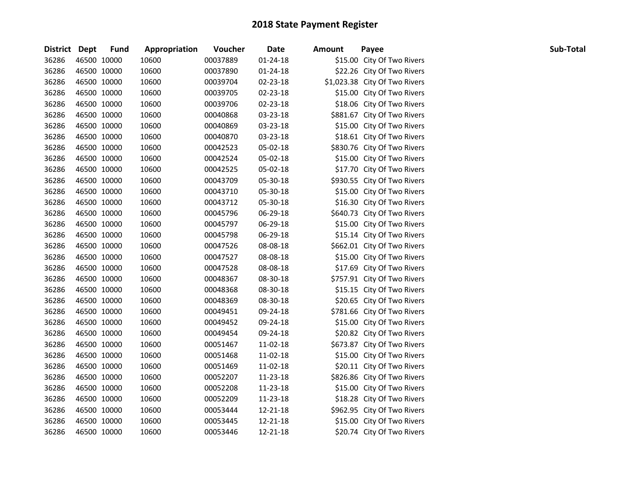| District Dept |             | <b>Fund</b> | Appropriation | Voucher  | <b>Date</b>    | <b>Amount</b> | Payee                         | Sub-Total |
|---------------|-------------|-------------|---------------|----------|----------------|---------------|-------------------------------|-----------|
| 36286         | 46500 10000 |             | 10600         | 00037889 | $01 - 24 - 18$ |               | \$15.00 City Of Two Rivers    |           |
| 36286         | 46500 10000 |             | 10600         | 00037890 | $01 - 24 - 18$ |               | \$22.26 City Of Two Rivers    |           |
| 36286         | 46500 10000 |             | 10600         | 00039704 | 02-23-18       |               | \$1,023.38 City Of Two Rivers |           |
| 36286         | 46500 10000 |             | 10600         | 00039705 | 02-23-18       |               | \$15.00 City Of Two Rivers    |           |
| 36286         | 46500 10000 |             | 10600         | 00039706 | 02-23-18       |               | \$18.06 City Of Two Rivers    |           |
| 36286         | 46500 10000 |             | 10600         | 00040868 | 03-23-18       |               | \$881.67 City Of Two Rivers   |           |
| 36286         | 46500 10000 |             | 10600         | 00040869 | 03-23-18       |               | \$15.00 City Of Two Rivers    |           |
| 36286         | 46500 10000 |             | 10600         | 00040870 | 03-23-18       |               | \$18.61 City Of Two Rivers    |           |
| 36286         | 46500 10000 |             | 10600         | 00042523 | 05-02-18       |               | \$830.76 City Of Two Rivers   |           |
| 36286         | 46500 10000 |             | 10600         | 00042524 | 05-02-18       |               | \$15.00 City Of Two Rivers    |           |
| 36286         | 46500 10000 |             | 10600         | 00042525 | 05-02-18       |               | \$17.70 City Of Two Rivers    |           |
| 36286         | 46500 10000 |             | 10600         | 00043709 | 05-30-18       |               | \$930.55 City Of Two Rivers   |           |
| 36286         | 46500 10000 |             | 10600         | 00043710 | 05-30-18       |               | \$15.00 City Of Two Rivers    |           |
| 36286         | 46500 10000 |             | 10600         | 00043712 | 05-30-18       |               | \$16.30 City Of Two Rivers    |           |
| 36286         | 46500 10000 |             | 10600         | 00045796 | 06-29-18       |               | \$640.73 City Of Two Rivers   |           |
| 36286         | 46500 10000 |             | 10600         | 00045797 | 06-29-18       |               | \$15.00 City Of Two Rivers    |           |
| 36286         | 46500 10000 |             | 10600         | 00045798 | 06-29-18       |               | \$15.14 City Of Two Rivers    |           |
| 36286         | 46500 10000 |             | 10600         | 00047526 | 08-08-18       |               | \$662.01 City Of Two Rivers   |           |
| 36286         | 46500 10000 |             | 10600         | 00047527 | 08-08-18       |               | \$15.00 City Of Two Rivers    |           |
| 36286         | 46500 10000 |             | 10600         | 00047528 | 08-08-18       |               | \$17.69 City Of Two Rivers    |           |
| 36286         | 46500 10000 |             | 10600         | 00048367 | 08-30-18       |               | \$757.91 City Of Two Rivers   |           |
| 36286         | 46500 10000 |             | 10600         | 00048368 | 08-30-18       |               | \$15.15 City Of Two Rivers    |           |
| 36286         | 46500 10000 |             | 10600         | 00048369 | 08-30-18       |               | \$20.65 City Of Two Rivers    |           |
| 36286         | 46500 10000 |             | 10600         | 00049451 | 09-24-18       |               | \$781.66 City Of Two Rivers   |           |
| 36286         | 46500 10000 |             | 10600         | 00049452 | 09-24-18       |               | \$15.00 City Of Two Rivers    |           |
| 36286         | 46500 10000 |             | 10600         | 00049454 | 09-24-18       |               | \$20.82 City Of Two Rivers    |           |
| 36286         | 46500 10000 |             | 10600         | 00051467 | 11-02-18       |               | \$673.87 City Of Two Rivers   |           |
| 36286         | 46500 10000 |             | 10600         | 00051468 | 11-02-18       |               | \$15.00 City Of Two Rivers    |           |
| 36286         | 46500 10000 |             | 10600         | 00051469 | 11-02-18       |               | \$20.11 City Of Two Rivers    |           |
| 36286         | 46500 10000 |             | 10600         | 00052207 | 11-23-18       |               | \$826.86 City Of Two Rivers   |           |
| 36286         | 46500 10000 |             | 10600         | 00052208 | 11-23-18       |               | \$15.00 City Of Two Rivers    |           |
| 36286         | 46500 10000 |             | 10600         | 00052209 | 11-23-18       |               | \$18.28 City Of Two Rivers    |           |
| 36286         | 46500 10000 |             | 10600         | 00053444 | 12-21-18       |               | \$962.95 City Of Two Rivers   |           |
| 36286         | 46500 10000 |             | 10600         | 00053445 | 12-21-18       |               | \$15.00 City Of Two Rivers    |           |
| 36286         | 46500 10000 |             | 10600         | 00053446 | 12-21-18       |               | \$20.74 City Of Two Rivers    |           |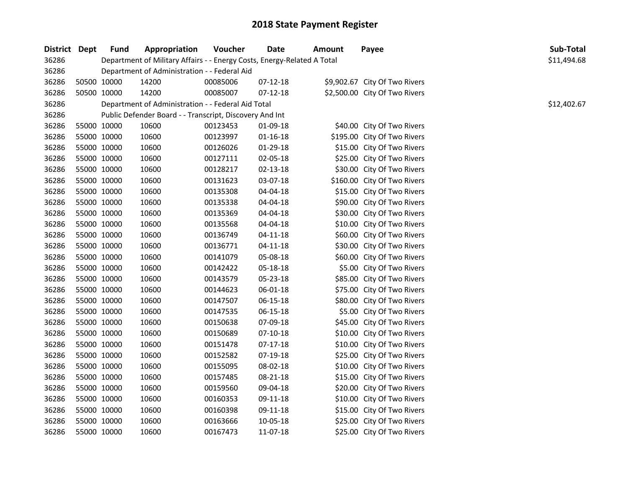| District Dept |             | Fund                                         | Appropriation                                                           | Voucher  | <b>Date</b>    | Amount | Payee                         | Sub-Total   |
|---------------|-------------|----------------------------------------------|-------------------------------------------------------------------------|----------|----------------|--------|-------------------------------|-------------|
| 36286         |             |                                              | Department of Military Affairs - - Energy Costs, Energy-Related A Total |          |                |        |                               | \$11,494.68 |
| 36286         |             | Department of Administration - - Federal Aid |                                                                         |          |                |        |                               |             |
| 36286         |             | 50500 10000                                  | 14200                                                                   | 00085006 | 07-12-18       |        | \$9,902.67 City Of Two Rivers |             |
| 36286         |             | 50500 10000                                  | 14200                                                                   | 00085007 | $07 - 12 - 18$ |        | \$2,500.00 City Of Two Rivers |             |
| 36286         |             |                                              | Department of Administration - - Federal Aid Total                      |          |                |        |                               | \$12,402.67 |
| 36286         |             |                                              | Public Defender Board - - Transcript, Discovery And Int                 |          |                |        |                               |             |
| 36286         |             | 55000 10000                                  | 10600                                                                   | 00123453 | 01-09-18       |        | \$40.00 City Of Two Rivers    |             |
| 36286         |             | 55000 10000                                  | 10600                                                                   | 00123997 | $01 - 16 - 18$ |        | \$195.00 City Of Two Rivers   |             |
| 36286         | 55000 10000 |                                              | 10600                                                                   | 00126026 | 01-29-18       |        | \$15.00 City Of Two Rivers    |             |
| 36286         |             | 55000 10000                                  | 10600                                                                   | 00127111 | 02-05-18       |        | \$25.00 City Of Two Rivers    |             |
| 36286         |             | 55000 10000                                  | 10600                                                                   | 00128217 | 02-13-18       |        | \$30.00 City Of Two Rivers    |             |
| 36286         |             | 55000 10000                                  | 10600                                                                   | 00131623 | 03-07-18       |        | \$160.00 City Of Two Rivers   |             |
| 36286         |             | 55000 10000                                  | 10600                                                                   | 00135308 | 04-04-18       |        | \$15.00 City Of Two Rivers    |             |
| 36286         |             | 55000 10000                                  | 10600                                                                   | 00135338 | 04-04-18       |        | \$90.00 City Of Two Rivers    |             |
| 36286         |             | 55000 10000                                  | 10600                                                                   | 00135369 | 04-04-18       |        | \$30.00 City Of Two Rivers    |             |
| 36286         |             | 55000 10000                                  | 10600                                                                   | 00135568 | 04-04-18       |        | \$10.00 City Of Two Rivers    |             |
| 36286         |             | 55000 10000                                  | 10600                                                                   | 00136749 | $04 - 11 - 18$ |        | \$60.00 City Of Two Rivers    |             |
| 36286         |             | 55000 10000                                  | 10600                                                                   | 00136771 | $04 - 11 - 18$ |        | \$30.00 City Of Two Rivers    |             |
| 36286         |             | 55000 10000                                  | 10600                                                                   | 00141079 | 05-08-18       |        | \$60.00 City Of Two Rivers    |             |
| 36286         |             | 55000 10000                                  | 10600                                                                   | 00142422 | 05-18-18       |        | \$5.00 City Of Two Rivers     |             |
| 36286         |             | 55000 10000                                  | 10600                                                                   | 00143579 | 05-23-18       |        | \$85.00 City Of Two Rivers    |             |
| 36286         |             | 55000 10000                                  | 10600                                                                   | 00144623 | 06-01-18       |        | \$75.00 City Of Two Rivers    |             |
| 36286         |             | 55000 10000                                  | 10600                                                                   | 00147507 | 06-15-18       |        | \$80.00 City Of Two Rivers    |             |
| 36286         |             | 55000 10000                                  | 10600                                                                   | 00147535 | 06-15-18       |        | \$5.00 City Of Two Rivers     |             |
| 36286         |             | 55000 10000                                  | 10600                                                                   | 00150638 | 07-09-18       |        | \$45.00 City Of Two Rivers    |             |
| 36286         |             | 55000 10000                                  | 10600                                                                   | 00150689 | 07-10-18       |        | \$10.00 City Of Two Rivers    |             |
| 36286         |             | 55000 10000                                  | 10600                                                                   | 00151478 | 07-17-18       |        | \$10.00 City Of Two Rivers    |             |
| 36286         |             | 55000 10000                                  | 10600                                                                   | 00152582 | 07-19-18       |        | \$25.00 City Of Two Rivers    |             |
| 36286         | 55000 10000 |                                              | 10600                                                                   | 00155095 | 08-02-18       |        | \$10.00 City Of Two Rivers    |             |
| 36286         |             | 55000 10000                                  | 10600                                                                   | 00157485 | 08-21-18       |        | \$15.00 City Of Two Rivers    |             |
| 36286         |             | 55000 10000                                  | 10600                                                                   | 00159560 | 09-04-18       |        | \$20.00 City Of Two Rivers    |             |
| 36286         |             | 55000 10000                                  | 10600                                                                   | 00160353 | 09-11-18       |        | \$10.00 City Of Two Rivers    |             |
| 36286         |             | 55000 10000                                  | 10600                                                                   | 00160398 | 09-11-18       |        | \$15.00 City Of Two Rivers    |             |
| 36286         |             | 55000 10000                                  | 10600                                                                   | 00163666 | 10-05-18       |        | \$25.00 City Of Two Rivers    |             |
| 36286         |             | 55000 10000                                  | 10600                                                                   | 00167473 | 11-07-18       |        | \$25.00 City Of Two Rivers    |             |